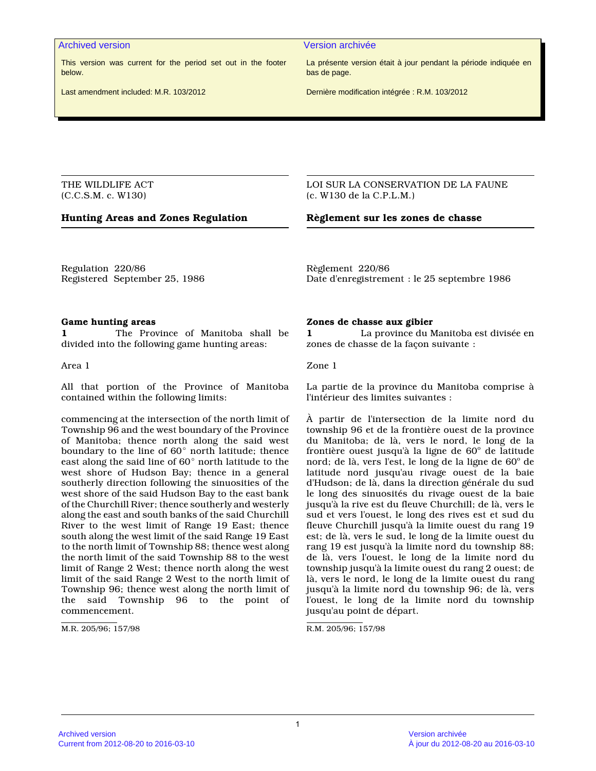This version was current for the period set out in the footer below.

Last amendment included: M.R. 103/2012

#### Archived version Version archivée

La présente version était à jour pendant la période indiquée en bas de page.

Dernière modification intégrée : R.M. 103/2012

THE WILDLIFE ACT (C.C.S.M. c. W130)

### **Hunting Areas and Zones Regulation Règlement sur les zones de chasse**

LOI SUR LA CONSERVATION DE LA FAUNE (c. W130 de la C.P.L.M.)

Regulation 220/86 Registered September 25, 1986 Règlement 220/86 Date d'enregistrement : le 25 septembre 1986

#### **Game hunting areas**

**1** The Province of Manitoba shall be divided into the following game hunting areas:

Area 1

All that portion of the Province of Manitoba contained within the following limits:

commencing at the intersection of the north limit of Township 96 and the west boundary of the Province of Manitoba; thence north along the said west boundary to the line of  $60^{\circ}$  north latitude; thence east along the said line of  $60^{\circ}$  north latitude to the west shore of Hudson Bay; thence in a general southerly direction following the sinuosities of the west shore of the said Hudson Bay to the east bank of the Churchill River; thence southerly and westerly along the east and south banks of the said Churchill River to the west limit of Range 19 East; thence south along the west limit of the said Range 19 East to the north limit of Township 88; thence west along the north limit of the said Township 88 to the west limit of Range 2 West; thence north along the west limit of the said Range 2 West to the north limit of Township 96; thence west along the north limit of the said Township 96 to the point of commencement.

M.R. 205/96; 157/98

#### **Zones de chasse aux gibier**

**1** La province du Manitoba est divisée en zones de chasse de la façon suivante :

Zone 1

La partie de la province du Manitoba comprise à l'intérieur des limites suivantes :

À partir de l'intersection de la limite nord du township 96 et de la frontière ouest de la province du Manitoba; de là, vers le nord, le long de la frontière ouest jusqu'à la ligne de  $60^{\circ}$  de latitude nord; de là, vers l'est, le long de la ligne de 60° de latitude nord jusqu'au rivage ouest de la baie d'Hudson; de là, dans la direction générale du sud le long des sinuosités du rivage ouest de la baie jusqu'à la rive est du fleuve Churchill; de là, vers le sud et vers l'ouest, le long des rives est et sud du fleuve Churchill jusqu'à la limite ouest du rang 19 est; de là, vers le sud, le long de la limite ouest du rang 19 est jusqu'à la limite nord du township 88; de là, vers l'ouest, le long de la limite nord du township jusqu'à la limite ouest du rang 2 ouest; de là, vers le nord, le long de la limite ouest du rang jusqu'à la limite nord du township 96; de là, vers l'ouest, le long de la limite nord du township jusqu'au point de départ.

R.M. 205/96; 157/98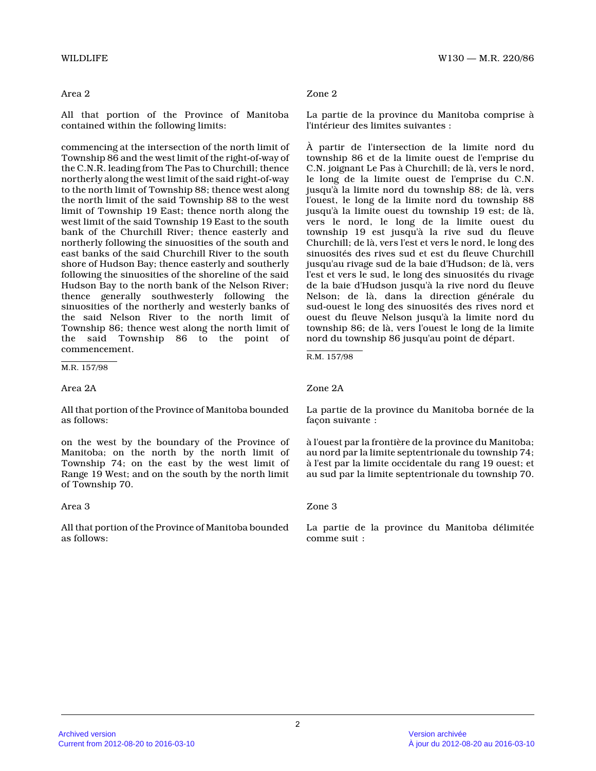All that portion of the Province of Manitoba contained within the following limits:

commencing at the intersection of the north limit o f Township 86 and the west limit of the right-of-way of the C.N.R. leading from The Pas to Churchill; thenc e northerly along the west limit of the said right-of-way to the north limit of Township 88; thence west alon g the north limit of the said Township 88 to the west limit of Township 19 East; thence north along the west limit of the said Township 19 East to the sout h bank of the Churchill River; thence easterly and northerly following the sinuosities of the south an d east banks of the said Churchill River to the south shore of Hudson Bay; thence easterly and southerly following the sinuosities of the shoreline of the said Hudson Bay to the north bank of the Nelson River; thence generally southwesterly following the sinuosities of the northerly and westerly banks of the said Nelson River to the north limit of Township 86; thence west along the north limit of the said Township 86 to the point of commencement.

M.R. 157/98

Area 2A

All that portion of the Province of Manitoba bounde d as follows:

on the west by the boundary of the Province of Manitoba; on the north by the north limit of Township 74; on the east by the west limit of Range 19 West; and on the south by the north limit of Township 70.

Area 3

All that portion of the Province of Manitoba bounde d as follows:

# Zone 2

La partie de la province du Manitoba comprise à l'intérieur des limites suivantes :

À partir de l'intersection de la limite nord du township 86 et de la limite ouest de l'emprise du C.N. joignant Le Pas à Churchill; de là, vers le nord, le long de la limite ouest de l'emprise du C.N. jusqu'à la limite nord du township 88; de là, vers l'ouest, le long de la limite nord du township 88 jusqu'à la limite ouest du township 19 est; de là, vers le nord, le long de la limite ouest du township 19 est jusqu'à la rive sud du fleuve Churchill; de là, vers l'est et vers le nord, le long des sinuosités des rives sud et est du fleuve Churchill jusqu'au rivage sud de la baie d'Hudson; de là, ver s l'est et vers le sud, le long des sinuosités du rivage de la baie d'Hudson jusqu'à la rive nord du fleuve Nelson; de là, dans la direction générale du sud-ouest le long des sinuosités des rives nord et ouest du fleuve Nelson jusqu'à la limite nord du township 86; de là, vers l'ouest le long de la limite nord du township 86 jusqu'au point de départ.

R.M. 157/98

### Zone 2A

La partie de la province du Manitoba bornée de la façon suivante :

à l'ouest par la frontière de la province du Manitoba; au nord par la limite septentrionale du township 74 ; à l'est par la limite occidentale du rang 19 ouest; et au sud par la limite septentrionale du township 70.

### Zone 3

La partie de la province du Manitoba délimitée comme suit :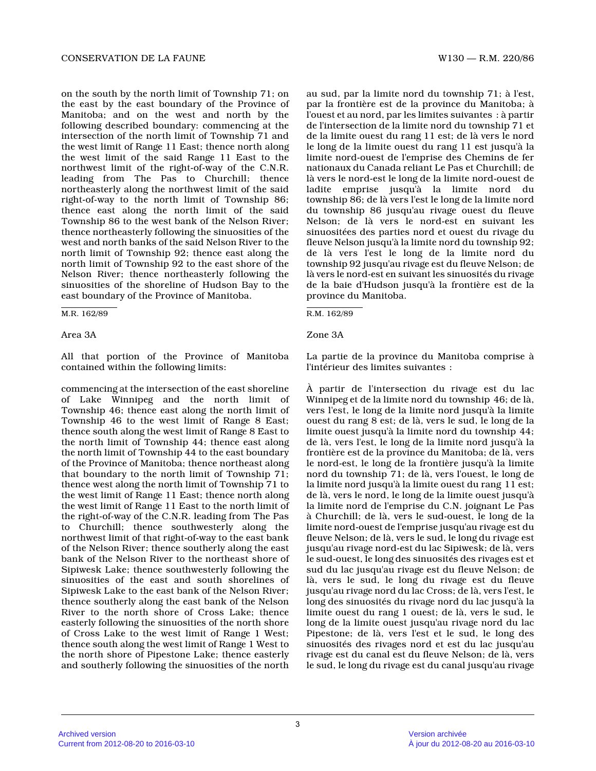on the south by the north limit of Township 71; on the east by the east boundary of the Province of Manitoba; and on the west and north by the following described boundary: commencing at the intersection of the north limit of Township 71 and the west limit of Range 11 East; thence north along the west limit of the said Range 11 East to the northwest limit of the right-of-way of the C.N.R. leading from The Pas to Churchill; thence northeasterly along the northwest limit of the said right-of-way to the north limit of Township 86; thence east along the north limit of the said Township 86 to the west bank of the Nelson River; thence northeasterly following the sinuosities of the west and north banks of the said Nelson River to th e north limit of Township 92; thence east along the north limit of Township 92 to the east shore of the Nelson River; thence northeasterly following the sinuosities of the shoreline of Hudson Bay to the east boundary of the Province of Manitoba.

M.R. 162/89

Area 3A Zone 3A

All that portion of the Province of Manitoba contained within the following limits:

commencing at the intersection of the east shorelin e of Lake Winnipeg and the north limit of Township 46; thence east along the north limit of Township 46 to the west limit of Range 8 East; thence south along the west limit of Range 8 East t o the north limit of Township 44; thence east along the north limit of Township 44 to the east boundary of the Province of Manitoba; thence northeast along that boundary to the north limit of Township 71; thence west along the north limit of Township 71 to the west limit of Range 11 East; thence north along the west limit of Range 11 East to the north limit of the right-of-way of the C.N.R. leading from The Pas to Churchill; thence southwesterly along the northwest limit of that right-of-way to the east bank of the Nelson River; thence southerly along the eas t bank of the Nelson River to the northeast shore of Sipiwesk Lake; thence southwesterly following the sinuosities of the east and south shorelines of Sipiwesk Lake to the east bank of the Nelson River; thence southerly along the east bank of the Nelson River to the north shore of Cross Lake; thence easterly following the sinuosities of the north shore of Cross Lake to the west limit of Range 1 West; thence south along the west limit of Range 1 West t o the north shore of Pipestone Lake; thence easterly and southerly following the sinuosities of the north

au sud, par la limite nord du township 71; à l'est, par la frontière est de la province du Manitoba; à l'ouest et au nord, par les limites suivantes : à partir de l'intersection de la limite nord du township 71 et de la limite ouest du rang 11 est; de là vers le nord le long de la limite ouest du rang 11 est jusqu'à l a limite nord-ouest de l'emprise des Chemins de fer nationaux du Canada reliant Le Pas et Churchill; de là vers le nord-est le long de la limite nord-ouest de ladite emprise jusqu'à la limite nord du township 86; de là vers l'est le long de la limite nord du township 86 jusqu'au rivage ouest du fleuve Nelson; de là vers le nord-est en suivant les sinuositées des parties nord et ouest du rivage du fleuve Nelson jusqu'à la limite nord du township 92 ; de là vers l'est le long de la limite nord du township 92 jusqu'au rivage est du fleuve Nelson; d e là vers le nord-est en suivant les sinuosités du rivage de la baie d'Hudson jusqu'à la frontière est de la province du Manitoba.

R.M. 162/89

La partie de la province du Manitoba comprise à l'intérieur des limites suivantes :

À partir de l'intersection du rivage est du lac Winnipeg et de la limite nord du township 46; de là, vers l'est, le long de la limite nord jusqu'à la limite ouest du rang 8 est; de là, vers le sud, le long de la limite ouest jusqu'à la limite nord du township 44; de là, vers l'est, le long de la limite nord jusqu'à la frontière est de la province du Manitoba; de là, vers le nord-est, le long de la frontière jusqu'à la limite nord du township 71; de là, vers l'ouest, le long de la limite nord jusqu'à la limite ouest du rang 11 est; de là, vers le nord, le long de la limite ouest jusqu'à la limite nord de l'emprise du C.N. joignant Le Pas à Churchill; de là, vers le sud-ouest, le long de l a limite nord-ouest de l'emprise jusqu'au rivage est du fleuve Nelson; de là, vers le sud, le long du rivage est jusqu'au rivage nord-est du lac Sipiwesk; de là, vers le sud-ouest, le long des sinuosités des rivages est et sud du lac jusqu'au rivage est du fleuve Nelson; de là, vers le sud, le long du rivage est du fleuve jusqu'au rivage nord du lac Cross; de là, vers l'est, le long des sinuosités du rivage nord du lac jusqu'à l a limite ouest du rang 1 ouest; de là, vers le sud, le long de la limite ouest jusqu'au rivage nord du lac Pipestone; de là, vers l'est et le sud, le long des sinuosités des rivages nord et est du lac jusqu'au rivage est du canal est du fleuve Nelson; de là, vers le sud, le long du rivage est du canal jusqu'au rivage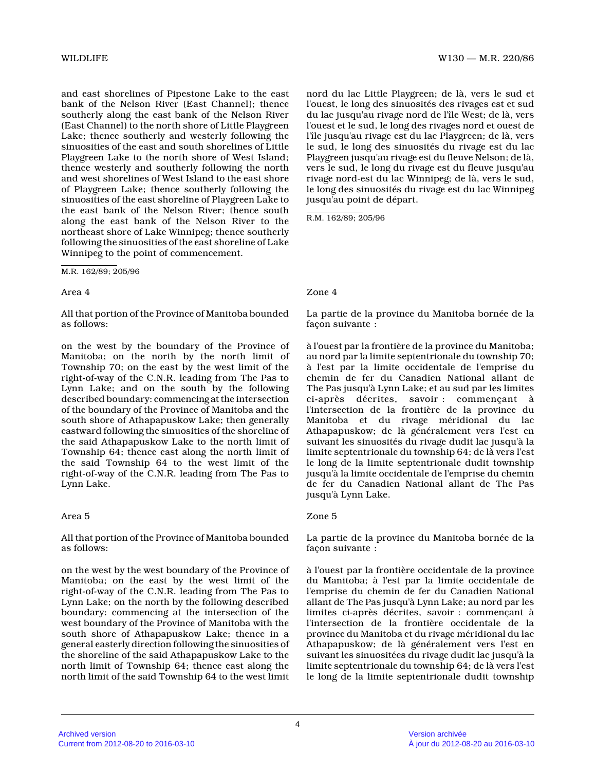WILDLIFE WISO — M.R. 220/86

and east shorelines of Pipestone Lake to the east bank of the Nelson River (East Channel); thence southerly along the east bank of the Nelson River (East Channel) to the north shore of Little Playgreen Lake; thence southerly and westerly following the sinuosities of the east and south shorelines of Little Playgreen Lake to the north shore of West Island; thence westerly and southerly following the north and west shorelines of West Island to the east shor e of Playgreen Lake; thence southerly following the sinuosities of the east shoreline of Playgreen Lake to the east bank of the Nelson River; thence south along the east bank of the Nelson River to the northeast shore of Lake Winnipeg; thence southerly following the sinuosities of the east shoreline of Lake Winnipeg to the point of commencement.

M.R. 162/89; 205/96

### Area 4

All that portion of the Province of Manitoba bounde d as follows:

on the west by the boundary of the Province of Manitoba; on the north by the north limit of Township 70; on the east by the west limit of the right-of-way of the C.N.R. leading from The Pas to Lynn Lake; and on the south by the following described boundary: commencing at the intersection of the boundary of the Province of Manitoba and the south shore of Athapapuskow Lake; then generally eastward following the sinuosities of the shoreline of the said Athapapuskow Lake to the north limit of Township 64; thence east along the north limit of the said Township 64 to the west limit of the right-of-way of the C.N.R. leading from The Pas to Lynn Lake.

# Area 5

All that portion of the Province of Manitoba bounde d as follows:

on the west by the west boundary of the Province of Manitoba; on the east by the west limit of the right-of-way of the C.N.R. leading from The Pas to Lynn Lake; on the north by the following described boundary: commencing at the intersection of the west boundary of the Province of Manitoba with the south shore of Athapapuskow Lake; thence in a general easterly direction following the sinuosities of the shoreline of the said Athapapuskow Lake to the north limit of Township 64; thence east along the north limit of the said Township 64 to the west limit

nord du lac Little Playgreen; de là, vers le sud et l'ouest, le long des sinuosités des rivages est et sud du lac jusqu'au rivage nord de l'île West; de là, vers l'ouest et le sud, le long des rivages nord et ouest de l'île jusqu'au rivage est du lac Playgreen; de là, vers le sud, le long des sinuosités du rivage est du lac Playgreen jusqu'au rivage est du fleuve Nelson; de là, vers le sud, le long du rivage est du fleuve jusqu'au rivage nord-est du lac Winnipeg; de là, vers le sud , le long des sinuosités du rivage est du lac Winnipe g jusqu'au point de départ.

R.M. 162/89; 205/96

# Zone 4

La partie de la province du Manitoba bornée de la façon suivante :

à l'ouest par la frontière de la province du Manitoba; au nord par la limite septentrionale du township 70 ; à l'est par la limite occidentale de l'emprise du chemin de fer du Canadien National allant de The Pas jusqu'à Lynn Lake; et au sud par les limite s ci-après décrites, savoir : commençant à l'intersection de la frontière de la province du Manitoba et du rivage méridional du lac Athapapuskow; de là généralement vers l'est en suivant les sinuosités du rivage dudit lac jusqu'à la limite septentrionale du township 64; de là vers l'est le long de la limite septentrionale dudit township jusqu'à la limite occidentale de l'emprise du chemi n de fer du Canadien National allant de The Pas jusqu'à Lynn Lake.

### Zone 5

La partie de la province du Manitoba bornée de la façon suivante :

à l'ouest par la frontière occidentale de la province du Manitoba; à l'est par la limite occidentale de l'emprise du chemin de fer du Canadien National allant de The Pas jusqu'à Lynn Lake; au nord par le s limites ci-après décrites, savoir : commençant à l'intersection de la frontière occidentale de la province du Manitoba et du rivage méridional du lac Athapapuskow; de là généralement vers l'est en suivant les sinuositées du rivage dudit lac jusqu'à la limite septentrionale du township 64; de là vers l'est le long de la limite septentrionale dudit township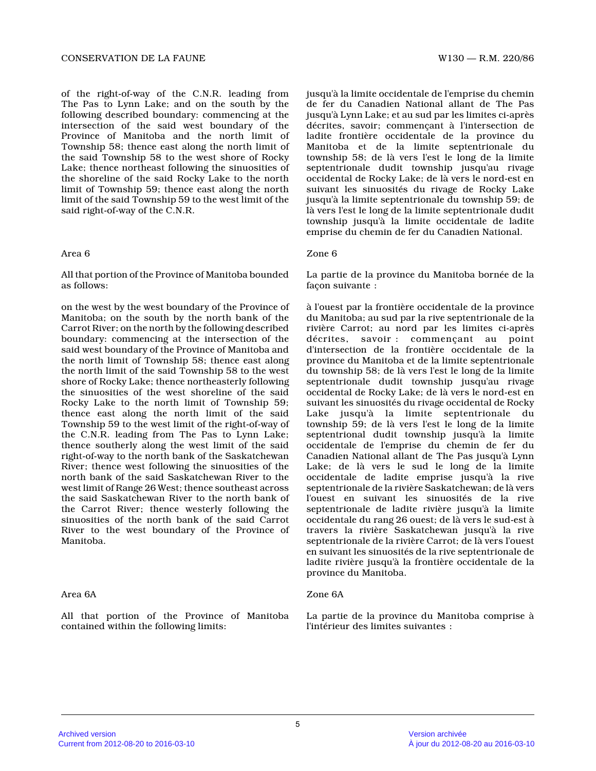of the right-of-way of the C.N.R. leading from The Pas to Lynn Lake; and on the south by the following described boundary: commencing at the intersection of the said west boundary of the Province of Manitoba and the north limit of Township 58; thence east along the north limit of the said Township 58 to the west shore of Rocky Lake; thence northeast following the sinuosities of the shoreline of the said Rocky Lake to the north limit of Township 59; thence east along the north limit of the said Township 59 to the west limit of the said right-of-way of the C.N.R.

### Area 6

All that portion of the Province of Manitoba bounde d as follows:

on the west by the west boundary of the Province of Manitoba; on the south by the north bank of the Carrot River; on the north by the following described boundary: commencing at the intersection of the said west boundary of the Province of Manitoba and the north limit of Township 58; thence east along the north limit of the said Township 58 to the west shore of Rocky Lake; thence northeasterly following the sinuosities of the west shoreline of the said Rocky Lake to the north limit of Township 59; thence east along the north limit of the said Township 59 to the west limit of the right-of-way o f the C.N.R. leading from The Pas to Lynn Lake; thence southerly along the west limit of the said right-of-way to the north bank of the Saskatchewan River; thence west following the sinuosities of the north bank of the said Saskatchewan River to the west limit of Range 26 West; thence southeast acros s the said Saskatchewan River to the north bank of the Carrot River; thence westerly following the sinuosities of the north bank of the said Carrot River to the west boundary of the Province of Manitoba.

# Area 6A

All that portion of the Province of Manitoba contained within the following limits:

jusqu'à la limite occidentale de l'emprise du chemi n de fer du Canadien National allant de The Pas jusqu'à Lynn Lake; et au sud par les limites ci-après décrites, savoir; commençant à l'intersection de ladite frontière occidentale de la province du Manitoba et de la limite septentrionale du township 58; de là vers l'est le long de la limite septentrionale dudit township jusqu'au rivage occidental de Rocky Lake; de là vers le nord-est en suivant les sinuosités du rivage de Rocky Lake jusqu'à la limite septentrionale du township 59; de là vers l'est le long de la limite septentrionale dudit township jusqu'à la limite occidentale de ladite emprise du chemin de fer du Canadien National.

### Zone 6

La partie de la province du Manitoba bornée de la façon suivante :

à l'ouest par la frontière occidentale de la province du Manitoba; au sud par la rive septentrionale de l a rivière Carrot; au nord par les limites ci-après décrites, savoir : commençant au point d'intersection de la frontière occidentale de la province du Manitoba et de la limite septentrionale du township 58; de là vers l'est le long de la limite septentrionale dudit township jusqu'au rivage occidental de Rocky Lake; de là vers le nord-est en suivant les sinuosités du rivage occidental de Rock y Lake jusqu'à la limite septentrionale du township 59; de là vers l'est le long de la limite septentrional dudit township jusqu'à la limite occidentale de l'emprise du chemin de fer du Canadien National allant de The Pas jusqu'à Lynn Lake; de là vers le sud le long de la limite occidentale de ladite emprise jusqu'à la rive septentrionale de la rivière Saskatchewan; de là vers l'ouest en suivant les sinuosités de la rive septentrionale de ladite rivière jusqu'à la limite occidentale du rang 26 ouest; de là vers le sud-est à travers la rivière Saskatchewan jusqu'à la rive septentrionale de la rivière Carrot; de là vers l'ouest en suivant les sinuosités de la rive septentrionale de ladite rivière jusqu'à la frontière occidentale de la province du Manitoba.

### Zone 6A

La partie de la province du Manitoba comprise à l'intérieur des limites suivantes :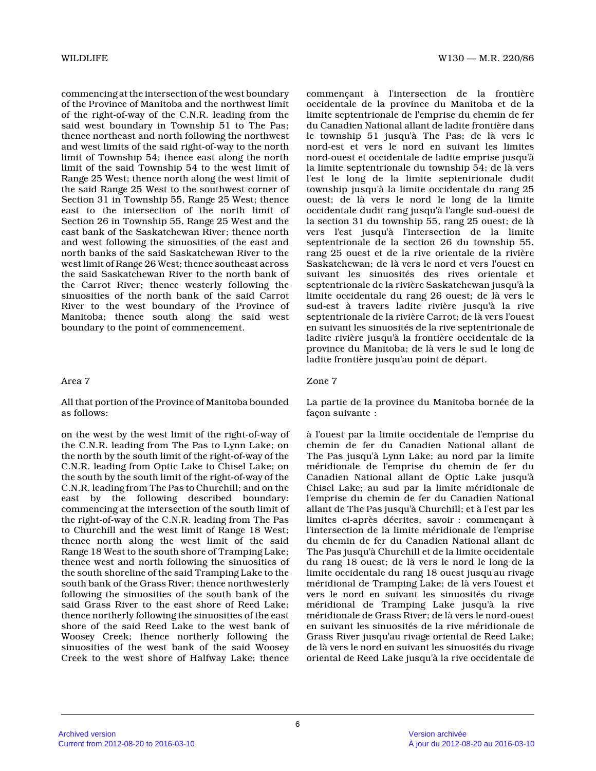commencing at the intersection of the west boundary of the Province of Manitoba and the northwest limit of the right-of-way of the C.N.R. leading from the said west boundary in Township 51 to The Pas; thence northeast and north following the northwest and west limits of the said right-of-way to the north limit of Township 54; thence east along the north limit of the said Township 54 to the west limit of Range 25 West; thence north along the west limit of the said Range 25 West to the southwest corner of Section 31 in Township 55, Range 25 West; thence east to the intersection of the north limit of Section 26 in Township 55, Range 25 West and the east bank of the Saskatchewan River; thence north and west following the sinuosities of the east and north banks of the said Saskatchewan River to the west limit of Range 26 West; thence southeast acros s the said Saskatchewan River to the north bank of the Carrot River; thence westerly following the sinuosities of the north bank of the said Carrot River to the west boundary of the Province of Manitoba; thence south along the said west boundary to the point of commencement.

## Area 7

### All that portion of the Province of Manitoba bounde d as follows:

on the west by the west limit of the right-of-way o f the C.N.R. leading from The Pas to Lynn Lake; on the north by the south limit of the right-of-way of the C.N.R. leading from Optic Lake to Chisel Lake; on the south by the south limit of the right-of-way of the C.N.R. leading from The Pas to Churchill; and on th e east by the following described boundary: commencing at the intersection of the south limit o f the right-of-way of the C.N.R. leading from The Pas to Churchill and the west limit of Range 18 West; thence north along the west limit of the said Range 18 West to the south shore of Tramping Lake; thence west and north following the sinuosities of the south shoreline of the said Tramping Lake to th e south bank of the Grass River; thence northwesterly following the sinuosities of the south bank of the said Grass River to the east shore of Reed Lake; thence northerly following the sinuosities of the east shore of the said Reed Lake to the west bank of Woosey Creek; thence northerly following the sinuosities of the west bank of the said Woosey Creek to the west shore of Halfway Lake; thence

commençant à l'intersection de la frontière occidentale de la province du Manitoba et de la limite septentrionale de l'emprise du chemin de fer du Canadien National allant de ladite frontière dan s le township 51 jusqu'à The Pas; de là vers le nord-est et vers le nord en suivant les limites nord-ouest et occidentale de ladite emprise jusqu'à la limite septentrionale du township 54; de là vers l'est le long de la limite septentrionale dudit township jusqu'à la limite occidentale du rang 25 ouest; de là vers le nord le long de la limite occidentale dudit rang jusqu'à l'angle sud-ouest de la section 31 du township 55, rang 25 ouest; de là vers l'est jusqu'à l'intersection de la limite septentrionale de la section 26 du township 55, rang 25 ouest et de la rive orientale de la rivière Saskatchewan; de là vers le nord et vers l'ouest en suivant les sinuosités des rives orientale et septentrionale de la rivière Saskatchewan jusqu'à l a limite occidentale du rang 26 ouest; de là vers le sud-est à travers ladite rivière jusqu'à la rive septentrionale de la rivière Carrot; de là vers l'ouest en suivant les sinuosités de la rive septentrionale de ladite rivière jusqu'à la frontière occidentale de la province du Manitoba; de là vers le sud le long de ladite frontière jusqu'au point de départ.

# Zone 7

La partie de la province du Manitoba bornée de la façon suivante :

à l'ouest par la limite occidentale de l'emprise du chemin de fer du Canadien National allant de The Pas jusqu'à Lynn Lake; au nord par la limite méridionale de l'emprise du chemin de fer du Canadien National allant de Optic Lake jusqu'à Chisel Lake; au sud par la limite méridionale de l'emprise du chemin de fer du Canadien National allant de The Pas jusqu'à Churchill; et à l'est par les limites ci-après décrites, savoir : commençant à l'intersection de la limite méridionale de l'empris e du chemin de fer du Canadien National allant de The Pas jusqu'à Churchill et de la limite occidentale du rang 18 ouest; de là vers le nord le long de la limite occidentale du rang 18 ouest jusqu'au rivage méridional de Tramping Lake; de là vers l'ouest et vers le nord en suivant les sinuosités du rivage méridional de Tramping Lake jusqu'à la rive méridionale de Grass River; de là vers le nord-oues t en suivant les sinuosités de la rive méridionale de Grass River jusqu'au rivage oriental de Reed Lake; de là vers le nord en suivant les sinuosités du rivage oriental de Reed Lake jusqu'à la rive occidentale de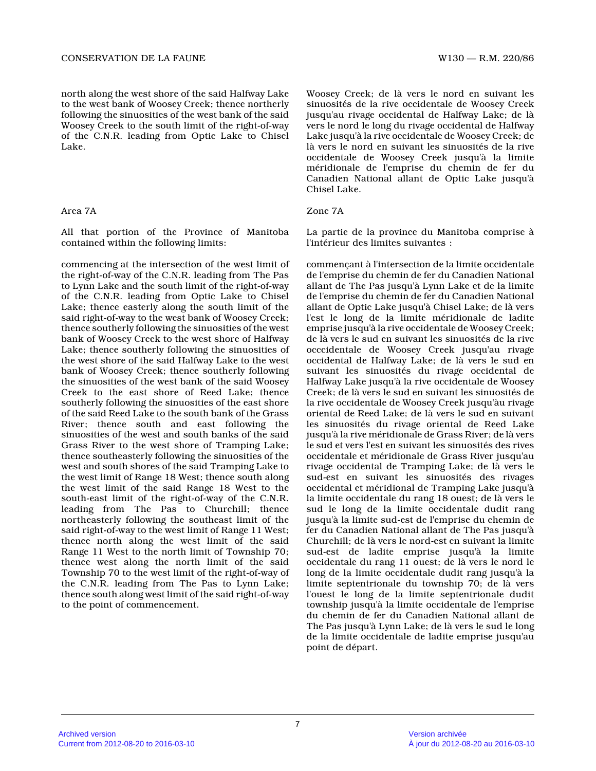north along the west shore of the said Halfway Lake to the west bank of Woosey Creek; thence northerly following the sinuosities of the west bank of the said Woosey Creek to the south limit of the right-of-way of the C.N.R. leading from Optic Lake to Chisel Lake.

### Area 7A

All that portion of the Province of Manitoba contained within the following limits:

commencing at the intersection of the west limit of the right-of-way of the C.N.R. leading from The Pas to Lynn Lake and the south limit of the right-of-way of the C.N.R. leading from Optic Lake to Chisel Lake; thence easterly along the south limit of the said right-of-way to the west bank of Woosey Creek; thence southerly following the sinuosities of the west bank of Woosey Creek to the west shore of Halfway Lake; thence southerly following the sinuosities of the west shore of the said Halfway Lake to the west bank of Woosey Creek; thence southerly following the sinuosities of the west bank of the said Woosey Creek to the east shore of Reed Lake; thence southerly following the sinuosities of the east shore of the said Reed Lake to the south bank of the Gras s River; thence south and east following the sinuosities of the west and south banks of the said Grass River to the west shore of Tramping Lake; thence southeasterly following the sinuosities of the west and south shores of the said Tramping Lake to the west limit of Range 18 West; thence south along the west limit of the said Range 18 West to the south-east limit of the right-of-way of the C.N.R. leading from The Pas to Churchill; thence northeasterly following the southeast limit of the said right-of-way to the west limit of Range 11 West; thence north along the west limit of the said Range 11 West to the north limit of Township 70; thence west along the north limit of the said Township 70 to the west limit of the right-of-way o f the C.N.R. leading from The Pas to Lynn Lake; thence south along west limit of the said right-of-way to the point of commencement.

Woosey Creek; de là vers le nord en suivant les sinuosités de la rive occidentale de Woosey Creek jusqu'au rivage occidental de Halfway Lake; de là vers le nord le long du rivage occidental de Halfway Lake jusqu'à la rive occidentale de Woosey Creek; d e là vers le nord en suivant les sinuosités de la riv e occidentale de Woosey Creek jusqu'à la limite méridionale de l'emprise du chemin de fer du Canadien National allant de Optic Lake jusqu'à Chisel Lake.

# Zone 7A

La partie de la province du Manitoba comprise à l'intérieur des limites suivantes :

commençant à l'intersection de la limite occidental e de l'emprise du chemin de fer du Canadien National allant de The Pas jusqu'à Lynn Lake et de la limite de l'emprise du chemin de fer du Canadien National allant de Optic Lake jusqu'à Chisel Lake; de là ver s l'est le long de la limite méridionale de ladite emprise jusqu'à la rive occidentale de Woosey Creek ; de là vers le sud en suivant les sinuosités de la rive occcidentale de Woosey Creek jusqu'au rivage occidental de Halfway Lake; de là vers le sud en suivant les sinuosités du rivage occidental de Halfway Lake jusqu'à la rive occidentale de Woosey Creek; de là vers le sud en suivant les sinuosités de la rive occidentale de Woosey Creek jusqu'àu rivage oriental de Reed Lake; de là vers le sud en suivant les sinuosités du rivage oriental de Reed Lake jusqu'à la rive méridionale de Grass River; de là vers le sud et vers l'est en suivant les sinuosités des rives occidentale et méridionale de Grass River jusqu'au rivage occidental de Tramping Lake; de là vers le sud-est en suivant les sinuosités des rivages occidental et méridional de Tramping Lake jusqu'à la limite occidentale du rang 18 ouest; de là vers le sud le long de la limite occidentale dudit rang jusqu'à la limite sud-est de l'emprise du chemin de fer du Canadien National allant de The Pas jusqu'à Churchill; de là vers le nord-est en suivant la limite sud-est de ladite emprise jusqu'à la limite occidentale du rang 11 ouest; de là vers le nord le long de la limite occidentale dudit rang jusqu'à la limite septentrionale du township 70; de là vers l'ouest le long de la limite septentrionale dudit township jusqu'à la limite occidentale de l'emprise du chemin de fer du Canadien National allant de The Pas jusqu'à Lynn Lake; de là vers le sud le lon g de la limite occidentale de ladite emprise jusqu'au point de départ.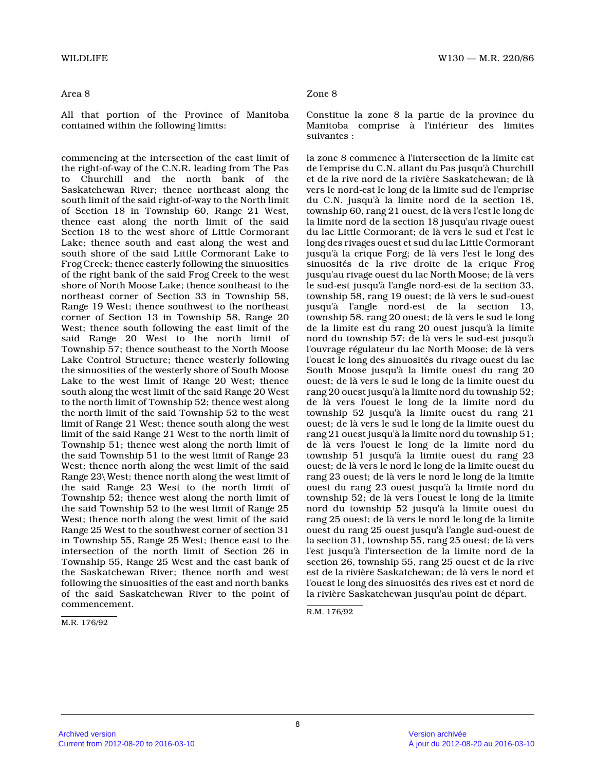#### Area 8

All that portion of the Province of Manitoba contained within the following limits:

commencing at the intersection of the east limit of the right-of-way of the C.N.R. leading from The Pas to Churchill and the north bank of the Saskatchewan River; thence northeast along the south limit of the said right-of-way to the North limit of Section 18 in Township 60, Range 21 West, thence east along the north limit of the said Section 18 to the west shore of Little Cormorant Lake; thence south and east along the west and south shore of the said Little Cormorant Lake to Frog Creek; thence easterly following the sinuosities of the right bank of the said Frog Creek to the wes t shore of North Moose Lake; thence southeast to the northeast corner of Section 33 in Township 58, Range 19 West; thence southwest to the northeast corner of Section 13 in Township 58, Range 20 West; thence south following the east limit of the said Range 20 West to the north limit of Township 57; thence southeast to the North Moose Lake Control Structure; thence westerly following the sinuosities of the westerly shore of South Moos e Lake to the west limit of Range 20 West; thence south along the west limit of the said Range 20 Wes t to the north limit of Township 52; thence west alon g the north limit of the said Township 52 to the west limit of Range 21 West; thence south along the west limit of the said Range 21 West to the north limit of Township 51; thence west along the north limit of the said Township 51 to the west limit of Range 23 West; thence north along the west limit of the said Range 23\ West; thence north along the west limit o f the said Range 23 West to the north limit of Township 52; thence west along the north limit of the said Township 52 to the west limit of Range 25 West; thence north along the west limit of the said Range 25 West to the southwest corner of section 31 in Township 55, Range 25 West; thence east to the intersection of the north limit of Section 26 in Township 55, Range 25 West and the east bank of the Saskatchewan River; thence north and west following the sinuosities of the east and north banks of the said Saskatchewan River to the point of commencement.

M.R. 176/92

# Zone 8

Constitue la zone 8 la partie de la province du Manitoba comprise à l'intérieur des limites suivantes :

la zone 8 commence à l'intersection de la limite es t de l'emprise du C.N. allant du Pas jusqu'à Churchil l et de la rive nord de la rivière Saskatchewan; de l à vers le nord-est le long de la limite sud de l'emprise du C.N. jusqu'à la limite nord de la section 18, township 60, rang 21 ouest, de là vers l'est le long de la limite nord de la section 18 jusqu'au rivage ouest du lac Little Cormorant; de là vers le sud et l'est le long des rivages ouest et sud du lac Little Cormorant jusqu'à la crique Forg; de là vers l'est le long de s sinuosités de la rive droite de la crique Frog jusqu'au rivage ouest du lac North Moose; de là ver s le sud-est jusqu'à l'angle nord-est de la section 33, township 58, rang 19 ouest; de là vers le sud-ouest jusqu'à l'angle nord-est de la section 13, township 58, rang 20 ouest; de là vers le sud le long de la limite est du rang 20 ouest jusqu'à la limite nord du township 57; de là vers le sud-est jusqu'à l'ouvrage régulateur du lac North Moose; de là vers l'ouest le long des sinuosités du rivage ouest du lac South Moose jusqu'à la limite ouest du rang 20 ouest; de là vers le sud le long de la limite ouest du rang 20 ouest jusqu'à la limite nord du township 52 ; de là vers l'ouest le long de la limite nord du township 52 jusqu'à la limite ouest du rang 21 ouest; de là vers le sud le long de la limite ouest du rang 21 ouest jusqu'à la limite nord du township 51 ; de là vers l'ouest le long de la limite nord du township 51 jusqu'à la limite ouest du rang 23 ouest; de là vers le nord le long de la limite ouest du rang 23 ouest; de là vers le nord le long de la limite ouest du rang 23 ouest jusqu'à la limite nord du township 52; de là vers l'ouest le long de la limit e nord du township 52 jusqu'à la limite ouest du rang 25 ouest; de là vers le nord le long de la limite ouest du rang 25 ouest jusqu'à l'angle sud-ouest de la section 31, township 55, rang 25 ouest; de là vers l'est jusqu'à l'intersection de la limite nord de l a section 26, township 55, rang 25 ouest et de la riv e est de la rivière Saskatchewan; de là vers le nord et l'ouest le long des sinuosités des rives est et nord de la rivière Saskatchewan jusqu'au point de départ.

R.M. 176/92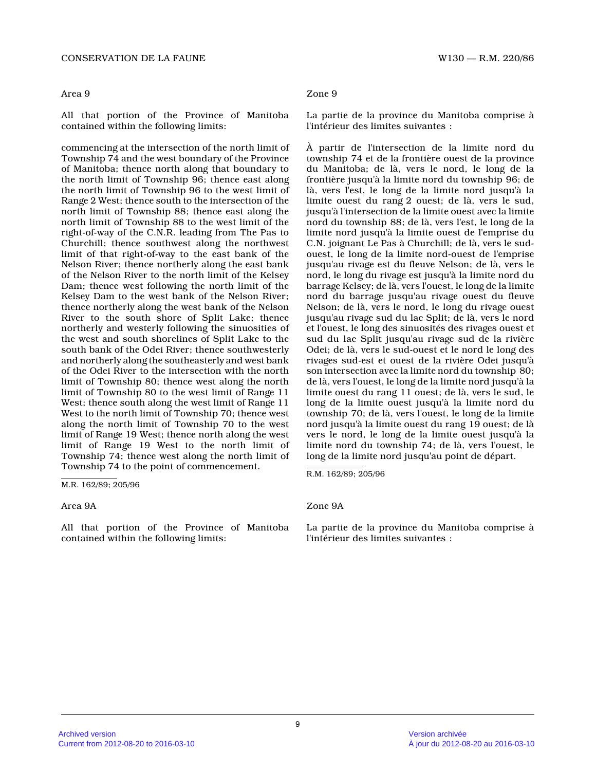All that portion of the Province of Manitoba contained within the following limits:

commencing at the intersection of the north limit o f Township 74 and the west boundary of the Province of Manitoba; thence north along that boundary to the north limit of Township 96; thence east along the north limit of Township 96 to the west limit of Range 2 West; thence south to the intersection of the north limit of Township 88; thence east along the north limit of Township 88 to the west limit of the right-of-way of the C.N.R. leading from The Pas to Churchill; thence southwest along the northwest limit of that right-of-way to the east bank of the Nelson River; thence northerly along the east bank of the Nelson River to the north limit of the Kelse y Dam; thence west following the north limit of the Kelsey Dam to the west bank of the Nelson River; thence northerly along the west bank of the Nelson River to the south shore of Split Lake; thence northerly and westerly following the sinuosities of the west and south shorelines of Split Lake to the south bank of the Odei River; thence southwesterly and northerly along the southeasterly and west bank of the Odei River to the intersection with the nort h limit of Township 80; thence west along the north limit of Township 80 to the west limit of Range 11 West; thence south along the west limit of Range 11 West to the north limit of Township 70; thence west along the north limit of Township 70 to the west limit of Range 19 West; thence north along the west limit of Range 19 West to the north limit of Township 74; thence west along the north limit of Township 74 to the point of commencement.

M.R. 162/89; 205/96

All that portion of the Province of Manitoba contained within the following limits:

## Area 9 Zone 9

La partie de la province du Manitoba comprise à l'intérieur des limites suivantes :

À partir de l'intersection de la limite nord du township 74 et de la frontière ouest de la province du Manitoba; de là, vers le nord, le long de la frontière jusqu'à la limite nord du township 96; de là, vers l'est, le long de la limite nord jusqu'à l a limite ouest du rang 2 ouest; de là, vers le sud, jusqu'à l'intersection de la limite ouest avec la limite nord du township 88; de là, vers l'est, le long de l a limite nord jusqu'à la limite ouest de l'emprise du C.N. joignant Le Pas à Churchill; de là, vers le sudouest, le long de la limite nord-ouest de l'emprise jusqu'au rivage est du fleuve Nelson; de là, vers l e nord, le long du rivage est jusqu'à la limite nord du barrage Kelsey; de là, vers l'ouest, le long de la limite nord du barrage jusqu'au rivage ouest du fleuve Nelson; de là, vers le nord, le long du rivage ouest jusqu'au rivage sud du lac Split; de là, vers le nord et l'ouest, le long des sinuosités des rivages ouest et sud du lac Split jusqu'au rivage sud de la rivière Odei; de là, vers le sud-ouest et le nord le long des rivages sud-est et ouest de la rivière Odei jusqu'à son intersection avec la limite nord du township 80; de là, vers l'ouest, le long de la limite nord jusqu'à la limite ouest du rang 11 ouest; de là, vers le sud, l e long de la limite ouest jusqu'à la limite nord du township 70; de là, vers l'ouest, le long de la limite nord jusqu'à la limite ouest du rang 19 ouest; de là vers le nord, le long de la limite ouest jusqu'à la limite nord du township 74; de là, vers l'ouest, le long de la limite nord jusqu'au point de départ.

R.M. 162/89; 205/96

## Area 9A Zone 9A

La partie de la province du Manitoba comprise à l'intérieur des limites suivantes :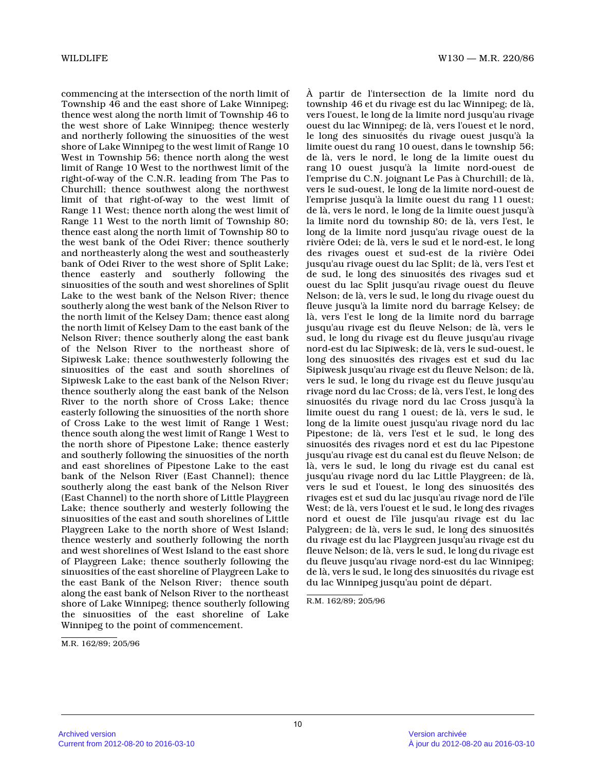commencing at the intersection of the north limit o f Township 46 and the east shore of Lake Winnipeg; thence west along the north limit of Township 46 to the west shore of Lake Winnipeg; thence westerly and northerly following the sinuosities of the west shore of Lake Winnipeg to the west limit of Range 1 0 West in Township 56; thence north along the west limit of Range 10 West to the northwest limit of th e right-of-way of the C.N.R. leading from The Pas to Churchill; thence southwest along the northwest limit of that right-of-way to the west limit of Range 11 West; thence north along the west limit of Range 11 West to the north limit of Township 80; thence east along the north limit of Township 80 to the west bank of the Odei River; thence southerly and northeasterly along the west and southeasterly bank of Odei River to the west shore of Split Lake; thence easterly and southerly following the sinuosities of the south and west shorelines of Split Lake to the west bank of the Nelson River; thence southerly along the west bank of the Nelson River t o the north limit of the Kelsey Dam; thence east alon g the north limit of Kelsey Dam to the east bank of the Nelson River; thence southerly along the east bank of the Nelson River to the northeast shore of Sipiwesk Lake; thence southwesterly following the sinuosities of the east and south shorelines of Sipiwesk Lake to the east bank of the Nelson River; thence southerly along the east bank of the Nelson River to the north shore of Cross Lake; thence easterly following the sinuosities of the north shore of Cross Lake to the west limit of Range 1 West; thence south along the west limit of Range 1 West t o the north shore of Pipestone Lake; thence easterly and southerly following the sinuosities of the nort h and east shorelines of Pipestone Lake to the east bank of the Nelson River (East Channel); thence southerly along the east bank of the Nelson River (East Channel) to the north shore of Little Playgreen Lake; thence southerly and westerly following the sinuosities of the east and south shorelines of Little Playgreen Lake to the north shore of West Island; thence westerly and southerly following the north and west shorelines of West Island to the east shor e of Playgreen Lake; thence southerly following the sinuosities of the east shoreline of Playgreen Lake to the east Bank of the Nelson River; thence south along the east bank of Nelson River to the northeas t shore of Lake Winnipeg; thence southerly following the sinuosities of the east shoreline of Lake Winnipeg to the point of commencement.

À partir de l'intersection de la limite nord du township 46 et du rivage est du lac Winnipeg; de là, vers l'ouest, le long de la limite nord jusqu'au rivage ouest du lac Winnipeg; de là, vers l'ouest et le nord, le long des sinuosités du rivage ouest jusqu'à la limite ouest du rang 10 ouest, dans le township 56; de là, vers le nord, le long de la limite ouest du rang 10 ouest jusqu'à la limite nord-ouest de l'emprise du C.N. joignant Le Pas à Churchill; de là, vers le sud-ouest, le long de la limite nord-ouest de l'emprise jusqu'à la limite ouest du rang 11 ouest; de là, vers le nord, le long de la limite ouest jusqu'à la limite nord du township 80; de là, vers l'est, le long de la limite nord jusqu'au rivage ouest de la rivière Odei; de là, vers le sud et le nord-est, le long des rivages ouest et sud-est de la rivière Odei jusqu'au rivage ouest du lac Split; de là, vers l'est et de sud, le long des sinuosités des rivages sud et ouest du lac Split jusqu'au rivage ouest du fleuve Nelson; de là, vers le sud, le long du rivage ouest du fleuve jusqu'à la limite nord du barrage Kelsey; de là, vers l'est le long de la limite nord du barrage jusqu'au rivage est du fleuve Nelson; de là, vers l e sud, le long du rivage est du fleuve jusqu'au rivag e nord-est du lac Sipiwesk; de là, vers le sud-ouest, le long des sinuosités des rivages est et sud du lac Sipiwesk jusqu'au rivage est du fleuve Nelson; de là, vers le sud, le long du rivage est du fleuve jusqu'au rivage nord du lac Cross; de là, vers l'est, le long des sinuosités du rivage nord du lac Cross jusqu'à la limite ouest du rang 1 ouest; de là, vers le sud, le long de la limite ouest jusqu'au rivage nord du lac Pipestone; de là, vers l'est et le sud, le long des sinuosités des rivages nord et est du lac Pipestone jusqu'au rivage est du canal est du fleuve Nelson; de là, vers le sud, le long du rivage est du canal est jusqu'au rivage nord du lac Little Playgreen; de là , vers le sud et l'ouest, le long des sinuosités des rivages est et sud du lac jusqu'au rivage nord de l'île West; de là, vers l'ouest et le sud, le long des rivages nord et ouest de l'île jusqu'au rivage est du lac Palygreen; de là, vers le sud, le long des sinuosités du rivage est du lac Playgreen jusqu'au rivage est du fleuve Nelson; de là, vers le sud, le long du rivage est du fleuve jusqu'au rivage nord-est du lac Winnipeg; de là, vers le sud, le long des sinuosités du rivage est du lac Winnipeg jusqu'au point de départ.

R.M. 162/89; 205/96

M.R. 162/89; 205/96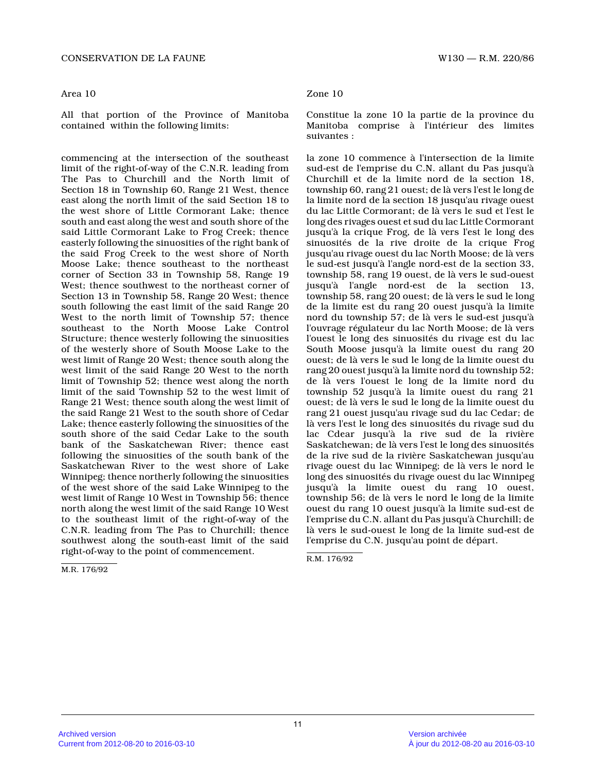### Area 10

All that portion of the Province of Manitoba contained within the following limits:

commencing at the intersection of the southeast limit of the right-of-way of the C.N.R. leading fro m The Pas to Churchill and the North limit of Section 18 in Township 60, Range 21 West, thence east along the north limit of the said Section 18 t o the west shore of Little Cormorant Lake; thence south and east along the west and south shore of th e said Little Cormorant Lake to Frog Creek; thence easterly following the sinuosities of the right bank of the said Frog Creek to the west shore of North Moose Lake; thence southeast to the northeast corner of Section 33 in Township 58, Range 19 West; thence southwest to the northeast corner of Section 13 in Township 58, Range 20 West; thence south following the east limit of the said Range 20 West to the north limit of Township 57; thence southeast to the North Moose Lake Control Structure; thence westerly following the sinuositie s of the westerly shore of South Moose Lake to the west limit of Range 20 West; thence south along the west limit of the said Range 20 West to the north limit of Township 52; thence west along the north limit of the said Township 52 to the west limit of Range 21 West; thence south along the west limit of the said Range 21 West to the south shore of Cedar Lake; thence easterly following the sinuosities of the south shore of the said Cedar Lake to the south bank of the Saskatchewan River; thence east following the sinuosities of the south bank of the Saskatchewan River to the west shore of Lake Winnipeg; thence northerly following the sinuositie s of the west shore of the said Lake Winnipeg to the west limit of Range 10 West in Township 56; thence north along the west limit of the said Range 10 Wes t to the southeast limit of the right-of-way of the C.N.R. leading from The Pas to Churchill; thence southwest along the south-east limit of the said right-of-way to the point of commencement.

M.R. 176/92

# Zone 10

Constitue la zone 10 la partie de la province du Manitoba comprise à l'intérieur des limites suivantes :

la zone 10 commence à l'intersection de la limite sud-est de l'emprise du C.N. allant du Pas jusqu'à Churchill et de la limite nord de la section 18, township 60, rang 21 ouest; de là vers l'est le long de la limite nord de la section 18 jusqu'au rivage ouest du lac Little Cormorant; de là vers le sud et l'est le long des rivages ouest et sud du lac Little Cormorant jusqu'à la crique Frog, de là vers l'est le long de s sinuosités de la rive droite de la crique Frog jusqu'au rivage ouest du lac North Moose; de là ver s le sud-est jusqu'à l'angle nord-est de la section 33, township 58, rang 19 ouest, de là vers le sud-ouest jusqu'à l'angle nord-est de la section 13, township 58, rang 20 ouest; de là vers le sud le long de la limite est du rang 20 ouest jusqu'à la limite nord du township 57; de là vers le sud-est jusqu'à l'ouvrage régulateur du lac North Moose; de là vers l'ouest le long des sinuosités du rivage est du lac South Moose jusqu'à la limite ouest du rang 20 ouest; de là vers le sud le long de la limite ouest du rang 20 ouest jusqu'à la limite nord du township 52 ; de là vers l'ouest le long de la limite nord du township 52 jusqu'à la limite ouest du rang 21 ouest; de là vers le sud le long de la limite ouest du rang 21 ouest jusqu'au rivage sud du lac Cedar; de là vers l'est le long des sinuosités du rivage sud du lac Cdear jusqu'à la rive sud de la rivière Saskatchewan; de là vers l'est le long des sinuosités de la rive sud de la rivière Saskatchewan jusqu'au rivage ouest du lac Winnipeg; de là vers le nord le long des sinuosités du rivage ouest du lac Winnipeg jusqu'à la limite ouest du rang 10 ouest, township 56; de là vers le nord le long de la limit e ouest du rang 10 ouest jusqu'à la limite sud-est de l'emprise du C.N. allant du Pas jusqu'à Churchill; de là vers le sud-ouest le long de la limite sud-est d e l'emprise du C.N. jusqu'au point de départ.

R.M. 176/92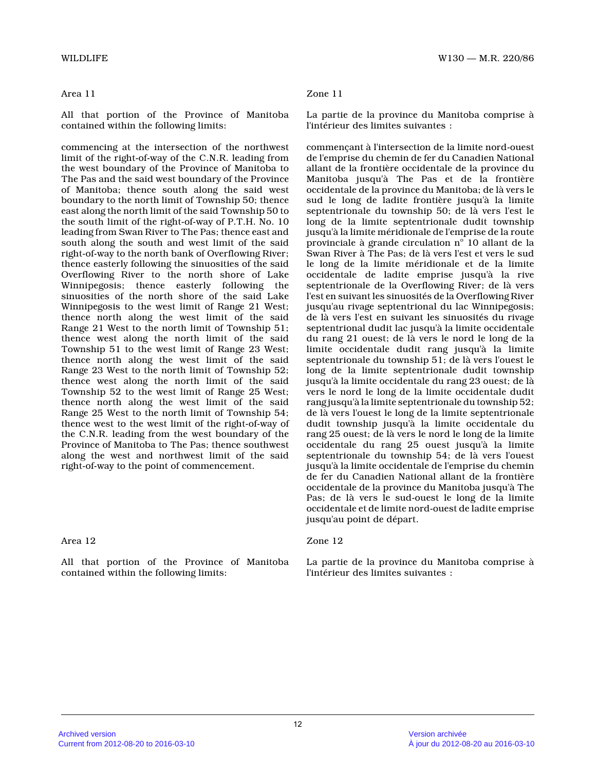# Area 11

All that portion of the Province of Manitoba contained within the following limits:

commencing at the intersection of the northwest limit of the right-of-way of the C.N.R. leading fro m the west boundary of the Province of Manitoba to The Pas and the said west boundary of the Province of Manitoba; thence south along the said west boundary to the north limit of Township 50; thence east along the north limit of the said Township 50 to the south limit of the right-of-way of P.T.H. No. 1 0 leading from Swan River to The Pas; thence east and south along the south and west limit of the said right-of-way to the north bank of Overflowing River ; thence easterly following the sinuosities of the said Overflowing River to the north shore of Lake Winnipegosis; thence easterly following the sinuosities of the north shore of the said Lake Winnipegosis to the west limit of Range 21 West; thence north along the west limit of the said Range 21 West to the north limit of Township 51; thence west along the north limit of the said Township 51 to the west limit of Range 23 West; thence north along the west limit of the said Range 23 West to the north limit of Township 52; thence west along the north limit of the said Township 52 to the west limit of Range 25 West; thence north along the west limit of the said Range 25 West to the north limit of Township 54; thence west to the west limit of the right-of-way o f the C.N.R. leading from the west boundary of the Province of Manitoba to The Pas; thence southwest along the west and northwest limit of the said right-of-way to the point of commencement.

# Area 12

All that portion of the Province of Manitoba contained within the following limits:

# Zone 11

La partie de la province du Manitoba comprise à l'intérieur des limites suivantes :

commençant à l'intersection de la limite nord-ouest de l'emprise du chemin de fer du Canadien National allant de la frontière occidentale de la province d u Manitoba jusqu'à The Pas et de la frontière occidentale de la province du Manitoba; de là vers le sud le long de ladite frontière jusqu'à la limite septentrionale du township 50; de là vers l'est le long de la limite septentrionale dudit township jusqu'à la limite méridionale de l'emprise de la route provinciale à grande circulation nº 10 allant de la Swan River à The Pas; de là vers l'est et vers le sud le long de la limite méridionale et de la limite occidentale de ladite emprise jusqu'à la rive septentrionale de la Overflowing River; de là vers l'est en suivant les sinuosités de la Overflowing River jusqu'au rivage septentrional du lac Winnipegosis; de là vers l'est en suivant les sinuosités du rivag e septentrional dudit lac jusqu'à la limite occidentale du rang 21 ouest; de là vers le nord le long de la limite occidentale dudit rang jusqu'à la limite septentrionale du township 51; de là vers l'ouest l e long de la limite septentrionale dudit township jusqu'à la limite occidentale du rang 23 ouest; de là vers le nord le long de la limite occidentale dudit rang jusqu'à la limite septentrionale du township 52; de là vers l'ouest le long de la limite septentrionale dudit township jusqu'à la limite occidentale du rang 25 ouest; de là vers le nord le long de la limite occidentale du rang 25 ouest jusqu'à la limite septentrionale du township 54; de là vers l'ouest jusqu'à la limite occidentale de l'emprise du chemi n de fer du Canadien National allant de la frontière occidentale de la province du Manitoba jusqu'à The Pas; de là vers le sud-ouest le long de la limite occidentale et de limite nord-ouest de ladite emprise jusqu'au point de départ.

# Zone 12

La partie de la province du Manitoba comprise à l'intérieur des limites suivantes :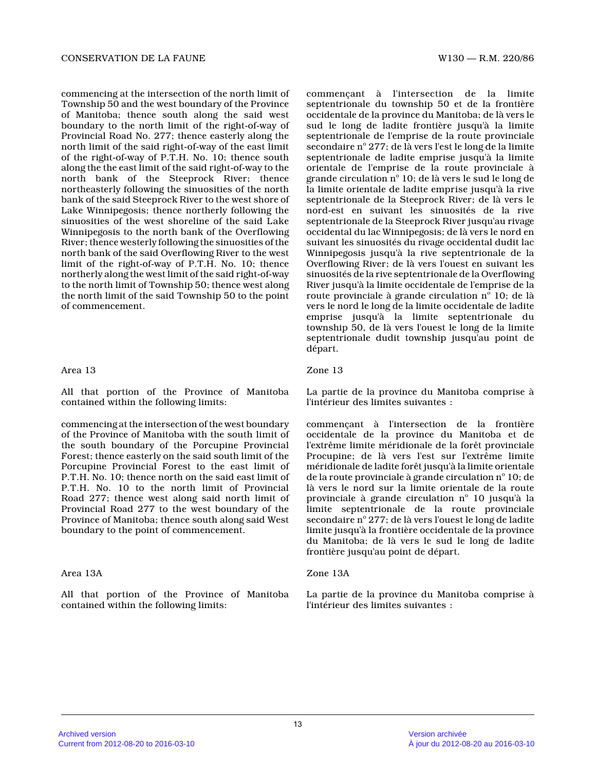commencing at the intersection of the north limit o f Township 50 and the west boundary of the Province of Manitoba; thence south along the said west boundary to the north limit of the right-of-way of Provincial Road No. 277; thence easterly along the north limit of the said right-of-way of the east limit of the right-of-way of P.T.H. No. 10; thence south along the the east limit of the said right-of-way to the north bank of the Steeprock River; thence northeasterly following the sinuosities of the nort h bank of the said Steeprock River to the west shore of Lake Winnipegosis; thence northerly following the sinuosities of the west shoreline of the said Lake Winnipegosis to the north bank of the Overflowing River; thence westerly following the sinuosities of the north bank of the said Overflowing River to the wes t limit of the right-of-way of P.T.H. No. 10; thence northerly along the west limit of the said right-of-way to the north limit of Township 50; thence west alon g the north limit of the said Township 50 to the poin t of commencement.

# Area 13

All that portion of the Province of Manitoba contained within the following limits:

commencing at the intersection of the west boundary of the Province of Manitoba with the south limit of the south boundary of the Porcupine Provincial Forest; thence easterly on the said south limit of the Porcupine Provincial Forest to the east limit of P.T.H. No. 10; thence north on the said east limit of P.T.H. No. 10 to the north limit of Provincial Road 277; thence west along said north limit of Provincial Road 277 to the west boundary of the Province of Manitoba; thence south along said West boundary to the point of commencement.

# Area 13A

All that portion of the Province of Manitoba contained within the following limits:

commençant à l'intersection de la limite septentrionale du township 50 et de la frontière occidentale de la province du Manitoba; de là vers le sud le long de ladite frontière jusqu'à la limite septentrionale de l'emprise de la route provinciale secondaire nº 277; de là vers l'est le long de la limite septentrionale de ladite emprise jusqu'à la limite orientale de l'emprise de la route provinciale à grande circulation nº 10; de là vers le sud le long de la limite orientale de ladite emprise jusqu'à la rive septentrionale de la Steeprock River; de là vers le nord-est en suivant les sinuosités de la rive septentrionale de la Steeprock River jusqu'au rivag e occidental du lac Winnipegosis; de là vers le nord en suivant les sinuosités du rivage occidental dudit lac Winnipegosis jusqu'à la rive septentrionale de la Overflowing River; de là vers l'ouest en suivant le s sinuosités de la rive septentrionale de la Overflowing River jusqu'à la limite occidentale de l'emprise de la route provinciale à grande circulation  $\boldsymbol{\mathrm{n}}^{\mathrm{o}}$  10; de là vers le nord le long de la limite occidentale de ladite emprise jusqu'à la limite septentrionale du township 50, de là vers l'ouest le long de la limit e septentrionale dudit township jusqu'au point de départ.

# Zone 13

La partie de la province du Manitoba comprise à l'intérieur des limites suivantes :

commençant à l'intersection de la frontière occidentale de la province du Manitoba et de l'extrême limite méridionale de la forêt provincial e Procupine; de là vers l'est sur l'extrême limite méridionale de ladite forêt jusqu'à la limite orientale de la route provinciale à grande circulation nº 10; de là vers le nord sur la limite orientale de la route provinciale à grande circulation  $n^{\circ}$  10 jusqu'à la limite septentrionale de la route provinciale secondaire nº 277; de là vers l'ouest le long de ladite limite jusqu'à la frontière occidentale de la province du Manitoba; de là vers le sud le long de ladite frontière jusqu'au point de départ.

## Zone 13A

La partie de la province du Manitoba comprise à l'intérieur des limites suivantes :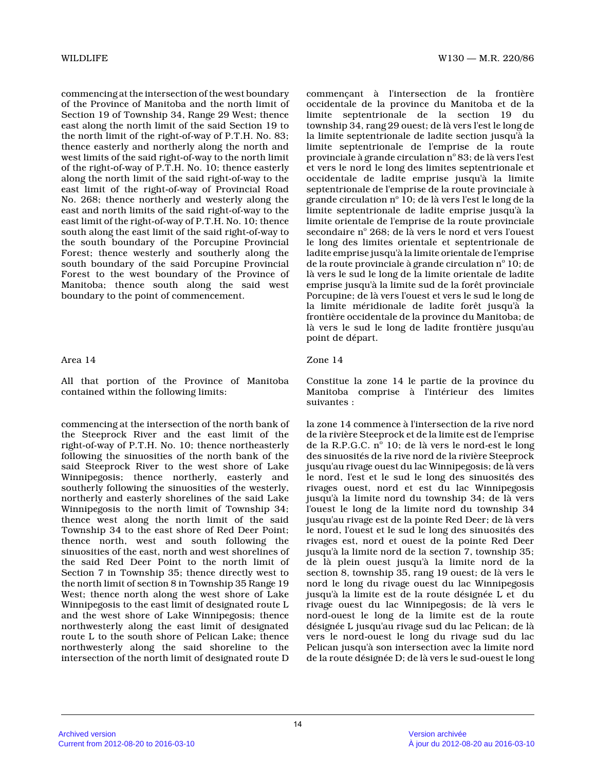commencing at the intersection of the west boundary of the Province of Manitoba and the north limit of Section 19 of Township 34, Range 29 West; thence east along the north limit of the said Section 19 t o the north limit of the right-of-way of P.T.H. No. 83; thence easterly and northerly along the north and west limits of the said right-of-way to the north limit of the right-of-way of P.T.H. No. 10; thence easterly along the north limit of the said right-of-way to the east limit of the right-of-way of Provincial Road No. 268; thence northerly and westerly along the east and north limits of the said right-of-way to the east limit of the right-of-way of P.T.H. No. 10; thence south along the east limit of the said right-of-way to the south boundary of the Porcupine Provincial Forest; thence westerly and southerly along the south boundary of the said Porcupine Provincial Forest to the west boundary of the Province of Manitoba; thence south along the said west boundary to the point of commencement.

# Area 14

All that portion of the Province of Manitoba contained within the following limits:

commencing at the intersection of the north bank of the Steeprock River and the east limit of the right-of-way of P.T.H. No. 10; thence northeasterly following the sinuosities of the north bank of the said Steeprock River to the west shore of Lake Winnipegosis; thence northerly, easterly and southerly following the sinuosities of the westerly , northerly and easterly shorelines of the said Lake Winnipegosis to the north limit of Township 34; thence west along the north limit of the said Township 34 to the east shore of Red Deer Point; thence north, west and south following the sinuosities of the east, north and west shorelines of the said Red Deer Point to the north limit of Section 7 in Township 35; thence directly west to the north limit of section 8 in Township 35 Range 1 9 West; thence north along the west shore of Lake Winnipegosis to the east limit of designated route L and the west shore of Lake Winnipegosis; thence northwesterly along the east limit of designated route L to the south shore of Pelican Lake; thence northwesterly along the said shoreline to the intersection of the north limit of designated route D

commençant à l'intersection de la frontière occidentale de la province du Manitoba et de la limite septentrionale de la section 19 du township 34, rang 29 ouest; de là vers l'est le long de la limite septentrionale de ladite section jusqu'à la limite septentrionale de l'emprise de la route provinciale à grande circulation  $\mathrm{n}^\circ\,83;$  de là vers l'est et vers le nord le long des limites septentrionale et occidentale de ladite emprise jusqu'à la limite septentrionale de l'emprise de la route provinciale à grande circulation nº 10; de là vers l'est le long de la limite septentrionale de ladite emprise jusqu'à la limite orientale de l'emprise de la route provinciale secondaire nº 268; de là vers le nord et vers l'ouest le long des limites orientale et septentrionale de ladite emprise jusqu'à la limite orientale de l'emprise de la route provinciale à grande circulation nº 10; de là vers le sud le long de la limite orientale de ladite emprise jusqu'à la limite sud de la forêt provinciale Porcupine; de là vers l'ouest et vers le sud le long de la limite méridionale de ladite forêt jusqu'à la frontière occidentale de la province du Manitoba; d e là vers le sud le long de ladite frontière jusqu'au point de départ.

# Zone 14

Constitue la zone 14 le partie de la province du Manitoba comprise à l'intérieur des limites suivantes :

la zone 14 commence à l'intersection de la rive nor d de la rivière Steeprock et de la limite est de l'emprise de la R.P.G.C. nº 10; de là vers le nord-est le long des sinuosités de la rive nord de la rivière Steeprock jusqu'au rivage ouest du lac Winnipegosis; de là vers le nord, l'est et le sud le long des sinuosités des rivages ouest, nord et est du lac Winnipegosis jusqu'à la limite nord du township 34; de là vers l'ouest le long de la limite nord du township 34 jusqu'au rivage est de la pointe Red Deer; de là vers le nord, l'ouest et le sud le long des sinuosités des rivages est, nord et ouest de la pointe Red Deer jusqu'à la limite nord de la section 7, township 35 ; de là plein ouest jusqu'à la limite nord de la section 8, township 35, rang 19 ouest; de là vers l e nord le long du rivage ouest du lac Winnipegosis jusqu'à la limite est de la route désignée L et du rivage ouest du lac Winnipegosis; de là vers le nord-ouest le long de la limite est de la route désignée L jusqu'au rivage sud du lac Pelican; de l à vers le nord-ouest le long du rivage sud du lac Pelican jusqu'à son intersection avec la limite nor d de la route désignée D; de là vers le sud-ouest le long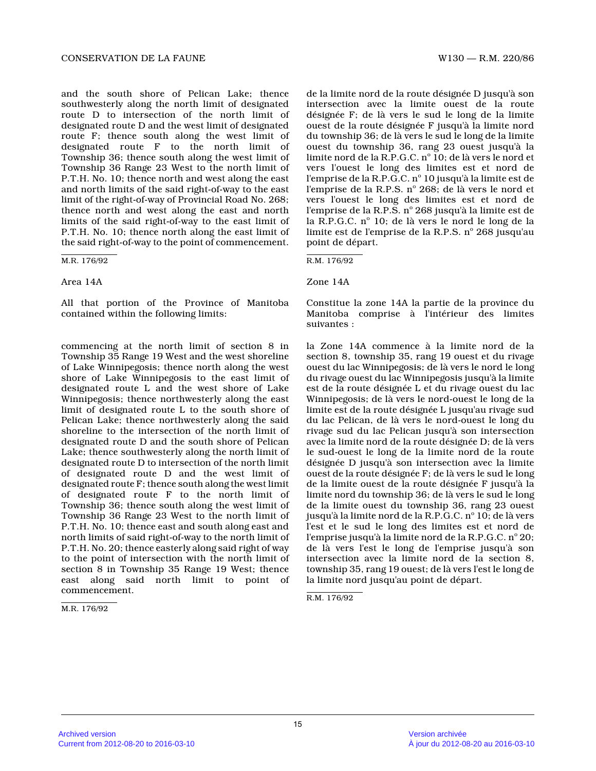and the south shore of Pelican Lake; thence southwesterly along the north limit of designated route D to intersection of the north limit of designated route D and the west limit of designated route F; thence south along the west limit of designated route F to the north limit of Township 36; thence south along the west limit of Township 36 Range 23 West to the north limit of P.T.H. No. 10; thence north and west along the east and north limits of the said right-of-way to the east limit of the right-of-way of Provincial Road No. 268; thence north and west along the east and north limits of the said right-of-way to the east limit o f P.T.H. No. 10; thence north along the east limit of the said right-of-way to the point of commencement.

M.R. 176/92

Area 14A

All that portion of the Province of Manitoba contained within the following limits:

commencing at the north limit of section 8 in Township 35 Range 19 West and the west shoreline of Lake Winnipegosis; thence north along the west shore of Lake Winnipegosis to the east limit of designated route L and the west shore of Lake Winnipegosis; thence northwesterly along the east limit of designated route L to the south shore of Pelican Lake; thence northwesterly along the said shoreline to the intersection of the north limit of designated route D and the south shore of Pelican Lake; thence southwesterly along the north limit of designated route D to intersection of the north limit of designated route D and the west limit of designated route F; thence south along the west limit of designated route F to the north limit of Township 36; thence south along the west limit of Township 36 Range 23 West to the north limit of P.T.H. No. 10; thence east and south along east and north limits of said right-of-way to the north limit of P.T.H. No. 20; thence easterly along said right of way to the point of intersection with the north limit o f section 8 in Township 35 Range 19 West; thence east along said north limit to point of commencement.

M.R. 176/92

de la limite nord de la route désignée D jusqu'à so n intersection avec la limite ouest de la route désignée F; de là vers le sud le long de la limite ouest de la route désignée F jusqu'à la limite nord du township 36; de là vers le sud le long de la limite ouest du township 36, rang 23 ouest jusqu'à la limite nord de la R.P.G.C.  $\text{n}^\circ$   $\text{I}$ 0; de là vers le nord et vers l'ouest le long des limites est et nord de l'emprise de la R.P.G.C. nº 10 jusqu'à la limite est de l'emprise de la R.P.S. nº 268; de là vers le nord et vers l'ouest le long des limites est et nord de l'emprise de la R.P.S. nº 268 jusqu'à la limite est de la R.P.G.C. nº 10; de là vers le nord le long de la limite est de l'emprise de la R.P.S. nº 268 jusqu'au point de départ.

R.M. 176/92

Zone 14A

Constitue la zone 14A la partie de la province du Manitoba comprise à l'intérieur des limites suivantes :

la Zone 14A commence à la limite nord de la section 8, township 35, rang 19 ouest et du rivage ouest du lac Winnipegosis; de là vers le nord le long du rivage ouest du lac Winnipegosis jusqu'à la limite est de la route désignée L et du rivage ouest du la c Winnipegosis; de là vers le nord-ouest le long de l a limite est de la route désignée L jusqu'au rivage sud du lac Pelican, de là vers le nord-ouest le long du rivage sud du lac Pelican jusqu'à son intersection avec la limite nord de la route désignée D; de là vers le sud-ouest le long de la limite nord de la route désignée D jusqu'à son intersection avec la limite ouest de la route désignée F; de là vers le sud le long de la limite ouest de la route désignée F jusqu'à l a limite nord du township 36; de là vers le sud le long de la limite ouest du township 36, rang 23 ouest jusqu'à la limite nord de la R.P.G.C. nº 10; de là vers l'est et le sud le long des limites est et nord de l'emprise jusqu'à la limite nord de la R.P.G.C. nº 20; de là vers l'est le long de l'emprise jusqu'à son intersection avec la limite nord de la section 8, township 35, rang 19 ouest; de là vers l'est le long de la limite nord jusqu'au point de départ.

R.M. 176/92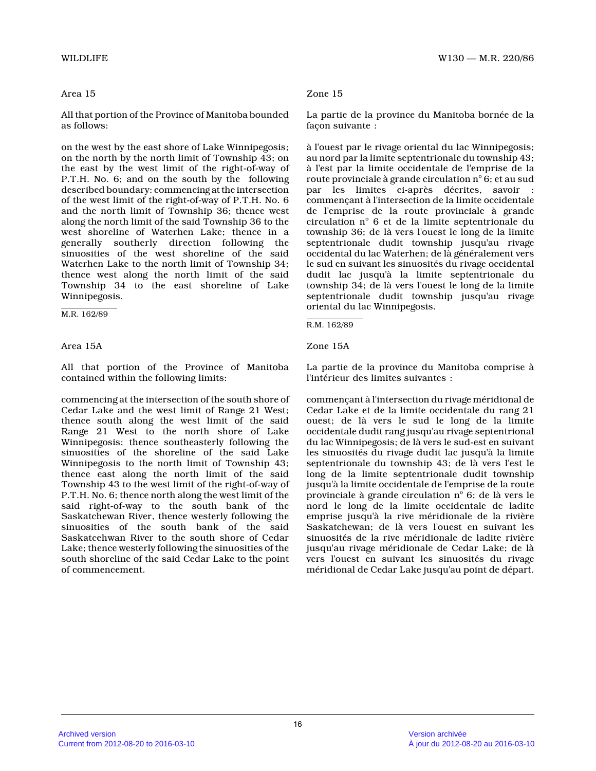# Area 15

All that portion of the Province of Manitoba bounde d as follows:

on the west by the east shore of Lake Winnipegosis; on the north by the north limit of Township 43; on the east by the west limit of the right-of-way of P.T.H. No. 6; and on the south by the following described boundary: commencing at the intersection of the west limit of the right-of-way of P.T.H. No. 6 and the north limit of Township 36; thence west along the north limit of the said Township 36 to th e west shoreline of Waterhen Lake; thence in a generally southerly direction following the sinuosities of the west shoreline of the said Waterhen Lake to the north limit of Township 34; thence west along the north limit of the said Township 34 to the east shoreline of Lake Winnipegosis.

M.R. 162/89

# Area 15A

All that portion of the Province of Manitoba contained within the following limits:

commencing at the intersection of the south shore o f Cedar Lake and the west limit of Range 21 West; thence south along the west limit of the said Range 21 West to the north shore of Lake Winnipegosis; thence southeasterly following the sinuosities of the shoreline of the said Lake Winnipegosis to the north limit of Township 43; thence east along the north limit of the said Township 43 to the west limit of the right-of-way o f P.T.H. No. 6; thence north along the west limit of the said right-of-way to the south bank of the Saskatchewan River, thence westerly following the sinuosities of the south bank of the said Saskatcehwan River to the south shore of Cedar Lake; thence westerly following the sinuosities of the south shoreline of the said Cedar Lake to the point of commencement.

# Zone 15

La partie de la province du Manitoba bornée de la façon suivante :

à l'ouest par le rivage oriental du lac Winnipegosis; au nord par la limite septentrionale du township 43 ; à l'est par la limite occidentale de l'emprise de l a route provinciale à grande circulation  $n^{\circ}$  6; et au sud par les limites ci-après décrites, savoir : commençant à l'intersection de la limite occidental e de l'emprise de la route provinciale à grande circulation nº 6 et de la limite septentrionale du township 36; de là vers l'ouest le long de la limit e septentrionale dudit township jusqu'au rivage occidental du lac Waterhen; de là généralement vers le sud en suivant les sinuosités du rivage occidental dudit lac jusqu'à la limite septentrionale du township 34; de là vers l'ouest le long de la limit e septentrionale dudit township jusqu'au rivage oriental du lac Winnipegosis.

Zone 15A

La partie de la province du Manitoba comprise à l'intérieur des limites suivantes :

commençant à l'intersection du rivage méridional de Cedar Lake et de la limite occidentale du rang 21 ouest; de là vers le sud le long de la limite occidentale dudit rang jusqu'au rivage septentriona l du lac Winnipegosis; de là vers le sud-est en suivant les sinuosités du rivage dudit lac jusqu'à la limit e septentrionale du township 43; de là vers l'est le long de la limite septentrionale dudit township jusqu'à la limite occidentale de l'emprise de la route provinciale à grande circulation nº 6; de là vers le nord le long de la limite occidentale de ladite emprise jusqu'à la rive méridionale de la rivière Saskatchewan; de là vers l'ouest en suivant les sinuosités de la rive méridionale de ladite rivière jusqu'au rivage méridionale de Cedar Lake; de là vers l'ouest en suivant les sinuosités du rivage méridional de Cedar Lake jusqu'au point de départ.

R.M. 162/89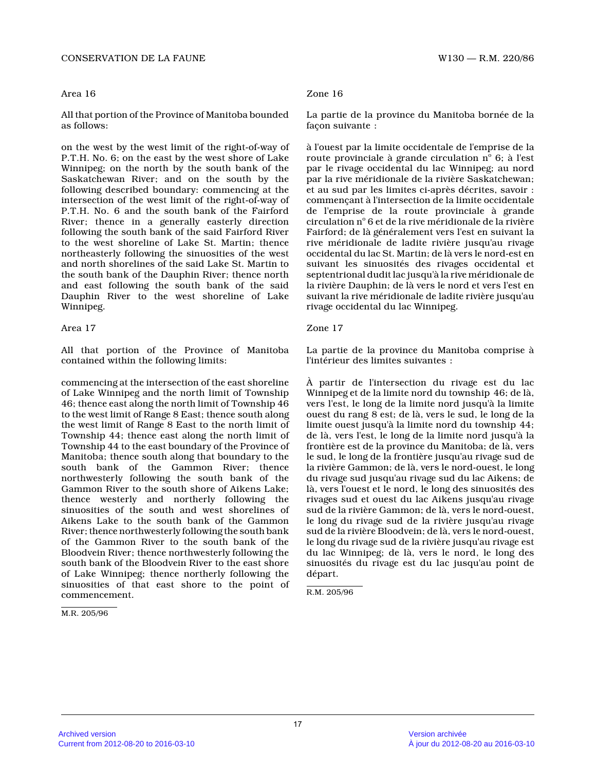## Area 16

All that portion of the Province of Manitoba bounde d as follows:

on the west by the west limit of the right-of-way o f P.T.H. No. 6; on the east by the west shore of Lake Winnipeg; on the north by the south bank of the Saskatchewan River; and on the south by the following described boundary: commencing at the intersection of the west limit of the right-of-way of P.T.H. No. 6 and the south bank of the Fairford River; thence in a generally easterly direction following the south bank of the said Fairford River to the west shoreline of Lake St. Martin; thence northeasterly following the sinuosities of the west and north shorelines of the said Lake St. Martin to the south bank of the Dauphin River; thence north and east following the south bank of the said Dauphin River to the west shoreline of Lake Winnipeg.

# Area 17 Zone 17

All that portion of the Province of Manitoba contained within the following limits:

commencing at the intersection of the east shorelin e of Lake Winnipeg and the north limit of Township 46; thence east along the north limit of Township 4 6 to the west limit of Range 8 East; thence south along the west limit of Range 8 East to the north limit o f Township 44; thence east along the north limit of Township 44 to the east boundary of the Province of Manitoba; thence south along that boundary to the south bank of the Gammon River; thence northwesterly following the south bank of the Gammon River to the south shore of Aikens Lake; thence westerly and northerly following the sinuosities of the south and west shorelines of Aikens Lake to the south bank of the Gammon River; thence northwesterly following the south ban k of the Gammon River to the south bank of the Bloodvein River; thence northwesterly following the south bank of the Bloodvein River to the east shore of Lake Winnipeg; thence northerly following the sinuosities of that east shore to the point of commencement.

M.R. 205/96

# Zone 16

La partie de la province du Manitoba bornée de la façon suivante :

à l'ouest par la limite occidentale de l'emprise de la route provinciale à grande circulation  $n^{\circ}$  6; à l'est par le rivage occidental du lac Winnipeg; au nord par la rive méridionale de la rivière Saskatchewan; et au sud par les limites ci-après décrites, savoir : commençant à l'intersection de la limite occidental e de l'emprise de la route provinciale à grande circulation n o 6 et de la rive méridionale de la rivière Fairford; de là généralement vers l'est en suivant la rive méridionale de ladite rivière jusqu'au rivage occidental du lac St. Martin; de là vers le nord-est en suivant les sinuosités des rivages occidental et septentrional dudit lac jusqu'à la rive méridionale de la rivière Dauphin; de là vers le nord et vers l'est en suivant la rive méridionale de ladite rivière jusqu'au rivage occidental du lac Winnipeg.

La partie de la province du Manitoba comprise à l'intérieur des limites suivantes :

À partir de l'intersection du rivage est du lac Winnipeg et de la limite nord du township 46; de là, vers l'est, le long de la limite nord jusqu'à la limite ouest du rang 8 est; de là, vers le sud, le long de la limite ouest jusqu'à la limite nord du township 44; de là, vers l'est, le long de la limite nord jusqu'à la frontière est de la province du Manitoba; de là, vers le sud, le long de la frontière jusqu'au rivage sud de la rivière Gammon; de là, vers le nord-ouest, le long du rivage sud jusqu'au rivage sud du lac Aikens; de là, vers l'ouest et le nord, le long des sinuosités des rivages sud et ouest du lac Aikens jusqu'au rivage sud de la rivière Gammon; de là, vers le nord-ouest , le long du rivage sud de la rivière jusqu'au rivage sud de la rivière Bloodvein; de là, vers le nord-ouest, le long du rivage sud de la rivière jusqu'au rivage est du lac Winnipeg; de là, vers le nord, le long des sinuosités du rivage est du lac jusqu'au point de départ.

R.M. 205/96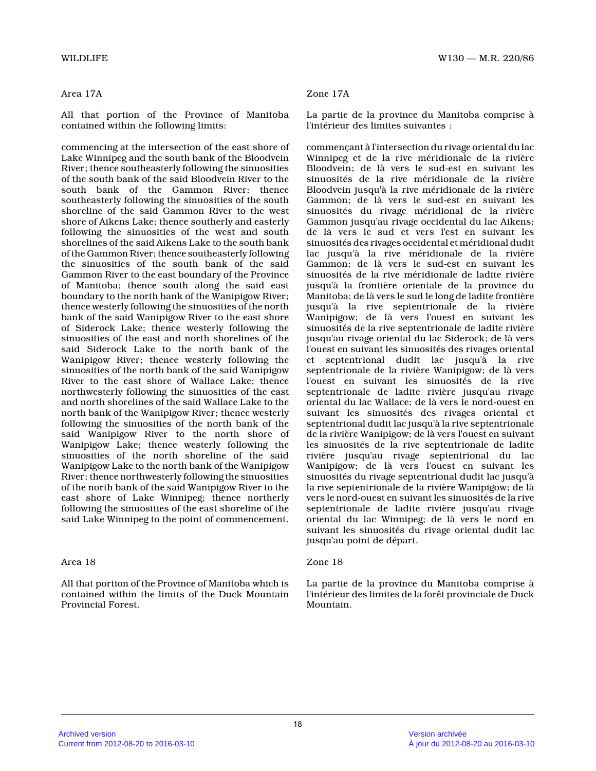# Area 17A

All that portion of the Province of Manitoba contained within the following limits:

commencing at the intersection of the east shore of Lake Winnipeg and the south bank of the Bloodvein River; thence southeasterly following the sinuosities of the south bank of the said Bloodvein River to th e south bank of the Gammon River; thence southeasterly following the sinuosities of the sout h shoreline of the said Gammon River to the west shore of Aikens Lake; thence southerly and easterly following the sinuosities of the west and south shorelines of the said Aikens Lake to the south ban k of the Gammon River; thence southeasterly following the sinuosities of the south bank of the said Gammon River to the east boundary of the Province of Manitoba; thence south along the said east boundary to the north bank of the Wanipigow River; thence westerly following the sinuosities of the north bank of the said Wanipigow River to the east shore of Siderock Lake; thence westerly following the sinuosities of the east and north shorelines of the said Siderock Lake to the north bank of the Wanipigow River; thence westerly following the sinuosities of the north bank of the said Wanipigow River to the east shore of Wallace Lake; thence northwesterly following the sinuosities of the east and north shorelines of the said Wallace Lake to th e north bank of the Wanipigow River; thence westerly following the sinuosities of the north bank of the said Wanipigow River to the north shore of Wanipigow Lake; thence westerly following the sinuosities of the north shoreline of the said Wanipigow Lake to the north bank of the Wanipigow River; thence northwesterly following the sinuosities of the north bank of the said Wanipigow River to th e east shore of Lake Winnipeg; thence northerly following the sinuosities of the east shoreline of the said Lake Winnipeg to the point of commencement.

# Area 18

All that portion of the Province of Manitoba which is contained within the limits of the Duck Mountain Provincial Forest.

# Zone 17A

La partie de la province du Manitoba comprise à l'intérieur des limites suivantes :

commençant à l'intersection du rivage oriental du lac Winnipeg et de la rive méridionale de la rivière Bloodvein; de là vers le sud-est en suivant les sinuosités de la rive méridionale de la rivière Bloodvein jusqu'à la rive méridionale de la rivière Gammon; de là vers le sud-est en suivant les sinuosités du rivage méridional de la rivière Gammon jusqu'au rivage occidental du lac Aikens; de là vers le sud et vers l'est en suivant les sinuosités des rivages occidental et méridional dudi t lac jusqu'à la rive méridionale de la rivière Gammon; de là vers le sud-est en suivant les sinuosités de la rive méridionale de ladite rivière jusqu'à la frontière orientale de la province du Manitoba; de là vers le sud le long de ladite frontière jusqu'à la rive septentrionale de la rivière Wanipigow; de là vers l'ouest en suivant les sinuosités de la rive septentrionale de ladite rivière jusqu'au rivage oriental du lac Siderock; de là ver s l'ouest en suivant les sinuosités des rivages oriental et septentrional dudit lac jusqu'à la rive septentrionale de la rivière Wanipigow; de là vers l'ouest en suivant les sinuosités de la rive septentrionale de ladite rivière jusqu'au rivage oriental du lac Wallace; de là vers le nord-ouest e n suivant les sinuosités des rivages oriental et septentrional dudit lac jusqu'à la rive septentrionale de la rivière Wanipigow; de là vers l'ouest en suivant les sinuosités de la rive septentrionale de ladite rivière jusqu'au rivage septentrional du lac Wanipigow; de là vers l'ouest en suivant les sinuosités du rivage septentrional dudit lac jusqu' à la rive septentrionale de la rivière Wanipigow; de là vers le nord-ouest en suivant les sinuosités de la rive septentrionale de ladite rivière jusqu'au rivage oriental du lac Winnipeg; de là vers le nord en suivant les sinuosités du rivage oriental dudit lac jusqu'au point de départ.

## Zone 18

La partie de la province du Manitoba comprise à l'intérieur des limites de la forêt provinciale de Duck Mountain.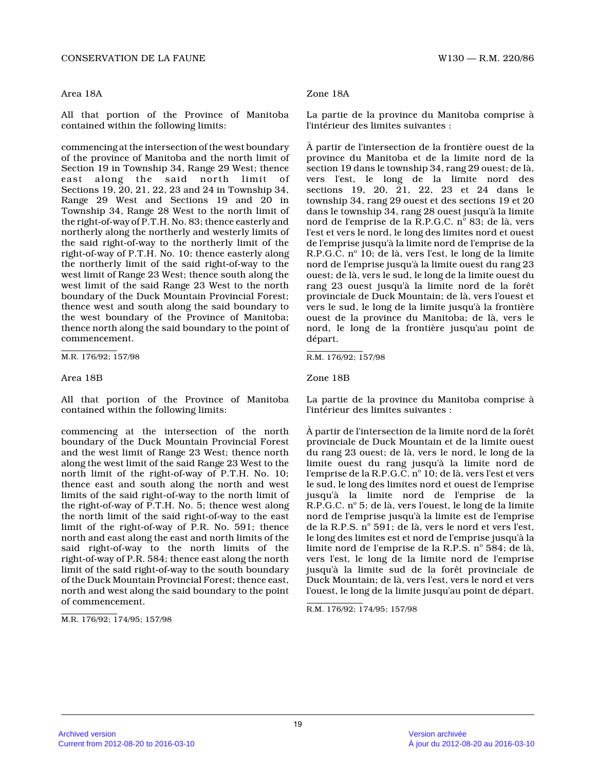#### Area 18A

All that portion of the Province of Manitoba contained within the following limits:

commencing at the intersection of the west boundary of the province of Manitoba and the north limit of Section 19 in Township 34, Range 29 West; thence east along the said north limit of Sections 19, 20, 21, 22, 23 and 24 in Township 34, Range 29 West and Sections 19 and 20 in Township 34, Range 28 West to the north limit of the right-of-way of P.T.H. No. 83; thence easterly and northerly along the northerly and westerly limits o f the said right-of-way to the northerly limit of the right-of-way of P.T.H. No. 10; thence easterly alon g the northerly limit of the said right-of-way to the west limit of Range 23 West; thence south along the west limit of the said Range 23 West to the north boundary of the Duck Mountain Provincial Forest; thence west and south along the said boundary to the west boundary of the Province of Manitoba; thence north along the said boundary to the point o f commencement.

M.R. 176/92; 157/98

#### Area 18B

All that portion of the Province of Manitoba contained within the following limits:

commencing at the intersection of the north boundary of the Duck Mountain Provincial Forest and the west limit of Range 23 West; thence north along the west limit of the said Range 23 West to the north limit of the right-of-way of P.T.H. No. 10; thence east and south along the north and west limits of the said right-of-way to the north limit of the right-of-way of P.T.H. No. 5; thence west along the north limit of the said right-of-way to the eas t limit of the right-of-way of P.R. No. 591; thence north and east along the east and north limits of the said right-of-way to the north limits of the right-of-way of P.R. 584; thence east along the north limit of the said right-of-way to the south boundar y of the Duck Mountain Provincial Forest; thence east , north and west along the said boundary to the point of commencement.

M.R. 176/92; 174/95; 157/98

### Zone 18A

La partie de la province du Manitoba comprise à l'intérieur des limites suivantes :

À partir de l'intersection de la frontière ouest de la province du Manitoba et de la limite nord de la section 19 dans le township 34, rang 29 ouest; de là, vers l'est, le long de la limite nord des sections 19, 20, 21, 22, 23 et 24 dans le township 34, rang 29 ouest et des sections 19 et 20 dans le township 34, rang 28 ouest jusqu'à la limit e nord de l'emprise de la R.P.G.C. nº 83; de là, vers l'est et vers le nord, le long des limites nord et ouest de l'emprise jusqu'à la limite nord de l'emprise de la R.P.G.C. nº 10; de là, vers l'est, le long de la limite nord de l'emprise jusqu'à la limite ouest du rang 2 3 ouest; de là, vers le sud, le long de la limite ouest du rang 23 ouest jusqu'à la limite nord de la forêt provinciale de Duck Mountain; de là, vers l'ouest e t vers le sud, le long de la limite jusqu'à la frontière ouest de la province du Manitoba; de là, vers le nord, le long de la frontière jusqu'au point de départ.

R.M. 176/92; 157/98

Zone 18B

La partie de la province du Manitoba comprise à l'intérieur des limites suivantes :

À partir de l'intersection de la limite nord de la forêt provinciale de Duck Mountain et de la limite ouest du rang 23 ouest; de là, vers le nord, le long de l a limite ouest du rang jusqu'à la limite nord de l'emprise de la R.P.G.C.  $\text{n}^\circ$  10; de là, vers l'est et vers le sud, le long des limites nord et ouest de l'emprise jusqu'à la limite nord de l'emprise de la R.P.G.C. nº 5; de là, vers l'ouest, le long de la limite nord de l'emprise jusqu'à la limite est de l'empris e de la R.P.S. nº 591; de là, vers le nord et vers l'est, le long des limites est et nord de l'emprise jusqu'à la limite nord de l'emprise de la R.P.S. nº 584; de là, vers l'est, le long de la limite nord de l'emprise jusqu'à la limite sud de la forêt provinciale de Duck Mountain; de là, vers l'est, vers le nord et vers l'ouest, le long de la limite jusqu'au point de départ.

R.M. 176/92; 174/95; 157/98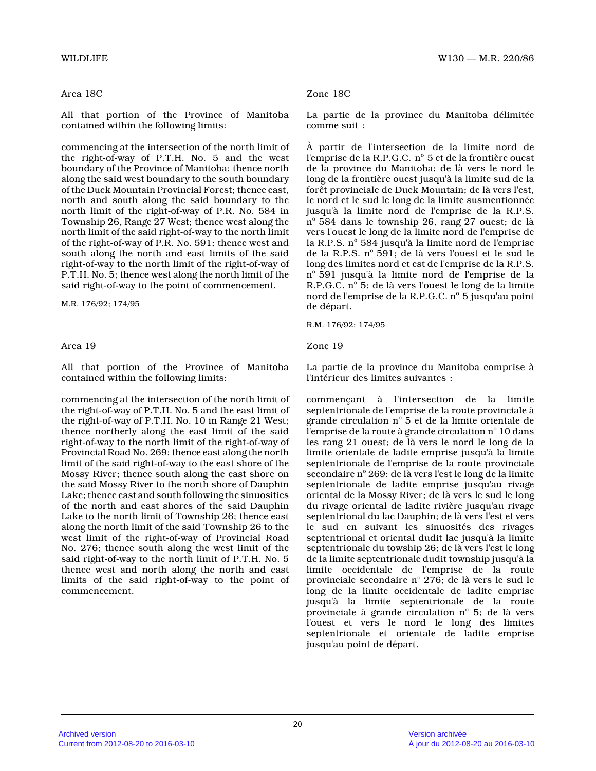# Area 18C

All that portion of the Province of Manitoba contained within the following limits:

commencing at the intersection of the north limit o f the right-of-way of P.T.H. No. 5 and the west boundary of the Province of Manitoba; thence north along the said west boundary to the south boundary of the Duck Mountain Provincial Forest; thence east , north and south along the said boundary to the north limit of the right-of-way of P.R. No. 584 in Township 26, Range 27 West; thence west along the north limit of the said right-of-way to the north limit of the right-of-way of P.R. No. 591; thence west an d south along the north and east limits of the said right-of-way to the north limit of the right-of-way of P.T.H. No. 5; thence west along the north limit of the said right-of-way to the point of commencement.

M.R. 176/92; 174/95

### Area 19

All that portion of the Province of Manitoba contained within the following limits:

commencing at the intersection of the north limit o f the right-of-way of P.T.H. No. 5 and the east limit of the right-of-way of P.T.H. No. 10 in Range 21 West; thence northerly along the east limit of the said right-of-way to the north limit of the right-of-way of Provincial Road No. 269; thence east along the nort h limit of the said right-of-way to the east shore of the Mossy River; thence south along the east shore on the said Mossy River to the north shore of Dauphin Lake; thence east and south following the sinuosities of the north and east shores of the said Dauphin Lake to the north limit of Township 26; thence east along the north limit of the said Township 26 to th e west limit of the right-of-way of Provincial Road No. 276; thence south along the west limit of the said right-of-way to the north limit of P.T.H. No. 5 thence west and north along the north and east limits of the said right-of-way to the point of commencement.

#### Zone 18C

La partie de la province du Manitoba délimitée comme suit :

À partir de l'intersection de la limite nord de l'emprise de la R.P.G.C. nº 5 et de la frontière ouest de la province du Manitoba; de là vers le nord le long de la frontière ouest jusqu'à la limite sud de la forêt provinciale de Duck Mountain; de là vers l'est, le nord et le sud le long de la limite susmentionnée jusqu'à la limite nord de l'emprise de la R.P.S.  $n^{\circ}$  584 dans le township 26, rang 27 ouest; de là vers l'ouest le long de la limite nord de l'emprise de la R.P.S. nº 584 jusqu'à la limite nord de l'emprise de la R.P.S. nº 591; de là vers l'ouest et le sud le long des limites nord et est de l'emprise de la R.P.S. nº 591 jusqu'à la limite nord de l'emprise de la R.P.G.C. n° 5; de là vers l'ouest le long de la limite nord de l'emprise de la R.P.G.C. n° 5 jusqu'au point de départ.

Zone 19

La partie de la province du Manitoba comprise à l'intérieur des limites suivantes :

commençant à l'intersection de la limite septentrionale de l'emprise de la route provinciale à grande circulation  $\mathrm{n}^\circ$  5 et de la limite orientale de l'emprise de la route à grande circulation n $^{\rm o}$  10 dans les rang 21 ouest; de là vers le nord le long de la limite orientale de ladite emprise jusqu'à la limit e septentrionale de l'emprise de la route provinciale secondaire nº 269; de là vers l'est le long de la limite septentrionale de ladite emprise jusqu'au rivage oriental de la Mossy River; de là vers le sud le long du rivage oriental de ladite rivière jusqu'au rivag e septentrional du lac Dauphin; de là vers l'est et vers le sud en suivant les sinuosités des rivages septentrional et oriental dudit lac jusqu'à la limite septentrionale du towship 26; de là vers l'est le long de la limite septentrionale dudit township jusqu'à la limite occidentale de l'emprise de la route provinciale secondaire nº 276; de là vers le sud le long de la limite occidentale de ladite emprise jusqu'à la limite septentrionale de la route provinciale à grande circulation  $n^{\circ}$  5; de là vers l'ouest et vers le nord le long des limites septentrionale et orientale de ladite emprise jusqu'au point de départ.

R.M. 176/92; 174/95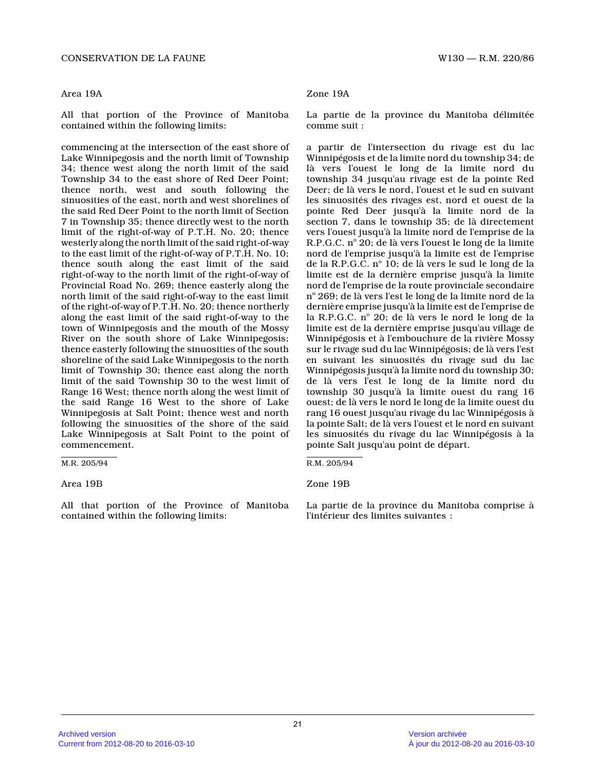## Area 19A

All that portion of the Province of Manitoba contained within the following limits:

commencing at the intersection of the east shore of Lake Winnipegosis and the north limit of Township 34; thence west along the north limit of the said Township 34 to the east shore of Red Deer Point; thence north, west and south following the sinuosities of the east, north and west shorelines of the said Red Deer Point to the north limit of Section 7 in Township 35; thence directly west to the north limit of the right-of-way of P.T.H. No. 20; thence westerly along the north limit of the said right-of-way to the east limit of the right-of-way of P.T.H. No. 10; thence south along the east limit of the said right-of-way to the north limit of the right-of-way of Provincial Road No. 269; thence easterly along the north limit of the said right-of-way to the east limit of the right-of-way of P.T.H. No. 20; thence northerly along the east limit of the said right-of-way to th e town of Winnipegosis and the mouth of the Mossy River on the south shore of Lake Winnipegosis; thence easterly following the sinuosities of the south shoreline of the said Lake Winnipegosis to the nort h limit of Township 30; thence east along the north limit of the said Township 30 to the west limit of Range 16 West; thence north along the west limit of the said Range 16 West to the shore of Lake Winnipegosis at Salt Point; thence west and north following the sinuosities of the shore of the said Lake Winnipegosis at Salt Point to the point of commencement.

#### Area 19B

All that portion of the Province of Manitoba contained within the following limits:

### Zone 19A

La partie de la province du Manitoba délimitée comme suit :

a partir de l'intersection du rivage est du lac Winnipégosis et de la limite nord du township 34; d e là vers l'ouest le long de la limite nord du township 34 jusqu'au rivage est de la pointe Red Deer; de là vers le nord, l'ouest et le sud en suivant les sinuosités des rivages est, nord et ouest de la pointe Red Deer jusqu'à la limite nord de la section 7, dans le township 35; de là directement vers l'ouest jusqu'à la limite nord de l'emprise de la R.P.G.C. nº 20; de là vers l'ouest le long de la limite nord de l'emprise jusqu'à la limite est de l'empris e de la R.P.G.C. nº 10; de là vers le sud le long de la limite est de la dernière emprise jusqu'à la limite nord de l'emprise de la route provinciale secondair e n° 269; de là vers l'est le long de la limite nord de la dernière emprise jusqu'à la limite est de l'emprise de la R.P.G.C. nº 20; de là vers le nord le long de la limite est de la dernière emprise jusqu'au village de Winnipégosis et à l'embouchure de la rivière Mossy sur le rivage sud du lac Winnipégosis; de là vers l'est en suivant les sinuosités du rivage sud du lac Winnipégosis jusqu'à la limite nord du township 30; de là vers l'est le long de la limite nord du township 30 jusqu'à la limite ouest du rang 16 ouest; de là vers le nord le long de la limite ouest du rang 16 ouest jusqu'au rivage du lac Winnipégosis à la pointe Salt; de là vers l'ouest et le nord en suivant les sinuosités du rivage du lac Winnipégosis à la pointe Salt jusqu'au point de départ.

#### Zone 19B

La partie de la province du Manitoba comprise à l'intérieur des limites suivantes :

M.R. 205/94

R.M. 205/94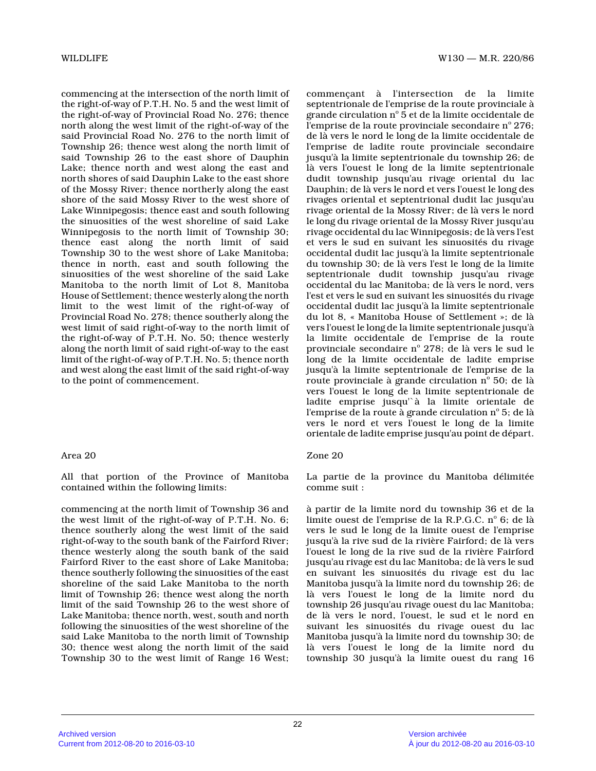commencing at the intersection of the north limit o f the right-of-way of P.T.H. No. 5 and the west limit of the right-of-way of Provincial Road No. 276; thence north along the west limit of the right-of-way of the said Provincial Road No. 276 to the north limit of Township 26; thence west along the north limit of said Township 26 to the east shore of Dauphin Lake; thence north and west along the east and north shores of said Dauphin Lake to the east shore of the Mossy River; thence northerly along the east shore of the said Mossy River to the west shore of Lake Winnipegosis; thence east and south following the sinuosities of the west shoreline of said Lake Winnipegosis to the north limit of Township 30; thence east along the north limit of said Township 30 to the west shore of Lake Manitoba; thence in north, east and south following the sinuosities of the west shoreline of the said Lake Manitoba to the north limit of Lot 8, Manitoba House of Settlement; thence westerly along the nort h limit to the west limit of the right-of-way of Provincial Road No. 278; thence southerly along the west limit of said right-of-way to the north limit of the right-of-way of P.T.H. No. 50; thence westerly along the north limit of said right-of-way to the east limit of the right-of-way of P.T.H. No. 5; thence north and west along the east limit of the said right-of-way to the point of commencement.

# Area 20

All that portion of the Province of Manitoba contained within the following limits:

commencing at the north limit of Township 36 and the west limit of the right-of-way of P.T.H. No. 6; thence southerly along the west limit of the said right-of-way to the south bank of the Fairford River; thence westerly along the south bank of the said Fairford River to the east shore of Lake Manitoba; thence southerly following the sinuosities of the east shoreline of the said Lake Manitoba to the north limit of Township 26; thence west along the north limit of the said Township 26 to the west shore of Lake Manitoba; thence north, west, south and north following the sinuosities of the west shoreline of the said Lake Manitoba to the north limit of Township 30; thence west along the north limit of the said Township 30 to the west limit of Range 16 West;

commençant à l'intersection de la limite septentrionale de l'emprise de la route provinciale à grande circulation  $\mathrm{n}^\mathrm{o}$  5 et de la limite occidentale de l'emprise de la route provinciale secondaire n° 276; de là vers le nord le long de la limite occidentale de l'emprise de ladite route provinciale secondaire jusqu'à la limite septentrionale du township 26; de là vers l'ouest le long de la limite septentrionale dudit township jusqu'au rivage oriental du lac Dauphin; de là vers le nord et vers l'ouest le long des rivages oriental et septentrional dudit lac jusqu'a u rivage oriental de la Mossy River; de là vers le nord le long du rivage oriental de la Mossy River jusqu'au rivage occidental du lac Winnipegosis; de là vers l'est et vers le sud en suivant les sinuosités du rivage occidental dudit lac jusqu'à la limite septentrionale du township 30; de là vers l'est le long de la limite septentrionale dudit township jusqu'au rivage occidental du lac Manitoba; de là vers le nord, ver s l'est et vers le sud en suivant les sinuosités du rivage occidental dudit lac jusqu'à la limite septentrionale du lot 8, « Manitoba House of Settlement »; de là vers l'ouest le long de la limite septentrionale jusqu'à la limite occidentale de l'emprise de la route provinciale secondaire nº 278; de là vers le sud le long de la limite occidentale de ladite emprise jusqu'à la limite septentrionale de l'emprise de la route provinciale à grande circulation  $n^{\circ}$  50; de là vers l'ouest le long de la limite septentrionale de ladite emprise jusqu'`à la limite orientale de l'emprise de la route à grande circulation n $^{\rm o}$  5; de là vers le nord et vers l'ouest le long de la limite orientale de ladite emprise jusqu'au point de départ.

### Zone 20

La partie de la province du Manitoba délimitée comme suit :

à partir de la limite nord du township 36 et de la limite ouest de l'emprise de la R.P.G.C. nº 6; de là vers le sud le long de la limite ouest de l'emprise jusqu'à la rive sud de la rivière Fairford; de là vers l'ouest le long de la rive sud de la rivière Fairford jusqu'au rivage est du lac Manitoba; de là vers le sud en suivant les sinuosités du rivage est du lac Manitoba jusqu'à la limite nord du township 26; de là vers l'ouest le long de la limite nord du township 26 jusqu'au rivage ouest du lac Manitoba; de là vers le nord, l'ouest, le sud et le nord en suivant les sinuosités du rivage ouest du lac Manitoba jusqu'à la limite nord du township 30; de là vers l'ouest le long de la limite nord du township 30 jusqu'à la limite ouest du rang 16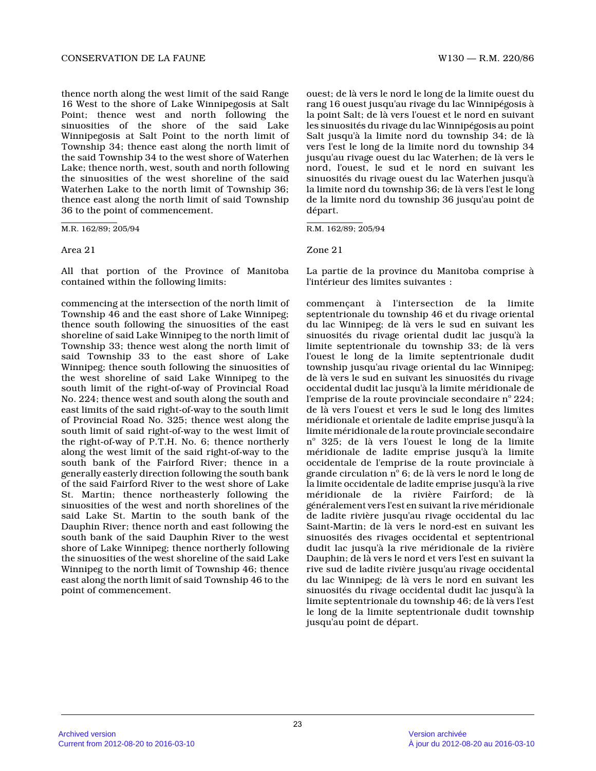thence north along the west limit of the said Range 16 West to the shore of Lake Winnipegosis at Salt Point; thence west and north following the sinuosities of the shore of the said Lake Winnipegosis at Salt Point to the north limit of Township 34; thence east along the north limit of the said Township 34 to the west shore of Waterhen Lake; thence north, west, south and north following the sinuosities of the west shoreline of the said Waterhen Lake to the north limit of Township 36; thence east along the north limit of said Township 36 to the point of commencement.

M.R. 162/89; 205/94

Area 21

All that portion of the Province of Manitoba contained within the following limits:

commencing at the intersection of the north limit o f Township 46 and the east shore of Lake Winnipeg; thence south following the sinuosities of the east shoreline of said Lake Winnipeg to the north limit of Township 33; thence west along the north limit of said Township 33 to the east shore of Lake Winnipeg; thence south following the sinuosities of the west shoreline of said Lake Winnipeg to the south limit of the right-of-way of Provincial Road No. 224; thence west and south along the south and east limits of the said right-of-way to the south limit of Provincial Road No. 325; thence west along the south limit of said right-of-way to the west limit of the right-of-way of P.T.H. No. 6; thence northerly along the west limit of the said right-of-way to th e south bank of the Fairford River; thence in a generally easterly direction following the south bank of the said Fairford River to the west shore of Lak e St. Martin; thence northeasterly following the sinuosities of the west and north shorelines of the said Lake St. Martin to the south bank of the Dauphin River; thence north and east following the south bank of the said Dauphin River to the west shore of Lake Winnipeg; thence northerly following the sinuosities of the west shoreline of the said Lake Winnipeg to the north limit of Township 46; thence east along the north limit of said Township 46 to the point of commencement.

ouest; de là vers le nord le long de la limite ouest du rang 16 ouest jusqu'au rivage du lac Winnipégosis à la point Salt; de là vers l'ouest et le nord en suivant les sinuosités du rivage du lac Winnipégosis au point Salt jusqu'à la limite nord du township 34; de là vers l'est le long de la limite nord du township 34 jusqu'au rivage ouest du lac Waterhen; de là vers l e nord, l'ouest, le sud et le nord en suivant les sinuosités du rivage ouest du lac Waterhen jusqu'à la limite nord du township 36; de là vers l'est le long de la limite nord du township 36 jusqu'au point de départ.

R.M. 162/89; 205/94

Zone 21

La partie de la province du Manitoba comprise à l'intérieur des limites suivantes :

commençant à l'intersection de la limite septentrionale du township 46 et du rivage oriental du lac Winnipeg; de là vers le sud en suivant les sinuosités du rivage oriental dudit lac jusqu'à la limite septentrionale du township 33; de là vers l'ouest le long de la limite septentrionale dudit township jusqu'au rivage oriental du lac Winnipeg; de là vers le sud en suivant les sinuosités du rivage occidental dudit lac jusqu'à la limite méridionale de l'emprise de la route provinciale secondaire nº 224; de là vers l'ouest et vers le sud le long des limites méridionale et orientale de ladite emprise jusqu'à la limite méridionale de la route provinciale secondair e nº 325; de là vers l'ouest le long de la limite méridionale de ladite emprise jusqu'à la limite occidentale de l'emprise de la route provinciale à grande circulation  $\mathrm{n}^{\circ}$  6; de là vers le nord le long de la limite occidentale de ladite emprise jusqu'à la rive méridionale de la rivière Fairford; de là généralement vers l'est en suivant la rive méridionale de ladite rivière jusqu'au rivage occidental du lac Saint-Martin; de là vers le nord-est en suivant les sinuosités des rivages occidental et septentrional dudit lac jusqu'à la rive méridionale de la rivière Dauphin; de là vers le nord et vers l'est en suivant la rive sud de ladite rivière jusqu'au rivage occidental du lac Winnipeg; de là vers le nord en suivant les sinuosités du rivage occidental dudit lac jusqu'à l a limite septentrionale du township 46; de là vers l'est le long de la limite septentrionale dudit township jusqu'au point de départ.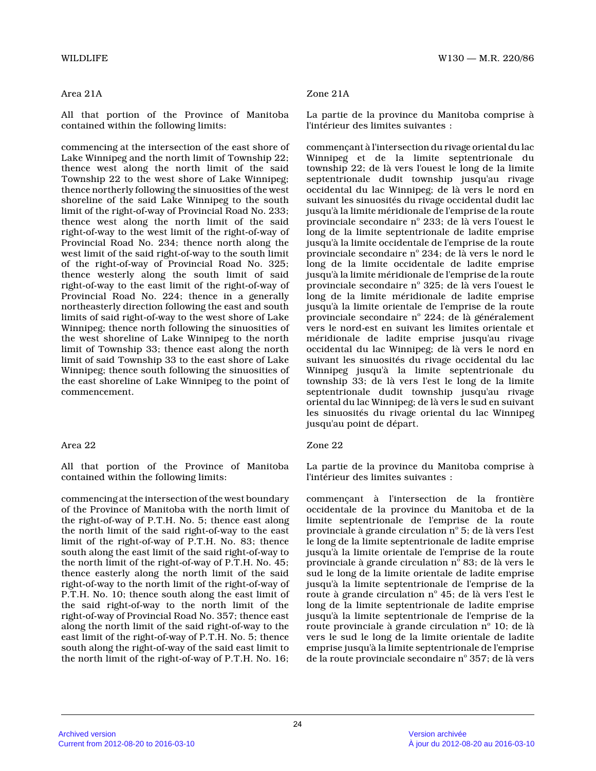# Area 21A

All that portion of the Province of Manitoba contained within the following limits:

commencing at the intersection of the east shore of Lake Winnipeg and the north limit of Township 22; thence west along the north limit of the said Township 22 to the west shore of Lake Winnipeg; thence northerly following the sinuosities of the west shoreline of the said Lake Winnipeg to the south limit of the right-of-way of Provincial Road No. 233; thence west along the north limit of the said right-of-way to the west limit of the right-of-way of Provincial Road No. 234; thence north along the west limit of the said right-of-way to the south limit of the right-of-way of Provincial Road No. 325; thence westerly along the south limit of said right-of-way to the east limit of the right-of-way of Provincial Road No. 224; thence in a generally northeasterly direction following the east and sout h limits of said right-of-way to the west shore of Lake Winnipeg; thence north following the sinuosities of the west shoreline of Lake Winnipeg to the north limit of Township 33; thence east along the north limit of said Township 33 to the east shore of Lake Winnipeg; thence south following the sinuosities of the east shoreline of Lake Winnipeg to the point of commencement.

## Area 22

All that portion of the Province of Manitoba contained within the following limits:

commencing at the intersection of the west boundary of the Province of Manitoba with the north limit of the right-of-way of P.T.H. No. 5; thence east along the north limit of the said right-of-way to the eas t limit of the right-of-way of P.T.H. No. 83; thence south along the east limit of the said right-of-way to the north limit of the right-of-way of P.T.H. No. 45; thence easterly along the north limit of the said right-of-way to the north limit of the right-of-way of P.T.H. No. 10; thence south along the east limit of the said right-of-way to the north limit of the right-of-way of Provincial Road No. 357; thence eas t along the north limit of the said right-of-way to the east limit of the right-of-way of P.T.H. No. 5; thence south along the right-of-way of the said east limit to the north limit of the right-of-way of P.T.H. No. 16;

# Zone 21A

La partie de la province du Manitoba comprise à l'intérieur des limites suivantes :

commençant à l'intersection du rivage oriental du lac Winnipeg et de la limite septentrionale du township 22; de là vers l'ouest le long de la limit e septentrionale dudit township jusqu'au rivage occidental du lac Winnipeg; de là vers le nord en suivant les sinuosités du rivage occidental dudit lac jusqu'à la limite méridionale de l'emprise de la route provinciale secondaire nº 233; de là vers l'ouest le long de la limite septentrionale de ladite emprise jusqu'à la limite occidentale de l'emprise de la route provinciale secondaire nº 234; de là vers le nord le long de la limite occidentale de ladite emprise jusqu'à la limite méridionale de l'emprise de la route provinciale secondaire nº 325; de là vers l'ouest le long de la limite méridionale de ladite emprise jusqu'à la limite orientale de l'emprise de la rout e provinciale secondaire nº 224; de là généralement vers le nord-est en suivant les limites orientale e t méridionale de ladite emprise jusqu'au rivage occidental du lac Winnipeg; de là vers le nord en suivant les sinuosités du rivage occidental du lac Winnipeg jusqu'à la limite septentrionale du township 33; de là vers l'est le long de la limite septentrionale dudit township jusqu'au rivage oriental du lac Winnipeg; de là vers le sud en suivant les sinuosités du rivage oriental du lac Winnipeg jusqu'au point de départ.

# Zone 22

La partie de la province du Manitoba comprise à l'intérieur des limites suivantes :

commençant à l'intersection de la frontière occidentale de la province du Manitoba et de la limite septentrionale de l'emprise de la route provinciale à grande circulation n° 5; de là vers l'est le long de la limite septentrionale de ladite emprise jusqu'à la limite orientale de l'emprise de la rout e provinciale à grande circulation nº 83; de là vers le sud le long de la limite orientale de ladite empris e jusqu'à la limite septentrionale de l'emprise de la route à grande circulation n° 45; de là vers l'est le long de la limite septentrionale de ladite emprise jusqu'à la limite septentrionale de l'emprise de la route provinciale à grande circulation nº 10; de là vers le sud le long de la limite orientale de ladit e emprise jusqu'à la limite septentrionale de l'emprise de la route provinciale secondaire nº 357; de là vers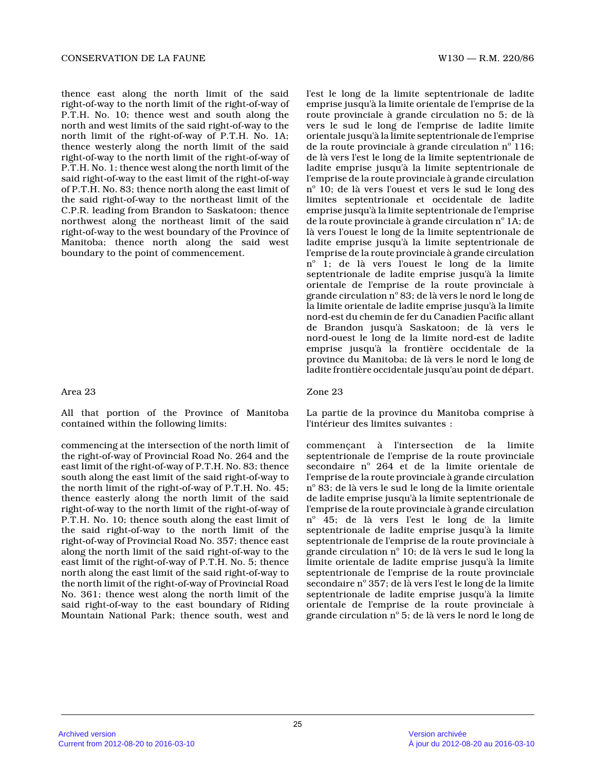thence east along the north limit of the said right-of-way to the north limit of the right-of-way of P.T.H. No. 10; thence west and south along the north and west limits of the said right-of-way to the north limit of the right-of-way of P.T.H. No. 1A; thence westerly along the north limit of the said right-of-way to the north limit of the right-of-way of P.T.H. No. 1; thence west along the north limit of the said right-of-way to the east limit of the right-of-way of P.T.H. No. 83; thence north along the east limit of the said right-of-way to the northeast limit of the C.P.R. leading from Brandon to Saskatoon; thence northwest along the northeast limit of the said right-of-way to the west boundary of the Province o f Manitoba; thence north along the said west boundary to the point of commencement.

# Area 23

All that portion of the Province of Manitoba contained within the following limits:

commencing at the intersection of the north limit o f the right-of-way of Provincial Road No. 264 and the east limit of the right-of-way of P.T.H. No. 83; thence south along the east limit of the said right-of-way to the north limit of the right-of-way of P.T.H. No. 45; thence easterly along the north limit of the said right-of-way to the north limit of the right-of-way of P.T.H. No. 10; thence south along the east limit of the said right-of-way to the north limit of the right-of-way of Provincial Road No. 357; thence eas t along the north limit of the said right-of-way to the east limit of the right-of-way of P.T.H. No. 5; thence north along the east limit of the said right-of-way to the north limit of the right-of-way of Provincial Road No. 361; thence west along the north limit of the said right-of-way to the east boundary of Riding Mountain National Park; thence south, west and

l'est le long de la limite septentrionale de ladite emprise jusqu'à la limite orientale de l'emprise de la route provinciale à grande circulation no 5; de là vers le sud le long de l'emprise de ladite limite orientale jusqu'à la limite septentrionale de l'emprise de la route provinciale à grande circulation  $n^{\circ}$  116; de là vers l'est le long de la limite septentrionale de ladite emprise jusqu'à la limite septentrionale de l'emprise de la route provinciale à grande circulation nº 10; de là vers l'ouest et vers le sud le long des limites septentrionale et occidentale de ladite emprise jusqu'à la limite septentrionale de l'emprise de la route provinciale à grande circulation  $\mathrm{n}^\circ$  1A; de là vers l'ouest le long de la limite septentrionale de ladite emprise jusqu'à la limite septentrionale de l'emprise de la route provinciale à grande circulation nº 1; de là vers l'ouest le long de la limite septentrionale de ladite emprise jusqu'à la limite orientale de l'emprise de la route provinciale à grande circulation n° 83; de là vers le nord le long de la limite orientale de ladite emprise jusqu'à la limite nord-est du chemin de fer du Canadien Pacific allan t de Brandon jusqu'à Saskatoon; de là vers le nord-ouest le long de la limite nord-est de ladite emprise jusqu'à la frontière occidentale de la province du Manitoba; de là vers le nord le long de ladite frontière occidentale jusqu'au point de départ.

### Zone 23

La partie de la province du Manitoba comprise à l'intérieur des limites suivantes :

commençant à l'intersection de la limite septentrionale de l'emprise de la route provinciale secondaire nº 264 et de la limite orientale de l'emprise de la route provinciale à grande circulation nº 83; de là vers le sud le long de la limite orientale de ladite emprise jusqu'à la limite septentrionale de l'emprise de la route provinciale à grande circulation nº 45; de là vers l'est le long de la limite septentrionale de ladite emprise jusqu'à la limite septentrionale de l'emprise de la route provinciale à grande circulation n° 10; de là vers le sud le long la limite orientale de ladite emprise jusqu'à la limit e septentrionale de l'emprise de la route provinciale secondaire nº 357; de là vers l'est le long de la limite septentrionale de ladite emprise jusqu'à la limite orientale de l'emprise de la route provinciale à grande circulation nº 5; de là vers le nord le long de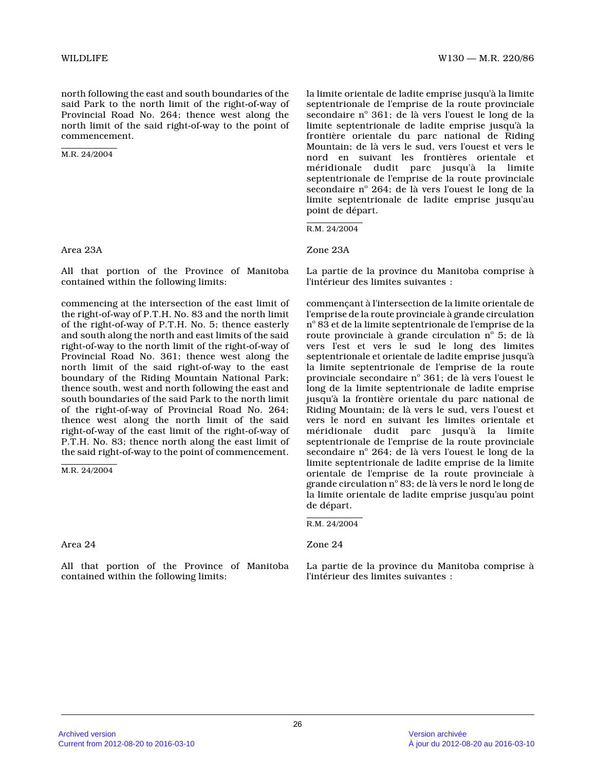north following the east and south boundaries of th e said Park to the north limit of the right-of-way of Provincial Road No. 264; thence west along the north limit of the said right-of-way to the point o f commencement.

M.R. 24/2004

Area 23A

All that portion of the Province of Manitoba contained within the following limits:

commencing at the intersection of the east limit of the right-of-way of P.T.H. No. 83 and the north limit of the right-of-way of P.T.H. No. 5; thence easterl y and south along the north and east limits of the said right-of-way to the north limit of the right-of-way of Provincial Road No. 361; thence west along the north limit of the said right-of-way to the east boundary of the Riding Mountain National Park; thence south, west and north following the east and south boundaries of the said Park to the north limi t of the right-of-way of Provincial Road No. 264; thence west along the north limit of the said right-of-way of the east limit of the right-of-way of P.T.H. No. 83; thence north along the east limit of the said right-of-way to the point of commencement.

M.R. 24/2004

Area 24

All that portion of the Province of Manitoba contained within the following limits:

la limite orientale de ladite emprise jusqu'à la limite septentrionale de l'emprise de la route provinciale secondaire nº 361; de là vers l'ouest le long de la limite septentrionale de ladite emprise jusqu'à la frontière orientale du parc national de Riding Mountain; de là vers le sud, vers l'ouest et vers l e nord en suivant les frontières orientale et méridionale dudit parc jusqu'à la limite septentrionale de l'emprise de la route provinciale secondaire nº 264; de là vers l'ouest le long de la limite septentrionale de ladite emprise jusqu'au point de départ.

R.M. 24/2004

Zone 23A

La partie de la province du Manitoba comprise à l'intérieur des limites suivantes :

commençant à l'intersection de la limite orientale de l'emprise de la route provinciale à grande circulation n° 83 et de la limite septentrionale de l'emprise de la route provinciale à grande circulation  $\mathrm{n}^\circ$  5; de là vers l'est et vers le sud le long des limites septentrionale et orientale de ladite emprise jusqu'à la limite septentrionale de l'emprise de la route provinciale secondaire nº 361; de là vers l'ouest le long de la limite septentrionale de ladite emprise jusqu'à la frontière orientale du parc national de Riding Mountain; de là vers le sud, vers l'ouest et vers le nord en suivant les limites orientale et méridionale dudit parc jusqu'à la limite septentrionale de l'emprise de la route provinciale secondaire nº 264; de là vers l'ouest le long de la limite septentrionale de ladite emprise de la limit e orientale de l'emprise de la route provinciale à grande circulation  $n^{\circ}$  83; de là vers le nord le long de la limite orientale de ladite emprise jusqu'au poin t de départ.

Zone 24

La partie de la province du Manitoba comprise à l'intérieur des limites suivantes :

R.M. 24/2004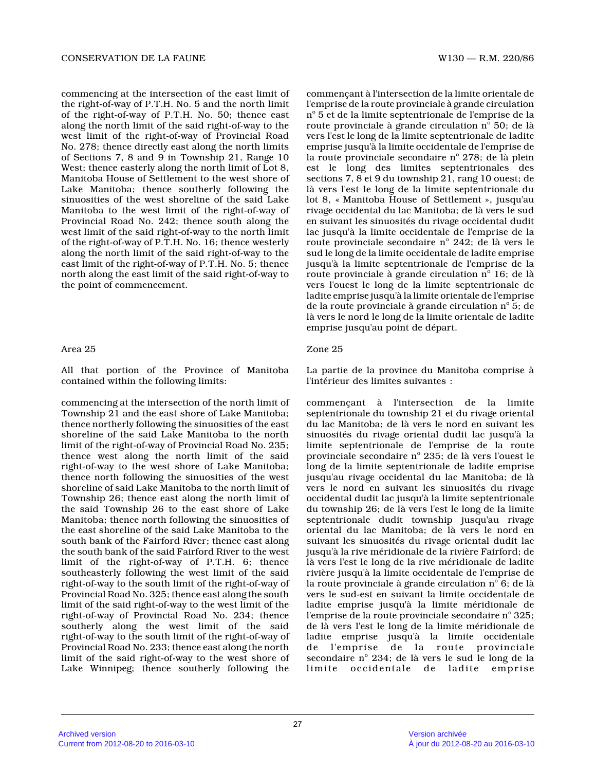commencing at the intersection of the east limit of the right-of-way of P.T.H. No. 5 and the north limi t of the right-of-way of P.T.H. No. 50; thence east along the north limit of the said right-of-way to the west limit of the right-of-way of Provincial Road No. 278; thence directly east along the north limit s of Sections 7, 8 and 9 in Township 21, Range 10 West; thence easterly along the north limit of Lot 8, Manitoba House of Settlement to the west shore of Lake Manitoba; thence southerly following the sinuosities of the west shoreline of the said Lake Manitoba to the west limit of the right-of-way of Provincial Road No. 242; thence south along the west limit of the said right-of-way to the north limit of the right-of-way of P.T.H. No. 16; thence westerly along the north limit of the said right-of-way to the east limit of the right-of-way of P.T.H. No. 5; thence north along the east limit of the said right-of-way to the point of commencement.

### Area 25

All that portion of the Province of Manitoba contained within the following limits:

commencing at the intersection of the north limit o f Township 21 and the east shore of Lake Manitoba; thence northerly following the sinuosities of the east shoreline of the said Lake Manitoba to the north limit of the right-of-way of Provincial Road No. 235; thence west along the north limit of the said right-of-way to the west shore of Lake Manitoba; thence north following the sinuosities of the west shoreline of said Lake Manitoba to the north limit of Township 26; thence east along the north limit of the said Township 26 to the east shore of Lake Manitoba; thence north following the sinuosities of the east shoreline of the said Lake Manitoba to the south bank of the Fairford River; thence east along the south bank of the said Fairford River to the west limit of the right-of-way of P.T.H. 6; thence southeasterly following the west limit of the said right-of-way to the south limit of the right-of-way of Provincial Road No. 325; thence east along the sout h limit of the said right-of-way to the west limit of the right-of-way of Provincial Road No. 234; thence southerly along the west limit of the said right-of-way to the south limit of the right-of-way of Provincial Road No. 233; thence east along the nort h limit of the said right-of-way to the west shore of Lake Winnipeg; thence southerly following the

commençant à l'intersection de la limite orientale de l'emprise de la route provinciale à grande circulation  $\rm n^o$  5 et de la limite septentrionale de l'emprise de la route provinciale à grande circulation  $\mathrm{n}^\circ$  50; de là vers l'est le long de la limite septentrionale de ladite emprise jusqu'à la limite occidentale de l'emprise de la route provinciale secondaire n $^{\rm o}$  278; de là plein est le long des limites septentrionales des sections 7, 8 et 9 du township 21, rang 10 ouest; d e là vers l'est le long de la limite septentrionale d u lot 8, « Manitoba House of Settlement », jusqu'au rivage occidental du lac Manitoba; de là vers le su d en suivant les sinuosités du rivage occidental dudi t lac jusqu'à la limite occidentale de l'emprise de l a route provinciale secondaire n $^{\circ}$  242; de là vers le sud le long de la limite occidentale de ladite emprise jusqu'à la limite septentrionale de l'emprise de la route provinciale à grande circulation nº 16; de là vers l'ouest le long de la limite septentrionale de ladite emprise jusqu'à la limite orientale de l'emprise de la route provinciale à grande circulation nº 5; de là vers le nord le long de la limite orientale de ladite emprise jusqu'au point de départ.

### Zone 25

La partie de la province du Manitoba comprise à l'intérieur des limites suivantes :

commençant à l'intersection de la limite septentrionale du township 21 et du rivage oriental du lac Manitoba; de là vers le nord en suivant les sinuosités du rivage oriental dudit lac jusqu'à la limite septentrionale de l'emprise de la route provinciale secondaire nº 235; de là vers l'ouest le long de la limite septentrionale de ladite emprise jusqu'au rivage occidental du lac Manitoba; de là vers le nord en suivant les sinuosités du rivage occidental dudit lac jusqu'à la limite septentrionale du township 26; de là vers l'est le long de la limite septentrionale dudit township jusqu'au rivage oriental du lac Manitoba; de là vers le nord en suivant les sinuosités du rivage oriental dudit lac jusqu'à la rive méridionale de la rivière Fairford; de là vers l'est le long de la rive méridionale de ladite rivière jusqu'à la limite occidentale de l'emprise de la route provinciale à grande circulation  $n^{\circ}$  6; de là vers le sud-est en suivant la limite occidentale de ladite emprise jusqu'à la limite méridionale de l'emprise de la route provinciale secondaire n° 325; de là vers l'est le long de la limite méridionale d e ladite emprise jusqu'à la limite occidentale de l'emprise de la route provinciale secondaire nº 234; de là vers le sud le long de la limite occidentale de ladite emprise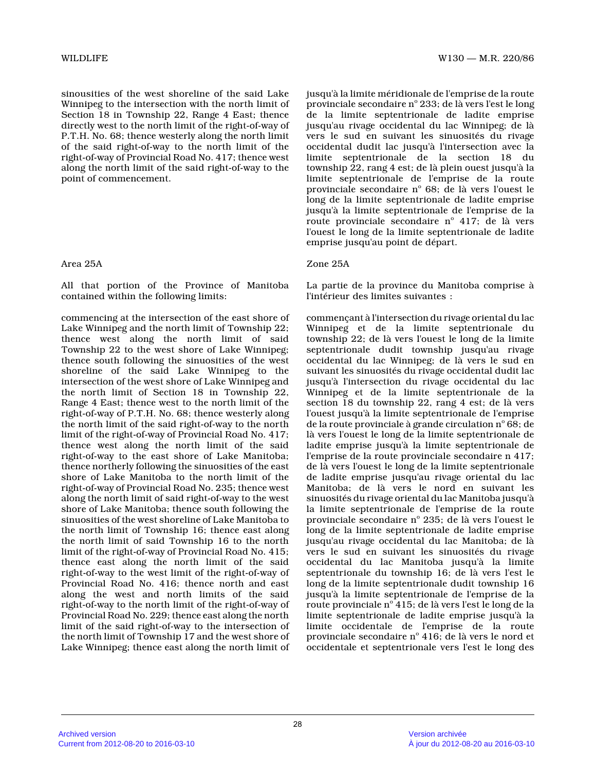sinousities of the west shoreline of the said Lake Winnipeg to the intersection with the north limit o f Section 18 in Township 22, Range 4 East; thence directly west to the north limit of the right-of-way of P.T.H. No. 68; thence westerly along the north limi t of the said right-of-way to the north limit of the right-of-way of Provincial Road No. 417; thence wes t along the north limit of the said right-of-way to the point of commencement.

# Area 25A

All that portion of the Province of Manitoba contained within the following limits:

commencing at the intersection of the east shore of Lake Winnipeg and the north limit of Township 22; thence west along the north limit of said Township 22 to the west shore of Lake Winnipeg; thence south following the sinuosities of the west shoreline of the said Lake Winnipeg to the intersection of the west shore of Lake Winnipeg and the north limit of Section 18 in Township 22, Range 4 East; thence west to the north limit of the right-of-way of P.T.H. No. 68; thence westerly alon g the north limit of the said right-of-way to the north limit of the right-of-way of Provincial Road No. 417; thence west along the north limit of the said right-of-way to the east shore of Lake Manitoba; thence northerly following the sinuosities of the east shore of Lake Manitoba to the north limit of the right-of-way of Provincial Road No. 235; thence wes t along the north limit of said right-of-way to the west shore of Lake Manitoba; thence south following the sinuosities of the west shoreline of Lake Manitoba to the north limit of Township 16; thence east along the north limit of said Township 16 to the north limit of the right-of-way of Provincial Road No. 415; thence east along the north limit of the said right-of-way to the west limit of the right-of-way of Provincial Road No. 416; thence north and east along the west and north limits of the said right-of-way to the north limit of the right-of-way of Provincial Road No. 229; thence east along the nort h limit of the said right-of-way to the intersection of the north limit of Township 17 and the west shore o f Lake Winnipeg; thence east along the north limit of jusqu'à la limite méridionale de l'emprise de la route provinciale secondaire nº 233; de là vers l'est le long de la limite septentrionale de ladite emprise jusqu'au rivage occidental du lac Winnipeg; de là vers le sud en suivant les sinuosités du rivage occidental dudit lac jusqu'à l'intersection avec la limite septentrionale de la section 18 du township 22, rang 4 est; de là plein ouest jusqu'à la limite septentrionale de l'emprise de la route provinciale secondaire nº 68; de là vers l'ouest le long de la limite septentrionale de ladite emprise jusqu'à la limite septentrionale de l'emprise de la route provinciale secondaire nº 417; de là vers l'ouest le long de la limite septentrionale de ladite emprise jusqu'au point de départ.

# Zone 25A

La partie de la province du Manitoba comprise à l'intérieur des limites suivantes :

commençant à l'intersection du rivage oriental du lac Winnipeg et de la limite septentrionale du township 22; de là vers l'ouest le long de la limit e septentrionale dudit township jusqu'au rivage occidental du lac Winnipeg; de là vers le sud en suivant les sinuosités du rivage occidental dudit lac jusqu'à l'intersection du rivage occidental du lac Winnipeg et de la limite septentrionale de la section 18 du township 22, rang 4 est; de là vers l'ouest jusqu'à la limite septentrionale de l'emprise de la route provinciale à grande circulation  $\mathrm{n}^\circ$  68; de là vers l'ouest le long de la limite septentrionale de ladite emprise jusqu'à la limite septentrionale de l'emprise de la route provinciale secondaire n 417; de là vers l'ouest le long de la limite septentrionale de ladite emprise jusqu'au rivage oriental du lac Manitoba; de là vers le nord en suivant les sinuosités du rivage oriental du lac Manitoba jusqu'à la limite septentrionale de l'emprise de la route provinciale secondaire nº 235; de là vers l'ouest le long de la limite septentrionale de ladite emprise jusqu'au rivage occidental du lac Manitoba; de là vers le sud en suivant les sinuosités du rivage occidental du lac Manitoba jusqu'à la limite septentrionale du township 16; de là vers l'est le long de la limite septentrionale dudit township 16 jusqu'à la limite septentrionale de l'emprise de la route provinciale nº 415; de là vers l'est le long de la limite septentrionale de ladite emprise jusqu'à la limite occidentale de l'emprise de la route provinciale secondaire nº 416; de là vers le nord et occidentale et septentrionale vers l'est le long de s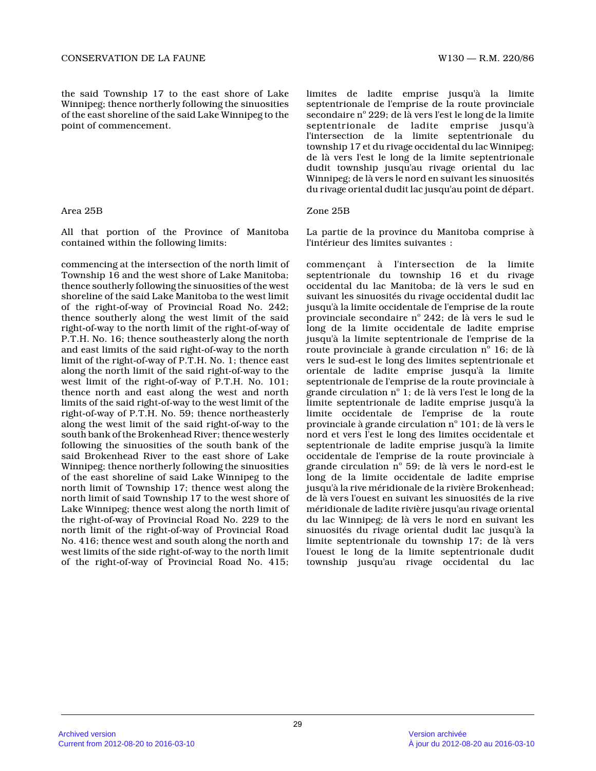the said Township 17 to the east shore of Lake Winnipeg; thence northerly following the sinuositie s of the east shoreline of the said Lake Winnipeg to the point of commencement.

### Area 25B

All that portion of the Province of Manitoba contained within the following limits:

commencing at the intersection of the north limit o f Township 16 and the west shore of Lake Manitoba; thence southerly following the sinuosities of the west shoreline of the said Lake Manitoba to the west limit of the right-of-way of Provincial Road No. 242; thence southerly along the west limit of the said right-of-way to the north limit of the right-of-way of P.T.H. No. 16; thence southeasterly along the north and east limits of the said right-of-way to the north limit of the right-of-way of P.T.H. No. 1; thence east along the north limit of the said right-of-way to the west limit of the right-of-way of P.T.H. No. 101; thence north and east along the west and north limits of the said right-of-way to the west limit of the right-of-way of P.T.H. No. 59; thence northeasterly along the west limit of the said right-of-way to th e south bank of the Brokenhead River; thence westerly following the sinuosities of the south bank of the said Brokenhead River to the east shore of Lake Winnipeg; thence northerly following the sinuositie s of the east shoreline of said Lake Winnipeg to the north limit of Township 17; thence west along the north limit of said Township 17 to the west shore o f Lake Winnipeg; thence west along the north limit of the right-of-way of Provincial Road No. 229 to the north limit of the right-of-way of Provincial Road No. 416; thence west and south along the north and west limits of the side right-of-way to the north limit of the right-of-way of Provincial Road No. 415;

limites de ladite emprise jusqu'à la limite septentrionale de l'emprise de la route provinciale secondaire nº 229; de là vers l'est le long de la limite septentrionale de ladite emprise jusqu'à l'intersection de la limite septentrionale du township 17 et du rivage occidental du lac Winnipeg ; de là vers l'est le long de la limite septentrional e dudit township jusqu'au rivage oriental du lac Winnipeg; de là vers le nord en suivant les sinuosités du rivage oriental dudit lac jusqu'au point de départ.

### Zone 25B

La partie de la province du Manitoba comprise à l'intérieur des limites suivantes :

commençant à l'intersection de la limite septentrionale du township 16 et du rivage occidental du lac Manitoba; de là vers le sud en suivant les sinuosités du rivage occidental dudit lac jusqu'à la limite occidentale de l'emprise de la route provinciale secondaire nº 242; de là vers le sud le long de la limite occidentale de ladite emprise jusqu'à la limite septentrionale de l'emprise de la route provinciale à grande circulation  $\boldsymbol{\mathrm{n}}^{\text{o}}$  16; de là vers le sud-est le long des limites septentrionale et orientale de ladite emprise jusqu'à la limite septentrionale de l'emprise de la route provinciale à grande circulation nº 1; de là vers l'est le long de la limite septentrionale de ladite emprise jusqu'à la limite occidentale de l'emprise de la route provinciale à grande circulation  $\mathrm{n}^\circ$  101; de là vers le nord et vers l'est le long des limites occidentale et septentrionale de ladite emprise jusqu'à la limite occidentale de l'emprise de la route provinciale à grande circulation nº 59; de là vers le nord-est le long de la limite occidentale de ladite emprise jusqu'à la rive méridionale de la rivière Brokenhead; de là vers l'ouest en suivant les sinuosités de la rive méridionale de ladite rivière jusqu'au rivage oriental du lac Winnipeg; de là vers le nord en suivant les sinuosités du rivage oriental dudit lac jusqu'à la limite septentrionale du township 17; de là vers l'ouest le long de la limite septentrionale dudit township jusqu'au rivage occidental du lac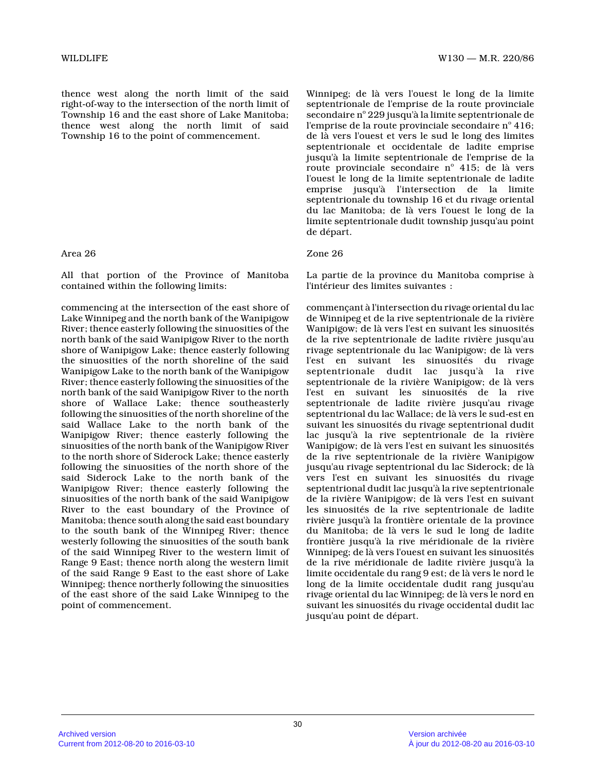thence west along the north limit of the said right-of-way to the intersection of the north limit of Township 16 and the east shore of Lake Manitoba; thence west along the north limit of said Township 16 to the point of commencement.

### Area 26 Zone 26

All that portion of the Province of Manitoba contained within the following limits:

commencing at the intersection of the east shore of Lake Winnipeg and the north bank of the Wanipigow River; thence easterly following the sinuosities of the north bank of the said Wanipigow River to the north shore of Wanipigow Lake; thence easterly following the sinuosities of the north shoreline of the said Wanipigow Lake to the north bank of the Wanipigow River; thence easterly following the sinuosities of the north bank of the said Wanipigow River to the north shore of Wallace Lake; thence southeasterly following the sinuosities of the north shoreline of the said Wallace Lake to the north bank of the Wanipigow River; thence easterly following the sinuosities of the north bank of the Wanipigow Rive r to the north shore of Siderock Lake; thence easterl y following the sinuosities of the north shore of the said Siderock Lake to the north bank of the Wanipigow River; thence easterly following the sinuosities of the north bank of the said Wanipigow River to the east boundary of the Province of Manitoba; thence south along the said east boundary to the south bank of the Winnipeg River; thence westerly following the sinuosities of the south ban k of the said Winnipeg River to the western limit of Range 9 East; thence north along the western limit of the said Range 9 East to the east shore of Lake Winnipeg; thence northerly following the sinuositie s of the east shore of the said Lake Winnipeg to the point of commencement.

Winnipeg; de là vers l'ouest le long de la limite septentrionale de l'emprise de la route provinciale secondaire nº 229 jusqu'à la limite septentrionale de l'emprise de la route provinciale secondaire n° 416; de là vers l'ouest et vers le sud le long des limites septentrionale et occidentale de ladite emprise jusqu'à la limite septentrionale de l'emprise de la route provinciale secondaire nº 415; de là vers l'ouest le long de la limite septentrionale de ladite emprise jusqu'à l'intersection de la limite septentrionale du township 16 et du rivage oriental du lac Manitoba; de là vers l'ouest le long de la limite septentrionale dudit township jusqu'au point de départ.

La partie de la province du Manitoba comprise à l'intérieur des limites suivantes :

commençant à l'intersection du rivage oriental du lac de Winnipeg et de la rive septentrionale de la rivière Wanipigow; de là vers l'est en suivant les sinuosités de la rive septentrionale de ladite rivière jusqu'a u rivage septentrionale du lac Wanipigow; de là vers l'est en suivant les sinuosités du rivage septentrionale dudit lac jusqu'à la rive septentrionale de la rivière Wanipigow; de là vers l'est en suivant les sinuosités de la rive septentrionale de ladite rivière jusqu'au rivage septentrional du lac Wallace; de là vers le sud-est en suivant les sinuosités du rivage septentrional dudi t lac jusqu'à la rive septentrionale de la rivière Wanipigow; de là vers l'est en suivant les sinuosités de la rive septentrionale de la rivière Wanipigow jusqu'au rivage septentrional du lac Siderock; de l à vers l'est en suivant les sinuosités du rivage septentrional dudit lac jusqu'à la rive septentrionale de la rivière Wanipigow; de là vers l'est en suivan t les sinuosités de la rive septentrionale de ladite rivière jusqu'à la frontière orientale de la province du Manitoba; de là vers le sud le long de ladite frontière jusqu'à la rive méridionale de la rivière Winnipeg; de là vers l'ouest en suivant les sinuosités de la rive méridionale de ladite rivière jusqu'à la limite occidentale du rang 9 est; de là vers le nord le long de la limite occidentale dudit rang jusqu'au rivage oriental du lac Winnipeg; de là vers le nord en suivant les sinuosités du rivage occidental dudit lac jusqu'au point de départ.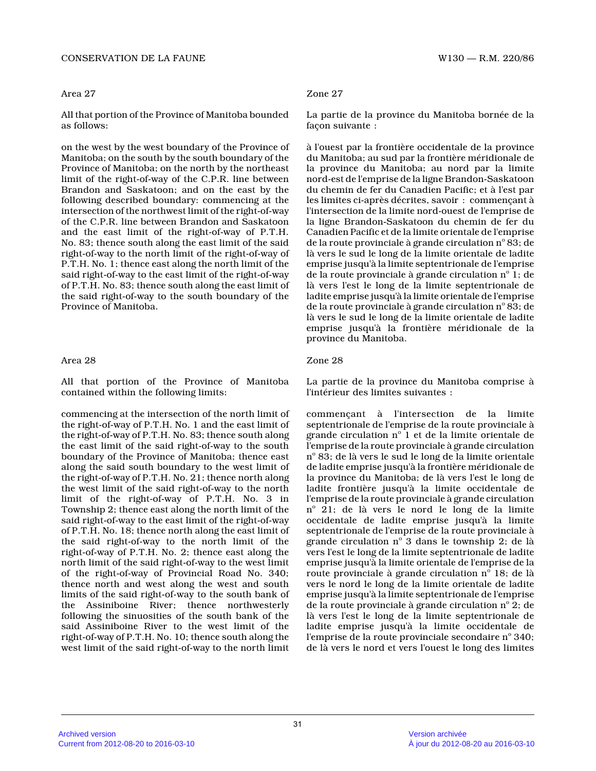### CONSERVATION DE LA FAUNE W130 — R.M. 220/86

#### Area 27

All that portion of the Province of Manitoba bounde d as follows:

on the west by the west boundary of the Province of Manitoba; on the south by the south boundary of the Province of Manitoba; on the north by the northeast limit of the right-of-way of the C.P.R. line betwee n Brandon and Saskatoon; and on the east by the following described boundary: commencing at the intersection of the northwest limit of the right-of-way of the C.P.R. line between Brandon and Saskatoon and the east limit of the right-of-way of P.T.H. No. 83; thence south along the east limit of the said right-of-way to the north limit of the right-of-way of P.T.H. No. 1; thence east along the north limit of the said right-of-way to the east limit of the right-of-way of P.T.H. No. 83; thence south along the east limit of the said right-of-way to the south boundary of the Province of Manitoba.

#### Area 28

All that portion of the Province of Manitoba contained within the following limits:

commencing at the intersection of the north limit o f the right-of-way of P.T.H. No. 1 and the east limit of the right-of-way of P.T.H. No. 83; thence south along the east limit of the said right-of-way to the sout h boundary of the Province of Manitoba; thence east along the said south boundary to the west limit of the right-of-way of P.T.H. No. 21; thence north along the west limit of the said right-of-way to the nort h limit of the right-of-way of P.T.H. No. 3 in Township 2; thence east along the north limit of th e said right-of-way to the east limit of the right-of-way of P.T.H. No. 18; thence north along the east limit of the said right-of-way to the north limit of the right-of-way of P.T.H. No. 2; thence east along the north limit of the said right-of-way to the west limit of the right-of-way of Provincial Road No. 340; thence north and west along the west and south limits of the said right-of-way to the south bank o f the Assiniboine River; thence northwesterly following the sinuosities of the south bank of the said Assiniboine River to the west limit of the right-of-way of P.T.H. No. 10; thence south along the west limit of the said right-of-way to the north limit

# Zone 27

La partie de la province du Manitoba bornée de la façon suivante :

à l'ouest par la frontière occidentale de la province du Manitoba; au sud par la frontière méridionale de la province du Manitoba; au nord par la limite nord-est de l'emprise de la ligne Brandon-Saskatoon du chemin de fer du Canadien Pacific; et à l'est pa r les limites ci-après décrites, savoir : commençant à l'intersection de la limite nord-ouest de l'emprise de la ligne Brandon-Saskatoon du chemin de fer du Canadien Pacific et de la limite orientale de l'emprise de la route provinciale à grande circulation nº 83; de là vers le sud le long de la limite orientale de ladite emprise jusqu'à la limite septentrionale de l'emprise de la route provinciale à grande circulation  $\mathrm{n}^\circ$  1; de là vers l'est le long de la limite septentrionale d e ladite emprise jusqu'à la limite orientale de l'emprise de la route provinciale à grande circulation n° 83; de là vers le sud le long de la limite orientale de ladite emprise jusqu'à la frontière méridionale de la province du Manitoba.

### Zone 28

La partie de la province du Manitoba comprise à l'intérieur des limites suivantes :

commençant à l'intersection de la limite septentrionale de l'emprise de la route provinciale à grande circulation  $\text{n}^{\circ}$  1 et de la limite orientale de l'emprise de la route provinciale à grande circulation nº 83; de là vers le sud le long de la limite orientale de ladite emprise jusqu'à la frontière méridionale de la province du Manitoba; de là vers l'est le long d e ladite frontière jusqu'à la limite occidentale de l'emprise de la route provinciale à grande circulation nº 21; de là vers le nord le long de la limite occidentale de ladite emprise jusqu'à la limite septentrionale de l'emprise de la route provinciale à grande circulation  $n^{\circ}$  3 dans le township 2; de là vers l'est le long de la limite septentrionale de ladite emprise jusqu'à la limite orientale de l'emprise de la route provinciale à grande circulation nº 18; de là vers le nord le long de la limite orientale de ladite emprise jusqu'à la limite septentrionale de l'emprise de la route provinciale à grande circulation  $\mathrm{n}^\circ\, 2;$  de là vers l'est le long de la limite septentrionale d e ladite emprise jusqu'à la limite occidentale de l'emprise de la route provinciale secondaire nº 340; de là vers le nord et vers l'ouest le long des limites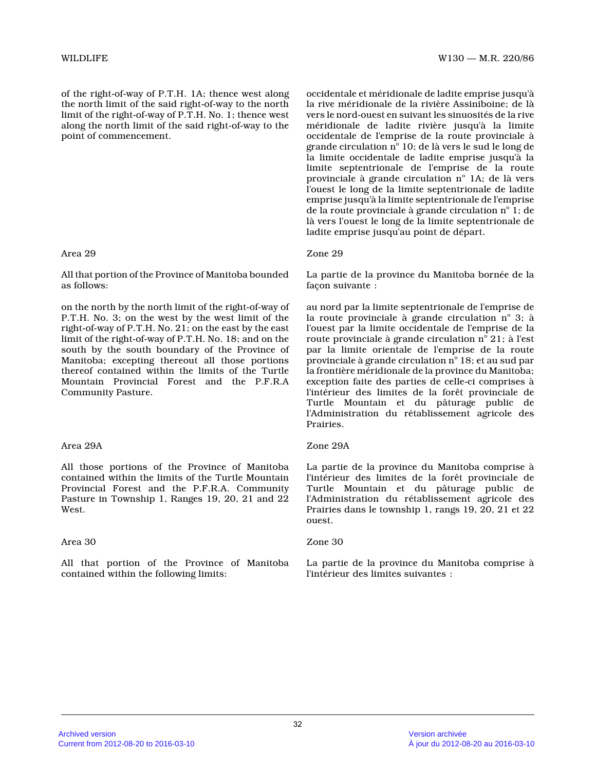of the right-of-way of P.T.H. 1A; thence west along the north limit of the said right-of-way to the north limit of the right-of-way of P.T.H. No. 1; thence west along the north limit of the said right-of-way to the point of commencement.

### Area 29

All that portion of the Province of Manitoba bounde d as follows:

on the north by the north limit of the right-of-way of P.T.H. No. 3; on the west by the west limit of the right-of-way of P.T.H. No. 21; on the east by the east limit of the right-of-way of P.T.H. No. 18; and on the south by the south boundary of the Province of Manitoba; excepting thereout all those portions thereof contained within the limits of the Turtle Mountain Provincial Forest and the P.F.R.A Community Pasture.

## Area 29A

All those portions of the Province of Manitoba contained within the limits of the Turtle Mountain Provincial Forest and the P.F.R.A. Community Pasture in Township 1, Ranges 19, 20, 21 and 22 West.

### Area 30

All that portion of the Province of Manitoba contained within the following limits:

occidentale et méridionale de ladite emprise jusqu' à la rive méridionale de la rivière Assiniboine; de l à vers le nord-ouest en suivant les sinuosités de la rive méridionale de ladite rivière jusqu'à la limite occidentale de l'emprise de la route provinciale à grande circulation  $\mathrm{n}^\circ$  10; de là vers le sud le long de la limite occidentale de ladite emprise jusqu'à la limite septentrionale de l'emprise de la route provinciale à grande circulation nº 1A; de là vers l'ouest le long de la limite septentrionale de ladite emprise jusqu'à la limite septentrionale de l'emprise de la route provinciale à grande circulation  $\mathrm{n}^\circ$  1; de là vers l'ouest le long de la limite septentrionale de ladite emprise jusqu'au point de départ.

# Zone 29

La partie de la province du Manitoba bornée de la façon suivante :

au nord par la limite septentrionale de l'emprise d e la route provinciale à grande circulation  $n^{\circ}$  3; à l'ouest par la limite occidentale de l'emprise de l a route provinciale à grande circulation  $\mathrm{n}^\circ\,21;$  à l'est par la limite orientale de l'emprise de la route provinciale à grande circulation  $\mathrm{n}^\circ$  18; et au sud par la frontière méridionale de la province du Manitoba ; exception faite des parties de celle-ci comprises à l'intérieur des limites de la forêt provinciale de Turtle Mountain et du pâturage public de l'Administration du rétablissement agricole des Prairies.

## Zone 29A

La partie de la province du Manitoba comprise à l'intérieur des limites de la forêt provinciale de Turtle Mountain et du pâturage public de l'Administration du rétablissement agricole des Prairies dans le township 1, rangs 19, 20, 21 et 22 ouest.

### Zone 30

La partie de la province du Manitoba comprise à l'intérieur des limites suivantes :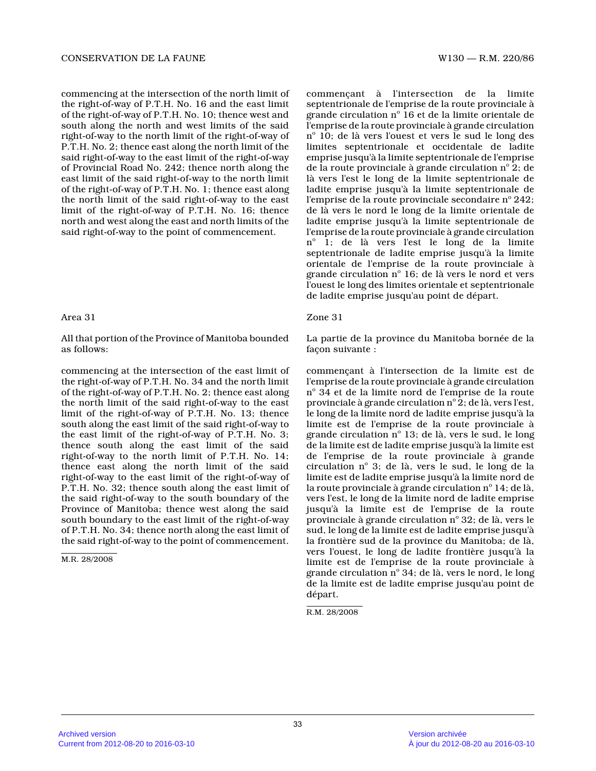commencing at the intersection of the north limit o f the right-of-way of P.T.H. No. 16 and the east limi t of the right-of-way of P.T.H. No. 10; thence west and south along the north and west limits of the said right-of-way to the north limit of the right-of-way of P.T.H. No. 2; thence east along the north limit of the said right-of-way to the east limit of the right-of-way of Provincial Road No. 242; thence north along the east limit of the said right-of-way to the north limit of the right-of-way of P.T.H. No. 1; thence east along the north limit of the said right-of-way to the eas t limit of the right-of-way of P.T.H. No. 16; thence north and west along the east and north limits of the said right-of-way to the point of commencement.

#### Area 31

All that portion of the Province of Manitoba bounde d as follows:

commencing at the intersection of the east limit of the right-of-way of P.T.H. No. 34 and the north limit of the right-of-way of P.T.H. No. 2; thence east along the north limit of the said right-of-way to the eas t limit of the right-of-way of P.T.H. No. 13; thence south along the east limit of the said right-of-way to the east limit of the right-of-way of P.T.H. No. 3; thence south along the east limit of the said right-of-way to the north limit of P.T.H. No. 14; thence east along the north limit of the said right-of-way to the east limit of the right-of-way of P.T.H. No. 32; thence south along the east limit of the said right-of-way to the south boundary of the Province of Manitoba; thence west along the said south boundary to the east limit of the right-of-way of P.T.H. No. 34; thence north along the east limit of the said right-of-way to the point of commencement.

M.R. 28/2008

commençant à l'intersection de la limite septentrionale de l'emprise de la route provinciale à grande circulation nº 16 et de la limite orientale de l'emprise de la route provinciale à grande circulation nº 10; de là vers l'ouest et vers le sud le long des limites septentrionale et occidentale de ladite emprise jusqu'à la limite septentrionale de l'emprise de la route provinciale à grande circulation nº 2; de là vers l'est le long de la limite septentrionale d e ladite emprise jusqu'à la limite septentrionale de l'emprise de la route provinciale secondaire nº 242; de là vers le nord le long de la limite orientale d e ladite emprise jusqu'à la limite septentrionale de l'emprise de la route provinciale à grande circulation n° 1; de là vers l'est le long de la limite septentrionale de ladite emprise jusqu'à la limite orientale de l'emprise de la route provinciale à grande circulation  $n^{\circ}$  16; de là vers le nord et vers l'ouest le long des limites orientale et septentrionale de ladite emprise jusqu'au point de départ.

### Zone 31

La partie de la province du Manitoba bornée de la façon suivante :

commençant à l'intersection de la limite est de l'emprise de la route provinciale à grande circulation  ${\rm n}^\circ$  34 et de la limite nord de l'emprise de la route provinciale à grande circulation nº 2; de là, vers l'est, le long de la limite nord de ladite emprise jusqu'à la limite est de l'emprise de la route provinciale à grande circulation  $n^{\circ}$  13; de là, vers le sud, le long de la limite est de ladite emprise jusqu'à la limite est de l'emprise de la route provinciale à grande circulation nº 3; de là, vers le sud, le long de la limite est de ladite emprise jusqu'à la limite nord de la route provinciale à grande circulation  $n^{\circ}$  14; de là, vers l'est, le long de la limite nord de ladite emprise jusqu'à la limite est de l'emprise de la route provinciale à grande circulation nº 32; de là, vers le sud, le long de la limite est de ladite emprise jusqu'à la frontière sud de la province du Manitoba; de là, vers l'ouest, le long de ladite frontière jusqu'à l a limite est de l'emprise de la route provinciale à grande circulation nº 34; de là, vers le nord, le long de la limite est de ladite emprise jusqu'au point d e départ.

R.M. 28/2008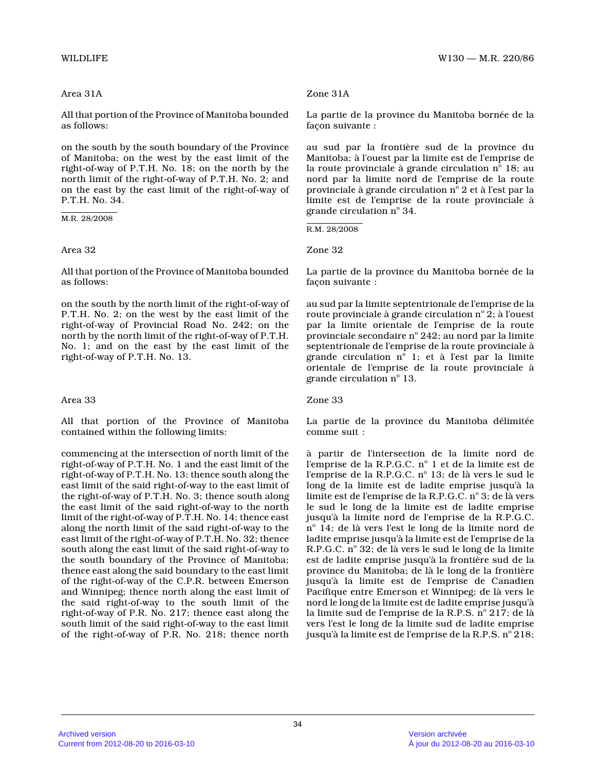# Area 31A

All that portion of the Province of Manitoba bounde d as follows:

on the south by the south boundary of the Province of Manitoba; on the west by the east limit of the right-of-way of P.T.H. No. 18; on the north by the north limit of the right-of-way of P.T.H. No. 2; an d on the east by the east limit of the right-of-way o f P.T.H. No. 34.

M.R. 28/2008

### Area 32

All that portion of the Province of Manitoba bounde d as follows:

on the south by the north limit of the right-of-way of P.T.H. No. 2; on the west by the east limit of the right-of-way of Provincial Road No. 242; on the north by the north limit of the right-of-way of P.T.H. No. 1; and on the east by the east limit of the right-of-way of P.T.H. No. 13.

### Area 33

All that portion of the Province of Manitoba contained within the following limits:

commencing at the intersection of north limit of th e right-of-way of P.T.H. No. 1 and the east limit of the right-of-way of P.T.H. No. 13; thence south along the east limit of the said right-of-way to the east limit of the right-of-way of P.T.H. No. 3; thence south alon g the east limit of the said right-of-way to the nort h limit of the right-of-way of P.T.H. No. 14; thence east along the north limit of the said right-of-way to the east limit of the right-of-way of P.T.H. No. 32; thence south along the east limit of the said right-of-way to the south boundary of the Province of Manitoba; thence east along the said boundary to the east limit of the right-of-way of the C.P.R. between Emerson and Winnipeg; thence north along the east limit of the said right-of-way to the south limit of the right-of-way of P.R. No. 217; thence east along the south limit of the said right-of-way to the east limit of the right-of-way of P.R. No. 218; thence north

### Zone 31A

La partie de la province du Manitoba bornée de la façon suivante :

au sud par la frontière sud de la province du Manitoba; à l'ouest par la limite est de l'emprise de la route provinciale à grande circulation  $n^{\circ}$  18; au nord par la limite nord de l'emprise de la route provinciale à grande circulation  $\mathrm{n}^\circ\,2$  et à l'est par la limite est de l'emprise de la route provinciale à grande circulation n° 34.

R.M. 28/2008

Zone 32

La partie de la province du Manitoba bornée de la façon suivante :

au sud par la limite septentrionale de l'emprise de la route provinciale à grande circulation  $\mathbf{n}^\circ \, \mathbf{2}$ ; à l'ouest par la limite orientale de l'emprise de la route provinciale secondaire n° 242; au nord par la limite septentrionale de l'emprise de la route provinciale à grande circulation  $n^{\circ}$  1; et à l'est par la limite orientale de l'emprise de la route provinciale à grande circulation n° 13.

Zone 33

La partie de la province du Manitoba délimitée comme suit :

à partir de l'intersection de la limite nord de l'emprise de la R.P.G.C. nº 1 et de la limite est de l'emprise de la R.P.G.C. nº 13; de là vers le sud le long de la limite est de ladite emprise jusqu'à la limite est de l'emprise de la R.P.G.C.  $\mathrm{n}^\circ\,\mathrm{3};$  de là vers le sud le long de la limite est de ladite emprise jusqu'à la limite nord de l'emprise de la R.P.G.C. nº 14; de là vers l'est le long de la limite nord de ladite emprise jusqu'à la limite est de l'emprise de la R.P.G.C. n° 32; de là vers le sud le long de la limite est de ladite emprise jusqu'à la frontière sud de l a province du Manitoba; de là le long de la frontière jusqu'à la limite est de l'emprise de Canadien Pacifique entre Emerson et Winnipeg; de là vers le nord le long de la limite est de ladite emprise jusqu'à la limite sud de l'emprise de la R.P.S. nº 217; de là vers l'est le long de la limite sud de ladite emprise jusqu'à la limite est de l'emprise de la R.P.S. nº 218;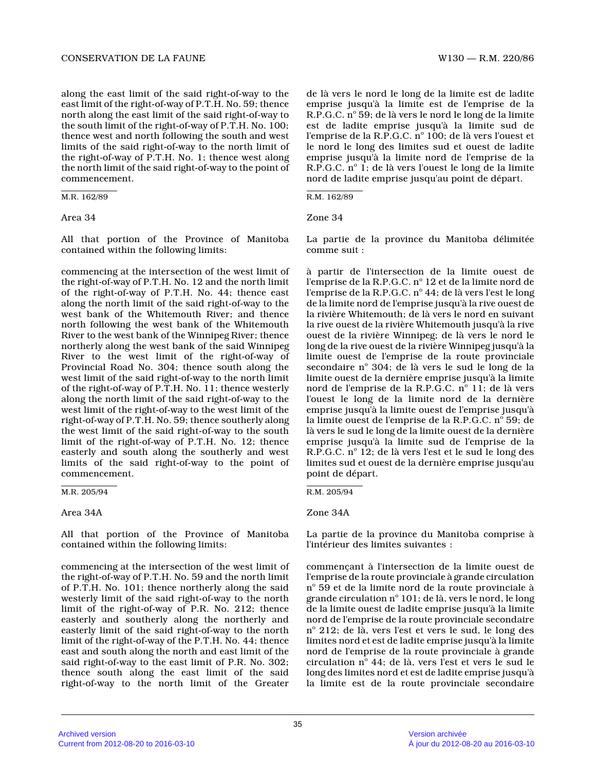along the east limit of the said right-of-way to th e east limit of the right-of-way of P.T.H. No. 59; thence north along the east limit of the said right-of-way to the south limit of the right-of-way of P.T.H. No. 100; thence west and north following the south and west limits of the said right-of-way to the north limit of the right-of-way of P.T.H. No. 1; thence west along the north limit of the said right-of-way to the point of commencement.

M.R. 162/89

### Area 34

All that portion of the Province of Manitoba contained within the following limits:

commencing at the intersection of the west limit of the right-of-way of P.T.H. No. 12 and the north limit of the right-of-way of P.T.H. No. 44; thence east along the north limit of the said right-of-way to the west bank of the Whitemouth River; and thence north following the west bank of the Whitemouth River to the west bank of the Winnipeg River; thenc e northerly along the west bank of the said Winnipeg River to the west limit of the right-of-way of Provincial Road No. 304; thence south along the west limit of the said right-of-way to the north limit of the right-of-way of P.T.H. No. 11; thence westerly along the north limit of the said right-of-way to the west limit of the right-of-way to the west limit of the right-of-way of P.T.H. No. 59; thence southerly along the west limit of the said right-of-way to the sout h limit of the right-of-way of P.T.H. No. 12; thence easterly and south along the southerly and west limits of the said right-of-way to the point of commencement.

M.R. 205/94

### Area 34A

All that portion of the Province of Manitoba contained within the following limits:

commencing at the intersection of the west limit of the right-of-way of P.T.H. No. 59 and the north limit of P.T.H. No. 101; thence northerly along the said westerly limit of the said right-of-way to the nort h limit of the right-of-way of P.R. No. 212; thence easterly and southerly along the northerly and easterly limit of the said right-of-way to the nort h limit of the right-of-way of the P.T.H. No. 44; thence east and south along the north and east limit of th e said right-of-way to the east limit of P.R. No. 302 ; thence south along the east limit of the said right-of-way to the north limit of the Greater

de là vers le nord le long de la limite est de ladite emprise jusqu'à la limite est de l'emprise de la R.P.G.C. nº 59; de là vers le nord le long de la limite est de ladite emprise jusqu'à la limite sud de l'emprise de la R.P.G.C. nº 100; de là vers l'ouest et le nord le long des limites sud et ouest de ladite emprise jusqu'à la limite nord de l'emprise de la R.P.G.C. nº 1; de là vers l'ouest le long de la limite nord de ladite emprise jusqu'au point de départ.

R.M. 162/89

Zone 34

La partie de la province du Manitoba délimitée comme suit :

à partir de l'intersection de la limite ouest de l'emprise de la R.P.G.C. n° 12 et de la limite nord de l'emprise de la R.P.G.C. nº 44; de là vers l'est le long de la limite nord de l'emprise jusqu'à la rive ouest de la rivière Whitemouth; de là vers le nord en suivan t la rive ouest de la rivière Whitemouth jusqu'à la rive ouest de la rivière Winnipeg; de là vers le nord le long de la rive ouest de la rivière Winnipeg jusqu'à la limite ouest de l'emprise de la route provinciale secondaire nº 304; de là vers le sud le long de la limite ouest de la dernière emprise jusqu'à la limite nord de l'emprise de la R.P.G.C. nº 11; de là vers l'ouest le long de la limite nord de la dernière emprise jusqu'à la limite ouest de l'emprise jusqu' à la limite ouest de l'emprise de la R.P.G.C. n° 59; de là vers le sud le long de la limite ouest de la dernière emprise jusqu'à la limite sud de l'emprise de la R.P.G.C. n° 12; de là vers l'est et le sud le long des limites sud et ouest de la dernière emprise jusqu'a u point de départ.

R.M. 205/94

### Zone 34A

La partie de la province du Manitoba comprise à l'intérieur des limites suivantes :

commençant à l'intersection de la limite ouest de l'emprise de la route provinciale à grande circulation  $\rm n^{\circ}$  59 et de la limite nord de la route provinciale à grande circulation  $\mathrm{n}^\circ$  101; de là, vers le nord, le long de la limite ouest de ladite emprise jusqu'à la limite nord de l'emprise de la route provinciale secondair e nº 212; de là, vers l'est et vers le sud, le long des limites nord et est de ladite emprise jusqu'à la limite nord de l'emprise de la route provinciale à grande circulation nº 44; de là, vers l'est et vers le sud le long des limites nord et est de ladite emprise jusqu'à la limite est de la route provinciale secondaire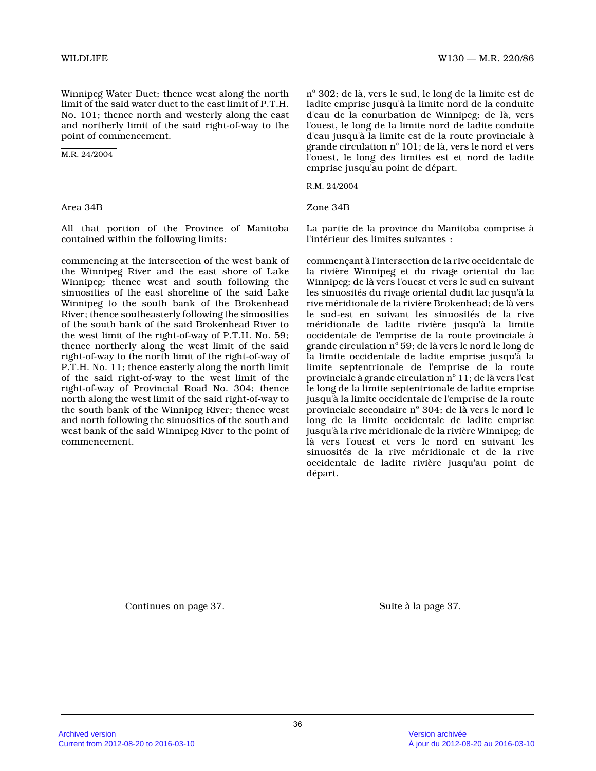Winnipeg Water Duct; thence west along the north limit of the said water duct to the east limit of P.T.H. No. 101; thence north and westerly along the east and northerly limit of the said right-of-way to the point of commencement.

M.R. 24/2004

Area 34B

All that portion of the Province of Manitoba contained within the following limits:

commencing at the intersection of the west bank of the Winnipeg River and the east shore of Lake Winnipeg; thence west and south following the sinuosities of the east shoreline of the said Lake Winnipeg to the south bank of the Brokenhead River; thence southeasterly following the sinuosities of the south bank of the said Brokenhead River to the west limit of the right-of-way of P.T.H. No. 59 ; thence northerly along the west limit of the said right-of-way to the north limit of the right-of-way of P.T.H. No. 11; thence easterly along the north limi t of the said right-of-way to the west limit of the right-of-way of Provincial Road No. 304; thence north along the west limit of the said right-of-way to the south bank of the Winnipeg River; thence west and north following the sinuosities of the south an d west bank of the said Winnipeg River to the point o f commencement.

nº 302; de là, vers le sud, le long de la limite est de ladite emprise jusqu'à la limite nord de la conduit e d'eau de la conurbation de Winnipeg; de là, vers l'ouest, le long de la limite nord de ladite conduite d'eau jusqu'à la limite est de la route provinciale à grande circulation  $\text{n}^\circ$  101; de là, vers le nord et vers l'ouest, le long des limites est et nord de ladite emprise jusqu'au point de départ.

R.M. 24/2004

Zone 34B

La partie de la province du Manitoba comprise à l'intérieur des limites suivantes :

commençant à l'intersection de la rive occidentale de la rivière Winnipeg et du rivage oriental du lac Winnipeg; de là vers l'ouest et vers le sud en suivant les sinuosités du rivage oriental dudit lac jusqu'à la rive méridionale de la rivière Brokenhead; de là vers le sud-est en suivant les sinuosités de la rive méridionale de ladite rivière jusqu'à la limite occidentale de l'emprise de la route provinciale à grande circulation  $\mathrm{n}^\circ$  59; de là vers le nord le long de la limite occidentale de ladite emprise jusqu'à la limite septentrionale de l'emprise de la route provinciale à grande circulation  $\mathrm{n}^\circ \, 11$ ; de là vers l'est le long de la limite septentrionale de ladite emprise jusqu'à la limite occidentale de l'emprise de la route provinciale secondaire nº 304; de là vers le nord le long de la limite occidentale de ladite emprise jusqu'à la rive méridionale de la rivière Winnipeg; de là vers l'ouest et vers le nord en suivant les sinuosités de la rive méridionale et de la rive occidentale de ladite rivière jusqu'au point de départ.

Continues on page 37. Suite à la page 37.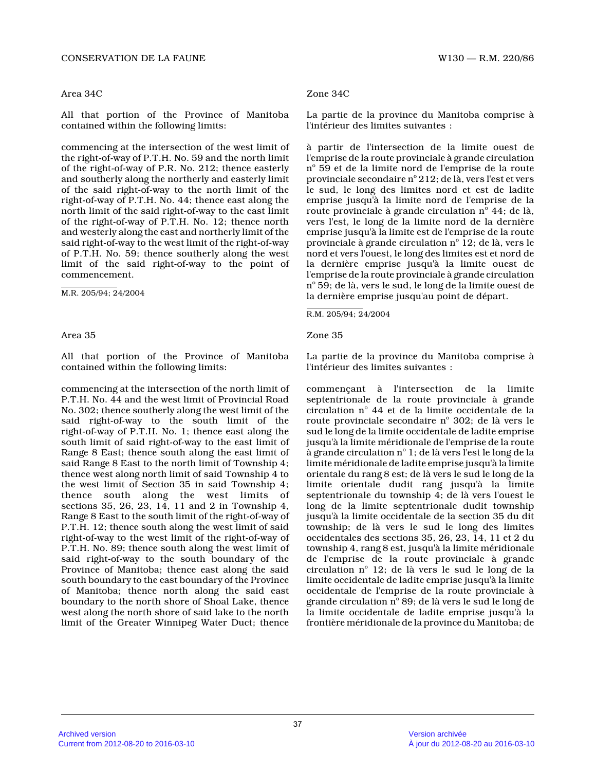#### Area 34C

All that portion of the Province of Manitoba contained within the following limits:

commencing at the intersection of the west limit of the right-of-way of P.T.H. No. 59 and the north limit of the right-of-way of P.R. No. 212; thence easterl y and southerly along the northerly and easterly limi t of the said right-of-way to the north limit of the right-of-way of P.T.H. No. 44; thence east along th e north limit of the said right-of-way to the east limit of the right-of-way of P.T.H. No. 12; thence north and westerly along the east and northerly limit of the said right-of-way to the west limit of the right-of-way of P.T.H. No. 59; thence southerly along the west limit of the said right-of-way to the point of commencement.

M.R. 205/94; 24/2004

#### Area 35

All that portion of the Province of Manitoba contained within the following limits:

commencing at the intersection of the north limit o f P.T.H. No. 44 and the west limit of Provincial Road No. 302; thence southerly along the west limit of the said right-of-way to the south limit of the right-of-way of P.T.H. No. 1; thence east along the south limit of said right-of-way to the east limit of Range 8 East; thence south along the east limit of said Range 8 East to the north limit of Township 4; thence west along north limit of said Township 4 to the west limit of Section 35 in said Township 4; thence south along the west limits of sections 35, 26, 23, 14, 11 and 2 in Township 4, Range 8 East to the south limit of the right-of-way of P.T.H. 12; thence south along the west limit of sai d right-of-way to the west limit of the right-of-way of P.T.H. No. 89; thence south along the west limit of said right-of-way to the south boundary of the Province of Manitoba; thence east along the said south boundary to the east boundary of the Province of Manitoba; thence north along the said east boundary to the north shore of Shoal Lake, thence west along the north shore of said lake to the nort h limit of the Greater Winnipeg Water Duct; thence

## Zone 34C

La partie de la province du Manitoba comprise à l'intérieur des limites suivantes :

à partir de l'intersection de la limite ouest de l'emprise de la route provinciale à grande circulation  ${\rm n}^{\rm o}$  59 et de la limite nord de l'emprise de la route provinciale secondaire nº 212; de là, vers l'est et vers le sud, le long des limites nord et est de ladite emprise jusqu'à la limite nord de l'emprise de la route provinciale à grande circulation  $n^{\circ}$  44; de là, vers l'est, le long de la limite nord de la dernièr e emprise jusqu'à la limite est de l'emprise de la route provinciale à grande circulation nº 12; de là, vers le nord et vers l'ouest, le long des limites est et nord de la dernière emprise jusqu'à la limite ouest de l'emprise de la route provinciale à grande circulation  ${\rm n}^\circ$  59; de là, vers le sud, le long de la limite ouest de la dernière emprise jusqu'au point de départ.

R.M. 205/94; 24/2004

Zone 35

La partie de la province du Manitoba comprise à l'intérieur des limites suivantes :

commençant à l'intersection de la limite septentrionale de la route provinciale à grande circulation nº 44 et de la limite occidentale de la route provinciale secondaire nº 302; de là vers le sud le long de la limite occidentale de ladite emprise jusqu'à la limite méridionale de l'emprise de la route à grande circulation n° 1; de là vers l'est le long de la limite méridionale de ladite emprise jusqu'à la limite orientale du rang 8 est; de là vers le sud le long de la limite orientale dudit rang jusqu'à la limite septentrionale du township 4; de là vers l'ouest le long de la limite septentrionale dudit township jusqu'à la limite occidentale de la section 35 du dit township; de là vers le sud le long des limites occidentales des sections 35, 26, 23, 14, 11 et 2 d u township 4, rang 8 est, jusqu'à la limite méridionale de l'emprise de la route provinciale à grande circulation nº 12; de là vers le sud le long de la limite occidentale de ladite emprise jusqu'à la limite occidentale de l'emprise de la route provinciale à grande circulation n° 89; de là vers le sud le long de la limite occidentale de ladite emprise jusqu'à la frontière méridionale de la province du Manitoba; de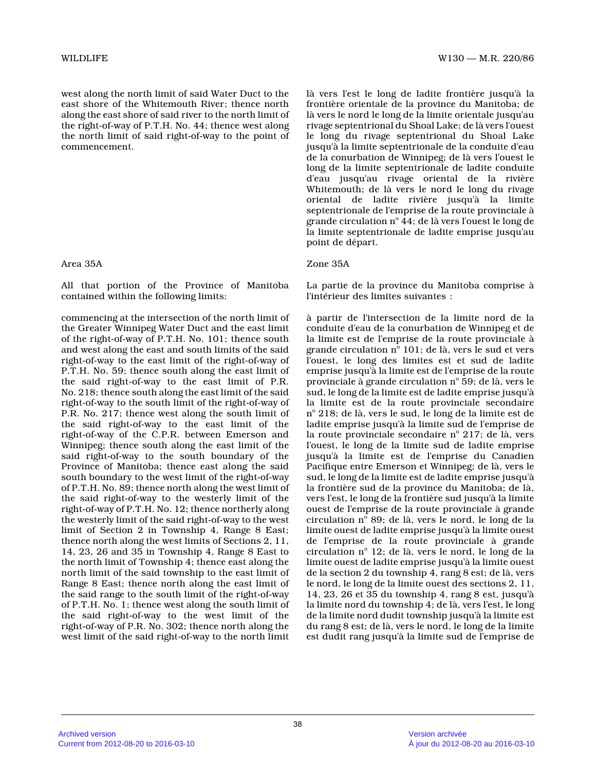west along the north limit of said Water Duct to th e east shore of the Whitemouth River; thence north along the east shore of said river to the north limit of the right-of-way of P.T.H. No. 44; thence west alon g the north limit of said right-of-way to the point o f commencement.

### Area 35A

All that portion of the Province of Manitoba contained within the following limits:

commencing at the intersection of the north limit o f the Greater Winnipeg Water Duct and the east limit of the right-of-way of P.T.H. No. 101; thence south and west along the east and south limits of the sai d right-of-way to the east limit of the right-of-way of P.T.H. No. 59; thence south along the east limit of the said right-of-way to the east limit of P.R. No. 218; thence south along the east limit of the said right-of-way to the south limit of the right-of-way of P.R. No. 217; thence west along the south limit of the said right-of-way to the east limit of the right-of-way of the C.P.R. between Emerson and Winnipeg; thence south along the east limit of the said right-of-way to the south boundary of the Province of Manitoba; thence east along the said south boundary to the west limit of the right-of-way of P.T.H. No. 89; thence north along the west limit of the said right-of-way to the westerly limit of the right-of-way of P.T.H. No. 12; thence northerly along the westerly limit of the said right-of-way to the west limit of Section 2 in Township 4, Range 8 East; thence north along the west limits of Sections 2, 11, 14, 23, 26 and 35 in Township 4, Range 8 East to the north limit of Township 4; thence east along th e north limit of the said township to the east limit of Range 8 East; thence north along the east limit of the said range to the south limit of the right-of-way of P.T.H. No. 1; thence west along the south limit of the said right-of-way to the west limit of the right-of-way of P.R. No. 302; thence north along th e west limit of the said right-of-way to the north limit

là vers l'est le long de ladite frontière jusqu'à l a frontière orientale de la province du Manitoba; de là vers le nord le long de la limite orientale jusqu'au rivage septentrional du Shoal Lake; de là vers l'ouest le long du rivage septentrional du Shoal Lake jusqu'à la limite septentrionale de la conduite d'eau de la conurbation de Winnipeg; de là vers l'ouest l e long de la limite septentrionale de ladite conduite d'eau jusqu'au rivage oriental de la rivière Whitemouth; de là vers le nord le long du rivage oriental de ladite rivière jusqu'à la limite septentrionale de l'emprise de la route provinciale à grande circulation n° 44; de là vers l'ouest le long de la limite septentrionale de ladite emprise jusqu'au point de départ.

### Zone 35A

La partie de la province du Manitoba comprise à l'intérieur des limites suivantes :

à partir de l'intersection de la limite nord de la conduite d'eau de la conurbation de Winnipeg et de la limite est de l'emprise de la route provinciale à grande circulation nº 101; de là, vers le sud et vers l'ouest, le long des limites est et sud de ladite emprise jusqu'à la limite est de l'emprise de la route provinciale à grande circulation nº 59; de là, vers le sud, le long de la limite est de ladite emprise jusqu'à la limite est de la route provinciale secondaire nº 218; de là, vers le sud, le long de la limite est de ladite emprise jusqu'à la limite sud de l'emprise d e la route provinciale secondaire n $^{\rm o}$  217; de là, vers l'ouest, le long de la limite sud de ladite emprise jusqu'à la limite est de l'emprise du Canadien Pacifique entre Emerson et Winnipeg; de là, vers le sud, le long de la limite est de ladite emprise jusqu'à la frontière sud de la province du Manitoba; de là, vers l'est, le long de la frontière sud jusqu'à la limite ouest de l'emprise de la route provinciale à grande circulation nº 89; de là, vers le nord, le long de la limite ouest de ladite emprise jusqu'à la limite ouest de l'emprise de la route provinciale à grande circulation nº 12; de là, vers le nord, le long de la limite ouest de ladite emprise jusqu'à la limite ouest de la section 2 du township 4, rang 8 est; de là, vers le nord, le long de la limite ouest des sections 2, 11, 14, 23, 26 et 35 du township 4, rang 8 est, jusqu'à la limite nord du township 4; de là, vers l'est, le long de la limite nord dudit township jusqu'à la limite est du rang 8 est; de là, vers le nord, le long de la limite est dudit rang jusqu'à la limite sud de l'emprise de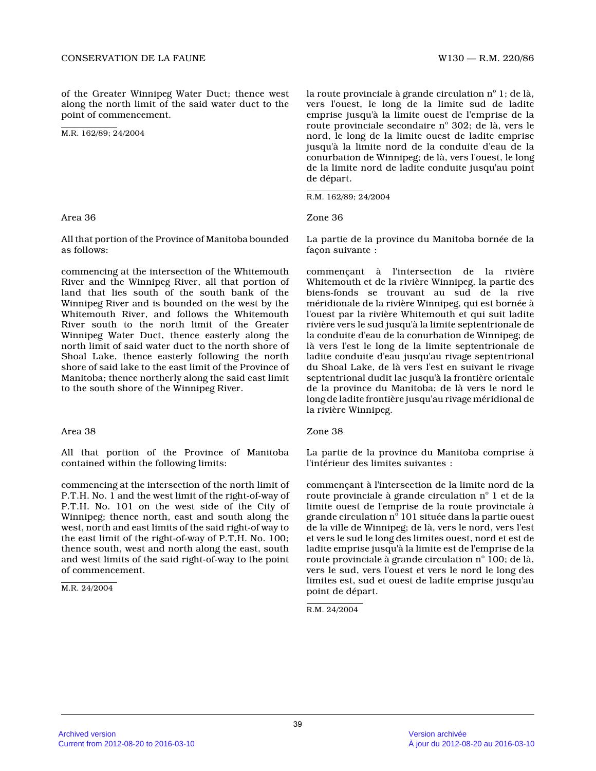of the Greater Winnipeg Water Duct; thence west along the north limit of the said water duct to the point of commencement.

M.R. 162/89; 24/2004

Area 36

All that portion of the Province of Manitoba bounde d as follows:

commencing at the intersection of the Whitemouth River and the Winnipeg River, all that portion of land that lies south of the south bank of the Winnipeg River and is bounded on the west by the Whitemouth River, and follows the Whitemouth River south to the north limit of the Greater Winnipeg Water Duct, thence easterly along the north limit of said water duct to the north shore o f Shoal Lake, thence easterly following the north shore of said lake to the east limit of the Province of Manitoba; thence northerly along the said east limi t to the south shore of the Winnipeg River.

### Area 38

All that portion of the Province of Manitoba contained within the following limits:

commencing at the intersection of the north limit o f P.T.H. No. 1 and the west limit of the right-of-way of P.T.H. No. 101 on the west side of the City of Winnipeg; thence north, east and south along the west, north and east limits of the said right-of way to the east limit of the right-of-way of P.T.H. No. 100; thence south, west and north along the east, south and west limits of the said right-of-way to the point of commencement.

M.R. 24/2004

la route provinciale à grande circulation n° 1; de là, vers l'ouest, le long de la limite sud de ladite emprise jusqu'à la limite ouest de l'emprise de la route provinciale secondaire nº 302; de là, vers le nord, le long de la limite ouest de ladite emprise jusqu'à la limite nord de la conduite d'eau de la conurbation de Winnipeg; de là, vers l'ouest, le long de la limite nord de ladite conduite jusqu'au point de départ.

R.M. 162/89; 24/2004

Zone 36

La partie de la province du Manitoba bornée de la façon suivante :

commençant à l'intersection de la rivière Whitemouth et de la rivière Winnipeg, la partie des biens-fonds se trouvant au sud de la rive méridionale de la rivière Winnipeg, qui est bornée à l'ouest par la rivière Whitemouth et qui suit ladit e rivière vers le sud jusqu'à la limite septentrionale de la conduite d'eau de la conurbation de Winnipeg; de là vers l'est le long de la limite septentrionale d e ladite conduite d'eau jusqu'au rivage septentrional du Shoal Lake, de là vers l'est en suivant le rivag e septentrional dudit lac jusqu'à la frontière orientale de la province du Manitoba; de là vers le nord le long de ladite frontière jusqu'au rivage méridional de la rivière Winnipeg.

### Zone 38

La partie de la province du Manitoba comprise à l'intérieur des limites suivantes :

commençant à l'intersection de la limite nord de la route provinciale à grande circulation  $\mathrm{n}^\circ$  1 et de la limite ouest de l'emprise de la route provinciale à grande circulation  $\mathrm{n}^\circ$  101 située dans la partie ouest de la ville de Winnipeg; de là, vers le nord, vers l'est et vers le sud le long des limites ouest, nord et est de ladite emprise jusqu'à la limite est de l'emprise de la route provinciale à grande circulation nº 100; de là, vers le sud, vers l'ouest et vers le nord le long des limites est, sud et ouest de ladite emprise jusqu'a u point de départ.

R.M. 24/2004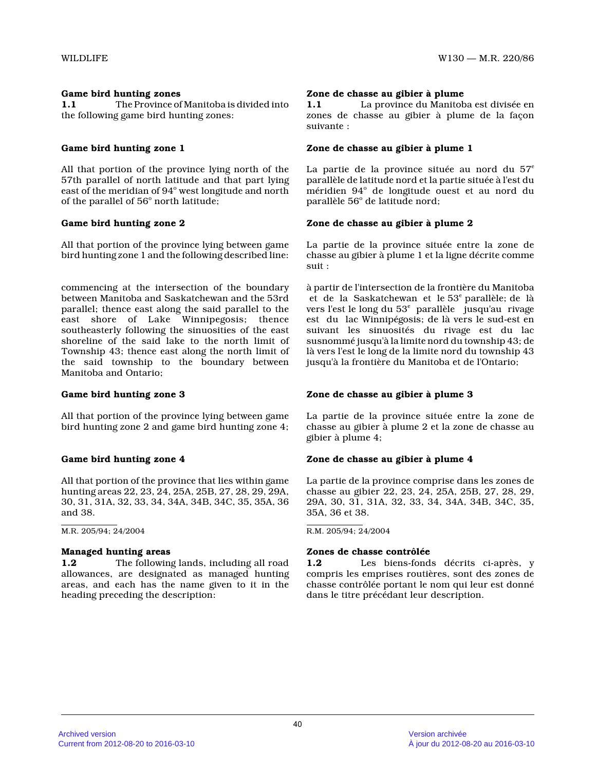# **Game bird hunting zones**

**1.1** The Province of Manitoba is divided into the following game bird hunting zones:

# **Game bird hunting zone 1**

All that portion of the province lying north of the 57th parallel of north latitude and that part lying east of the meridian of 94° west longitude and north of the parallel of 56° north latitude;

# **Game bird hunting zone 2**

All that portion of the province lying between game bird hunting zone 1 and the following described line:

commencing at the intersection of the boundary between Manitoba and Saskatchewan and the 53rd parallel; thence east along the said parallel to th e east shore of Lake Winnipegosis; thence southeasterly following the sinuosities of the east shoreline of the said lake to the north limit of Township 43; thence east along the north limit of the said township to the boundary between Manitoba and Ontario;

### **Game bird hunting zone 3**

All that portion of the province lying between game bird hunting zone 2 and game bird hunting zone 4;

### **Game bird hunting zone 4**

All that portion of the province that lies within game hunting areas 22, 23, 24, 25A, 25B, 27, 28, 29, 29A , 30, 31, 31A, 32, 33, 34, 34A, 34B, 34C, 35, 35A, 36 and 38.

M.R. 205/94; 24/2004

### **Managed hunting areas**

**1.2** The following lands, including all road allowances, are designated as managed hunting areas, and each has the name given to it in the heading preceding the description:

#### **Zone de chasse au gibier à plume**

**1.1** La province du Manitoba est divisée en zones de chasse au gibier à plume de la façon suivante :

## **Zone de chasse au gibier à plume 1**

La partie de la province située au nord du  $57^e$ parallèle de latitude nord et la partie située à l'est du méridien 94° de longitude ouest et au nord du parallèle 56° de latitude nord;

# **Zone de chasse au gibier à plume 2**

La partie de la province située entre la zone de chasse au gibier à plume 1 et la ligne décrite comm e suit :

à partir de l'intersection de la frontière du Manitoba et de la Saskatchewan et le 53<sup>e</sup> parallèle; de là vers l'est le long du 53<sup>e</sup> parallèle jusqu'au rivage est du lac Winnipégosis; de là vers le sud-est en suivant les sinuosités du rivage est du lac susnommé jusqu'à la limite nord du township 43; de là vers l'est le long de la limite nord du township 43 jusqu'à la frontière du Manitoba et de l'Ontario;

### **Zone de chasse au gibier à plume 3**

La partie de la province située entre la zone de chasse au gibier à plume 2 et la zone de chasse au gibier à plume 4;

### **Zone de chasse au gibier à plume 4**

La partie de la province comprise dans les zones de chasse au gibier 22, 23, 24, 25A, 25B, 27, 28, 29, 29A, 30, 31, 31A, 32, 33, 34, 34A, 34B, 34C, 35, 35A, 36 et 38.

R.M. 205/94; 24/2004

### **Zones de chasse contrôlée**

**1.2** Les biens-fonds décrits ci-après, y compris les emprises routières, sont des zones de chasse contrôlée portant le nom qui leur est donné dans le titre précédant leur description.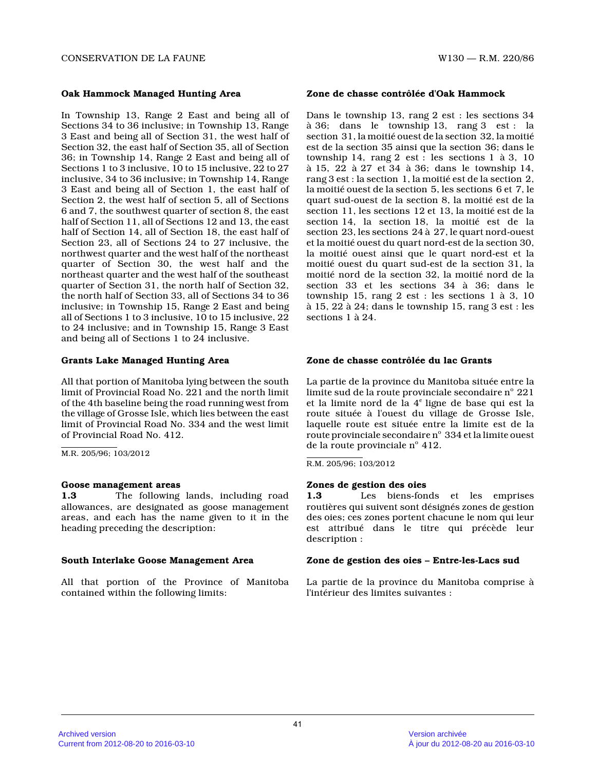## **Oak Hammock Managed Hunting Area**

In Township 13, Range 2 East and being all of Sections 34 to 36 inclusive; in Township 13, Range 3 East and being all of Section 31, the west half o f Section 32, the east half of Section 35, all of Section 36; in Township 14, Range 2 East and being all of Sections 1 to 3 inclusive, 10 to 15 inclusive, 22 to 27 inclusive, 34 to 36 inclusive; in Township 14, Rang e 3 East and being all of Section 1, the east half of Section 2, the west half of section 5, all of Sections 6 and 7, the southwest quarter of section 8, the east half of Section 11, all of Sections 12 and 13, the east half of Section 14, all of Section 18, the east half of Section 23, all of Sections 24 to 27 inclusive, the northwest quarter and the west half of the northeas t quarter of Section 30, the west half and the northeast quarter and the west half of the southeas t quarter of Section 31, the north half of Section 32 , the north half of Section 33, all of Sections 34 to 36 inclusive; in Township 15, Range 2 East and being all of Sections 1 to 3 inclusive, 10 to 15 inclusive, 22 to 24 inclusive; and in Township 15, Range 3 East and being all of Sections 1 to 24 inclusive.

### **Grants Lake Managed Hunting Area**

All that portion of Manitoba lying between the sout h limit of Provincial Road No. 221 and the north limi t of the 4th baseline being the road running west fro m the village of Grosse Isle, which lies between the east limit of Provincial Road No. 334 and the west limit of Provincial Road No. 412.

M.R. 205/96; 103/2012

### **Goose management areas**

**1.3** The following lands, including road allowances, are designated as goose management areas, and each has the name given to it in the heading preceding the description:

### **South Interlake Goose Management Area**

All that portion of the Province of Manitoba contained within the following limits:

# **Zone de chasse contrôlée d'Oak Hammock**

Dans le township 13, rang 2 est : les sections 34 à 36; dans le township 13, rang 3 est : la section 31, la moitié ouest de la section 32, la moitié est de la section 35 ainsi que la section 36; dans le township 14, rang 2 est : les sections 1 à 3, 10 à 15, 22 à 27 et 34 à 36; dans le township 14, rang 3 est : la section 1, la moitié est de la section 2, la moitié ouest de la section 5, les sections 6 et 7, le quart sud-ouest de la section 8, la moitié est de la section 11, les sections 12 et 13, la moitié est de la section 14, la section 18, la moitié est de la section 23, les sections 24 à 27, le quart nord-ouest et la moitié ouest du quart nord-est de la section 30, la moitié ouest ainsi que le quart nord-est et la moitié ouest du quart sud-est de la section 31, la moitié nord de la section 32, la moitié nord de la section 33 et les sections 34 à 36; dans le township 15, rang 2 est : les sections 1 à 3, 10 à 15, 22 à 24; dans le township 15, rang 3 est : le s sections 1 à 24.

# **Zone de chasse contrôlée du lac Grants**

La partie de la province du Manitoba située entre l a limite sud de la route provinciale secondaire n $^{\circ}$  221 et la limite nord de la 4<sup>e</sup> ligne de base qui est la route située à l'ouest du village de Grosse Isle, laquelle route est située entre la limite est de la route provinciale secondaire  $\mathrm{n}^\circ~$  334 et la limite ouest de la route provinciale nº 412.

R.M. 205/96; 103/2012

# **Zones de gestion des oies**

**1.3** Les biens-fonds et les emprises routières qui suivent sont désignés zones de gestio n des oies; ces zones portent chacune le nom qui leur est attribué dans le titre qui précède leur description :

### **Zone de gestion des oies – Entre-les-Lacs sud**

La partie de la province du Manitoba comprise à l'intérieur des limites suivantes :